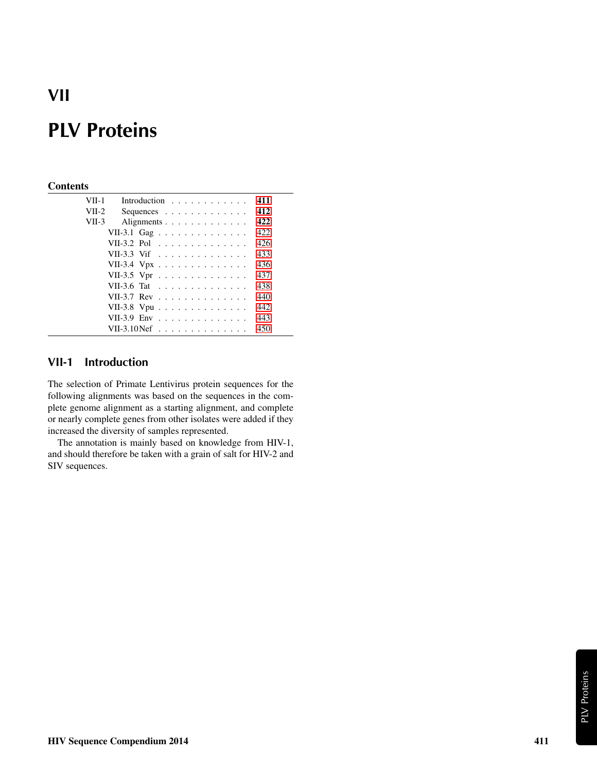# VII

# PLV Proteins

#### **Contents**

| VII-1   | Introduction    |  |  |  |  |  |  | 411 |
|---------|-----------------|--|--|--|--|--|--|-----|
| $VII-2$ | Sequences       |  |  |  |  |  |  | 412 |
| $VII-3$ | Alignments      |  |  |  |  |  |  | 422 |
|         | VII-3.1 Gag     |  |  |  |  |  |  | 422 |
|         | VII-3.2 Pol     |  |  |  |  |  |  | 426 |
|         | VII-3.3 Vif     |  |  |  |  |  |  | 433 |
|         | VII-3.4 Vpx     |  |  |  |  |  |  | 436 |
|         | VII-3.5 Vpr     |  |  |  |  |  |  | 437 |
|         | VII-3.6 Tat     |  |  |  |  |  |  | 438 |
|         | VII-3.7 Rev     |  |  |  |  |  |  | 440 |
|         | VII-3.8 Vpu     |  |  |  |  |  |  | 442 |
|         | VII-3.9 Env     |  |  |  |  |  |  | 443 |
|         | VII-3.10 $N$ ef |  |  |  |  |  |  | 450 |

### <span id="page-0-0"></span>VII-1 Introduction

The selection of Primate Lentivirus protein sequences for the following alignments was based on the sequences in the complete genome alignment as a starting alignment, and complete or nearly complete genes from other isolates were added if they increased the diversity of samples represented.

The annotation is mainly based on knowledge from HIV-1, and should therefore be taken with a grain of salt for HIV-2 and SIV sequences.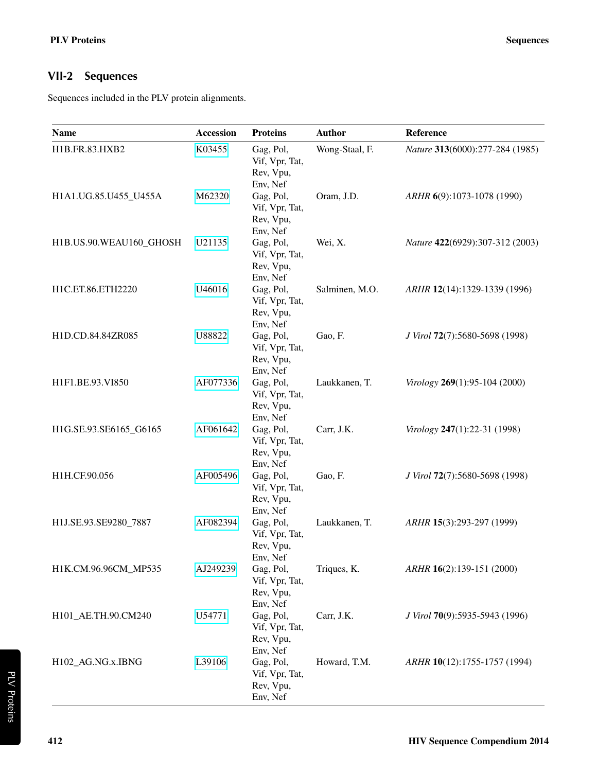## <span id="page-1-0"></span>VII-2 Sequences

Sequences included in the PLV protein alignments.

| Name                    | Accession | <b>Proteins</b>                                                   | <b>Author</b>  | Reference                       |
|-------------------------|-----------|-------------------------------------------------------------------|----------------|---------------------------------|
| H1B.FR.83.HXB2          | K03455    | Gag, Pol,<br>Vif, Vpr, Tat,<br>Rev, Vpu,                          | Wong-Staal, F. | Nature 313(6000):277-284 (1985) |
| H1A1.UG.85.U455_U455A   | M62320    | Env, Nef<br>Gag, Pol,<br>Vif, Vpr, Tat,<br>Rev, Vpu,              | Oram, J.D.     | ARHR 6(9):1073-1078 (1990)      |
| H1B.US.90.WEAU160_GHOSH | U21135    | Env, Nef<br>Gag, Pol,<br>Vif, Vpr, Tat,<br>Rev, Vpu,              | Wei, X.        | Nature 422(6929):307-312 (2003) |
| H1C.ET.86.ETH2220       | U46016    | Env, Nef<br>Gag, Pol,<br>Vif, Vpr, Tat,<br>Rev, Vpu,              | Salminen, M.O. | ARHR 12(14):1329-1339 (1996)    |
| H1D.CD.84.84ZR085       | U88822    | Env, Nef<br>Gag, Pol,<br>Vif, Vpr, Tat,<br>Rev, Vpu,              | Gao, F.        | J Virol 72(7):5680-5698 (1998)  |
| H1F1.BE.93.VI850        | AF077336  | Env, Nef<br>Gag, Pol,<br>Vif, Vpr, Tat,<br>Rev, Vpu,              | Laukkanen, T.  | Virology 269(1):95-104 (2000)   |
| H1G.SE.93.SE6165_G6165  | AF061642  | Env, Nef<br>Gag, Pol,<br>Vif, Vpr, Tat,<br>Rev, Vpu,              | Carr, J.K.     | Virology 247(1):22-31 (1998)    |
| H1H.CF.90.056           | AF005496  | Env, Nef<br>Gag, Pol,<br>Vif, Vpr, Tat,<br>Rev, Vpu,              | Gao, F.        | J Virol 72(7):5680-5698 (1998)  |
| H1J.SE.93.SE9280_7887   | AF082394  | Env, Nef<br>Gag, Pol,<br>Vif, Vpr, Tat,                           | Laukkanen, T.  | ARHR 15(3):293-297 (1999)       |
| H1K.CM.96.96CM_MP535    | AJ249239  | Rev, Vpu,<br>Env, Nef<br>Gag, Pol,<br>Vif, Vpr, Tat,<br>Rev, Vpu, | Triques, K.    | ARHR 16(2):139-151 (2000)       |
| H101_AE.TH.90.CM240     | U54771    | Env, Nef<br>Gag, Pol,<br>Vif, Vpr, Tat,<br>Rev, Vpu,              | Carr, J.K.     | J Virol 70(9):5935-5943 (1996)  |
| H102_AG.NG.x.IBNG       | L39106    | Env, Nef<br>Gag, Pol,<br>Vif, Vpr, Tat,<br>Rev, Vpu,<br>Env, Nef  | Howard, T.M.   | ARHR 10(12):1755-1757 (1994)    |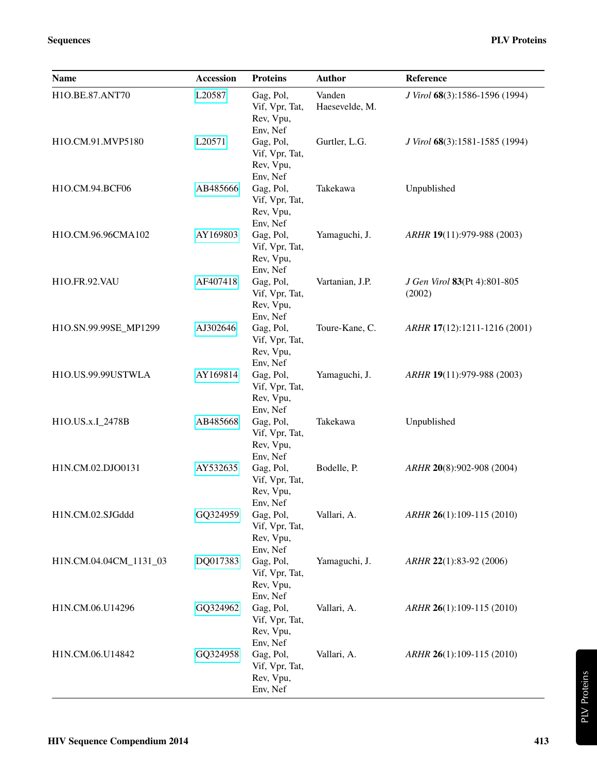| <b>Name</b>            | <b>Accession</b> | <b>Proteins</b>                                                               | <b>Author</b>            | Reference                              |
|------------------------|------------------|-------------------------------------------------------------------------------|--------------------------|----------------------------------------|
| H1O.BE.87.ANT70        | L20587           | Gag, Pol,<br>Vif, Vpr, Tat,<br>Rev, Vpu,                                      | Vanden<br>Haesevelde, M. | J Virol 68(3):1586-1596 (1994)         |
| H1O.CM.91.MVP5180      | L20571           | Env, Nef<br>Gag, Pol,<br>Vif, Vpr, Tat,<br>Rev, Vpu,                          | Gurtler, L.G.            | J Virol 68(3):1581-1585 (1994)         |
| H1O.CM.94.BCF06        | AB485666         | Env, Nef<br>Gag, Pol,<br>Vif, Vpr, Tat,<br>Rev, Vpu,                          | Takekawa                 | Unpublished                            |
| H1O.CM.96.96CMA102     | AY169803         | Env, Nef<br>Gag, Pol,<br>Vif, Vpr, Tat,<br>Rev, Vpu,                          | Yamaguchi, J.            | ARHR 19(11):979-988 (2003)             |
| H1O.FR.92.VAU          | AF407418         | Env, Nef<br>Gag, Pol,<br>Vif, Vpr, Tat,<br>Rev, Vpu,                          | Vartanian, J.P.          | J Gen Virol 83(Pt 4):801-805<br>(2002) |
| H1O.SN.99.99SE_MP1299  | AJ302646         | Env, Nef<br>Gag, Pol,<br>Vif, Vpr, Tat,                                       | Toure-Kane, C.           | ARHR 17(12):1211-1216 (2001)           |
| H1O.US.99.99USTWLA     | AY169814         | Rev, Vpu,<br>Env, Nef<br>Gag, Pol,<br>Vif, Vpr, Tat,                          | Yamaguchi, J.            | ARHR 19(11):979-988 (2003)             |
| H1O.US.x.I_2478B       | AB485668         | Rev, Vpu,<br>Env, Nef<br>Gag, Pol,<br>Vif, Vpr, Tat,                          | Takekawa                 | Unpublished                            |
| H1N.CM.02.DJO0131      | AY532635         | Rev, Vpu,<br>Env, Nef<br>Gag, Pol,<br>Vif, Vpr, Tat,                          | Bodelle, P.              | ARHR 20(8):902-908 (2004)              |
| H1N.CM.02.SJGddd       | GQ324959         | Rev, Vpu,<br>Env, Nef<br>Gag, Pol,<br>Vif, Vpr, Tat,                          | Vallari, A.              | ARHR 26(1):109-115 (2010)              |
| H1N.CM.04.04CM_1131_03 | DQ017383         | Rev, Vpu,<br>Env, Nef<br>Gag, Pol,<br>Vif, Vpr, Tat,                          | Yamaguchi, J.            | ARHR 22(1):83-92 (2006)                |
| H1N.CM.06.U14296       | GQ324962         | Rev, Vpu,<br>Env, Nef<br>Gag, Pol,<br>Vif, Vpr, Tat,                          | Vallari, A.              | ARHR 26(1):109-115 (2010)              |
| H1N.CM.06.U14842       | GQ324958         | Rev, Vpu,<br>Env, Nef<br>Gag, Pol,<br>Vif, Vpr, Tat,<br>Rev, Vpu,<br>Env, Nef | Vallari, A.              | ARHR 26(1):109-115 (2010)              |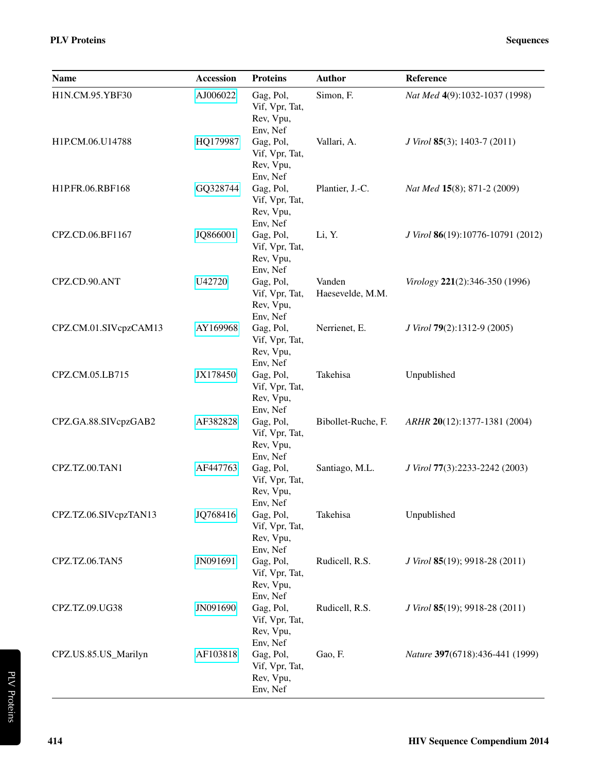| Name                  | <b>Accession</b> | <b>Proteins</b>                                                  | <b>Author</b>              | Reference                                     |
|-----------------------|------------------|------------------------------------------------------------------|----------------------------|-----------------------------------------------|
| H1N.CM.95.YBF30       | AJ006022         | Gag, Pol,<br>Vif, Vpr, Tat,<br>Rev, Vpu,                         | Simon, F.                  | Nat Med 4(9):1032-1037 (1998)                 |
| H1P.CM.06.U14788      | HQ179987         | Env, Nef<br>Gag, Pol,<br>Vif, Vpr, Tat,<br>Rev, Vpu,             | Vallari, A.                | <i>J Virol</i> <b>85</b> (3); 1403-7 (2011)   |
| H1P.FR.06.RBF168      | GQ328744         | Env, Nef<br>Gag, Pol,<br>Vif, Vpr, Tat,<br>Rev, Vpu,             | Plantier, J.-C.            | Nat Med 15(8); 871-2 (2009)                   |
| CPZ.CD.06.BF1167      | JQ866001         | Env, Nef<br>Gag, Pol,<br>Vif, Vpr, Tat,<br>Rev, Vpu,<br>Env, Nef | Li, Y.                     | J Virol 86(19):10776-10791 (2012)             |
| CPZ.CD.90.ANT         | U42720           | Gag, Pol,<br>Vif, Vpr, Tat,<br>Rev, Vpu,<br>Env, Nef             | Vanden<br>Haesevelde, M.M. | Virology 221(2):346-350 (1996)                |
| CPZ.CM.01.SIVcpzCAM13 | AY169968         | Gag, Pol,<br>Vif, Vpr, Tat,<br>Rev, Vpu,<br>Env, Nef             | Nerrienet, E.              | J Virol 79(2):1312-9 (2005)                   |
| CPZ.CM.05.LB715       | JX178450         | Gag, Pol,<br>Vif, Vpr, Tat,<br>Rev, Vpu,<br>Env, Nef             | Takehisa                   | Unpublished                                   |
| CPZ.GA.88.SIVcpzGAB2  | AF382828         | Gag, Pol,<br>Vif, Vpr, Tat,<br>Rev, Vpu,<br>Env, Nef             | Bibollet-Ruche, F.         | ARHR 20(12):1377-1381 (2004)                  |
| CPZ.TZ.00.TAN1        | AF447763         | Gag, Pol,<br>Vif, Vpr, Tat,<br>Rev, Vpu,<br>Env, Nef             | Santiago, M.L.             | J Virol 77(3):2233-2242 (2003)                |
| CPZ.TZ.06.SIVcpzTAN13 | JQ768416         | Gag, Pol,<br>Vif, Vpr, Tat,<br>Rev, Vpu,<br>Env, Nef             | Takehisa                   | Unpublished                                   |
| CPZ.TZ.06.TAN5        | JN091691         | Gag, Pol,<br>Vif, Vpr, Tat,<br>Rev, Vpu,<br>Env, Nef             | Rudicell, R.S.             | J Virol 85(19); 9918-28 (2011)                |
| CPZ.TZ.09.UG38        | JN091690         | Gag, Pol,<br>Vif, Vpr, Tat,<br>Rev, Vpu,<br>Env, Nef             | Rudicell, R.S.             | <i>J Virol</i> <b>85</b> (19); 9918-28 (2011) |
| CPZ.US.85.US_Marilyn  | AF103818         | Gag, Pol,<br>Vif, Vpr, Tat,<br>Rev, Vpu,<br>Env, Nef             | Gao, F.                    | Nature 397(6718):436-441 (1999)               |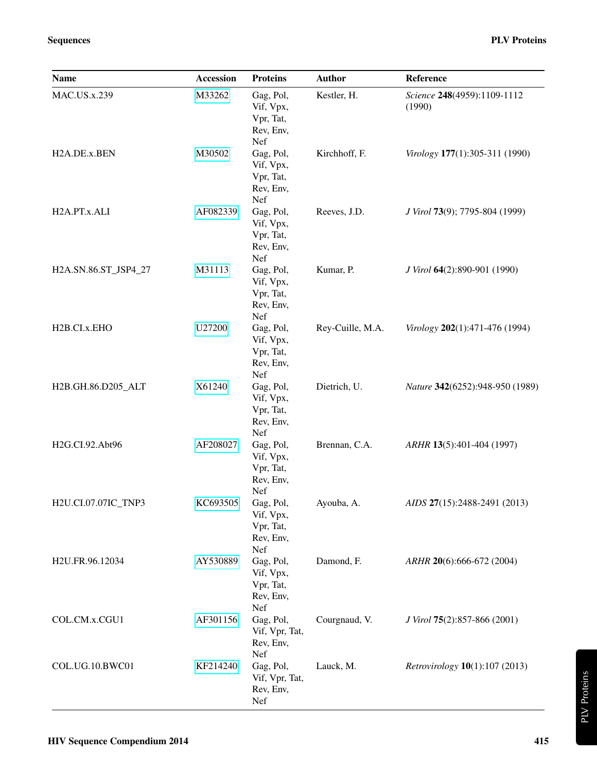| <b>Name</b>               | <b>Accession</b> | <b>Proteins</b>                                         | <b>Author</b>    | Reference                                     |
|---------------------------|------------------|---------------------------------------------------------|------------------|-----------------------------------------------|
| <b>MAC.US.x.239</b>       | M33262           | Gag, Pol,<br>Vif, Vpx,<br>Vpr, Tat,<br>Rev, Env,<br>Nef | Kestler, H.      | Science 248(4959):1109-1112<br>(1990)         |
| H <sub>2</sub> A.DE.x.BEN | M30502           | Gag, Pol,<br>Vif, Vpx,<br>Vpr, Tat,<br>Rev, Env,<br>Nef | Kirchhoff, F.    | Virology 177(1):305-311 (1990)                |
| H2A.PT.x.ALI              | AF082339         | Gag, Pol,<br>Vif, Vpx,<br>Vpr, Tat,<br>Rev, Env,<br>Nef | Reeves, J.D.     | J Virol 73(9); 7795-804 (1999)                |
| H2A.SN.86.ST_JSP4_27      | M31113           | Gag, Pol,<br>Vif, Vpx,<br>Vpr, Tat,<br>Rev, Env,<br>Nef | Kumar, P.        | J Virol 64(2):890-901 (1990)                  |
| H <sub>2</sub> B.CI.x.EHO | U27200           | Gag, Pol,<br>Vif, Vpx,<br>Vpr, Tat,<br>Rev, Env,<br>Nef | Rey-Cuille, M.A. | Virology 202(1):471-476 (1994)                |
| H2B.GH.86.D205_ALT        | X61240           | Gag, Pol,<br>Vif, Vpx,<br>Vpr, Tat,<br>Rev, Env,<br>Nef | Dietrich, U.     | Nature 342(6252):948-950 (1989)               |
| H2G.CI.92.Abt96           | AF208027         | Gag, Pol,<br>Vif, Vpx,<br>Vpr, Tat,<br>Rev, Env,<br>Nef | Brennan, C.A.    | ARHR 13(5):401-404 (1997)                     |
| H2U.CI.07.07IC TNP3       | KC693505         | Gag, Pol,<br>Vif, Vpx,<br>Vpr, Tat,<br>Rev, Env,<br>Nef | Ayouba, A.       | AIDS 27(15):2488-2491 (2013)                  |
| H2U.FR.96.12034           | AY530889         | Gag, Pol,<br>Vif, Vpx,<br>Vpr, Tat,<br>Rev, Env,<br>Nef | Damond, F.       | ARHR 20(6):666-672 (2004)                     |
| COL.CM.x.CGU1             | AF301156         | Gag, Pol,<br>Vif, Vpr, Tat,<br>Rev, Env,<br>Nef         | Courgnaud, V.    | J Virol 75(2):857-866 (2001)                  |
| COL.UG.10.BWC01           | KF214240         | Gag, Pol,<br>Vif, Vpr, Tat,<br>Rev, Env,<br>Nef         | Lauck, M.        | <i>Retrovirology</i> <b>10</b> (1):107 (2013) |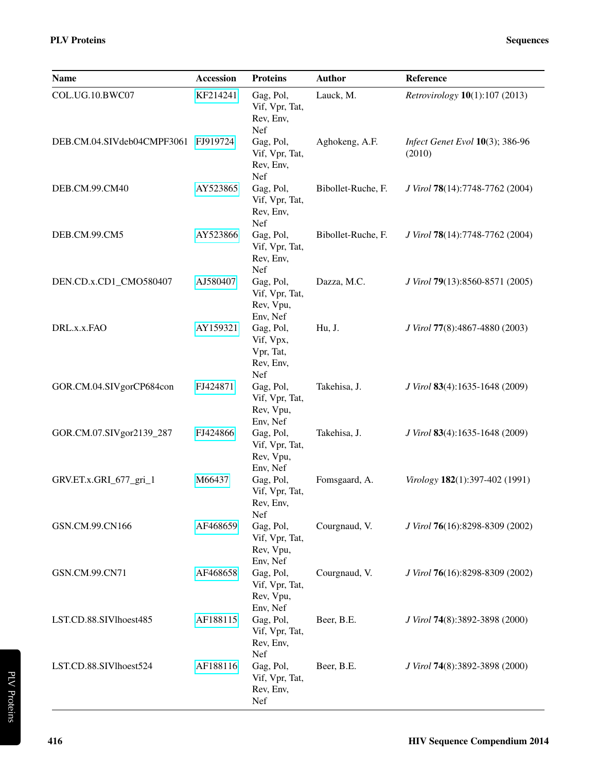| Name                                | Accession | <b>Proteins</b>                                         | <b>Author</b>      | Reference                                     |
|-------------------------------------|-----------|---------------------------------------------------------|--------------------|-----------------------------------------------|
| COL.UG.10.BWC07                     | KF214241  | Gag, Pol,<br>Vif, Vpr, Tat,<br>Rev, Env,<br>Nef         | Lauck, M.          | <i>Retrovirology</i> <b>10</b> (1):107 (2013) |
| DEB.CM.04.SIVdeb04CMPF3061 FJ919724 |           | Gag, Pol,<br>Vif, Vpr, Tat,<br>Rev, Env,<br>Nef         | Aghokeng, A.F.     | Infect Genet Evol 10(3); 386-96<br>(2010)     |
| DEB.CM.99.CM40                      | AY523865  | Gag, Pol,<br>Vif, Vpr, Tat,<br>Rev, Env,<br>Nef         | Bibollet-Ruche, F. | J Virol 78(14):7748-7762 (2004)               |
| DEB.CM.99.CM5                       | AY523866  | Gag, Pol,<br>Vif, Vpr, Tat,<br>Rev, Env,<br>Nef         | Bibollet-Ruche, F. | J Virol 78(14):7748-7762 (2004)               |
| DEN.CD.x.CD1_CMO580407              | AJ580407  | Gag, Pol,<br>Vif, Vpr, Tat,<br>Rev, Vpu,<br>Env, Nef    | Dazza, M.C.        | J Virol 79(13):8560-8571 (2005)               |
| DRL.x.x.FAO                         | AY159321  | Gag, Pol,<br>Vif, Vpx,<br>Vpr, Tat,<br>Rev, Env,<br>Nef | Hu, J.             | J Virol 77(8):4867-4880 (2003)                |
| GOR.CM.04.SIVgorCP684con            | FJ424871  | Gag, Pol,<br>Vif, Vpr, Tat,<br>Rev, Vpu,<br>Env, Nef    | Takehisa, J.       | J Virol 83(4):1635-1648 (2009)                |
| GOR.CM.07.SIVgor2139_287            | FJ424866  | Gag, Pol,<br>Vif, Vpr, Tat,<br>Rev, Vpu,<br>Env, Nef    | Takehisa, J.       | J Virol 83(4):1635-1648 (2009)                |
| GRV.ET.x.GRI_677_gri_1              | M66437    | Gag, Pol,<br>Vif, Vpr, Tat,<br>Rev, Env,<br>Nef         | Fomsgaard, A.      | Virology 182(1):397-402 (1991)                |
| GSN.CM.99.CN166                     | AF468659  | Gag, Pol,<br>Vif, Vpr, Tat,<br>Rev, Vpu,<br>Env, Nef    | Courgnaud, V.      | J Virol 76(16):8298-8309 (2002)               |
| GSN.CM.99.CN71                      | AF468658  | Gag, Pol,<br>Vif, Vpr, Tat,<br>Rev, Vpu,<br>Env, Nef    | Courgnaud, V.      | J Virol 76(16):8298-8309 (2002)               |
| LST.CD.88.SIVlhoest485              | AF188115  | Gag, Pol,<br>Vif, Vpr, Tat,<br>Rev, Env,<br>Nef         | Beer, B.E.         | J Virol 74(8):3892-3898 (2000)                |
| LST.CD.88.SIVlhoest524              | AF188116  | Gag, Pol,<br>Vif, Vpr, Tat,<br>Rev, Env,<br>Nef         | Beer, B.E.         | J Virol 74(8):3892-3898 (2000)                |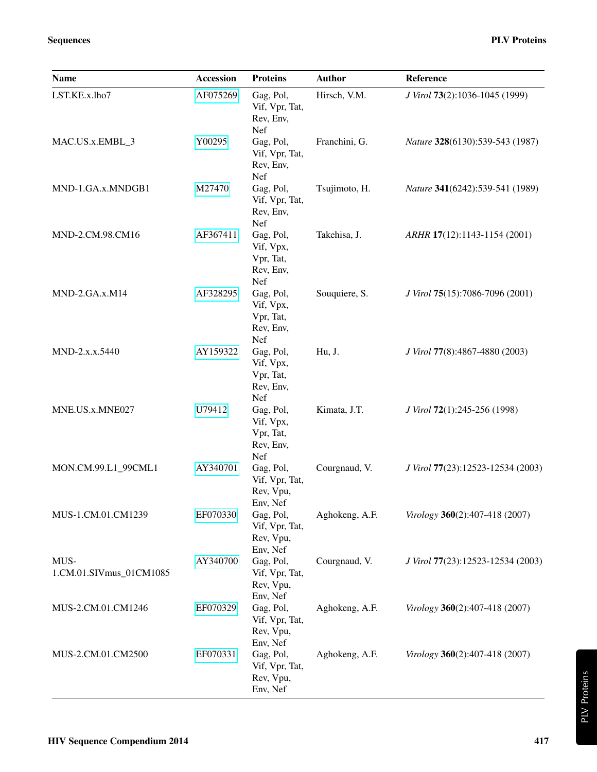| <b>Name</b>                     | Accession | <b>Proteins</b>                                         | <b>Author</b>  | Reference                         |
|---------------------------------|-----------|---------------------------------------------------------|----------------|-----------------------------------|
| LST.KE.x.lho7                   | AF075269  | Gag, Pol,<br>Vif, Vpr, Tat,<br>Rev, Env,<br>Nef         | Hirsch, V.M.   | J Virol 73(2):1036-1045 (1999)    |
| MAC.US.x.EMBL_3                 | Y00295    | Gag, Pol,<br>Vif, Vpr, Tat,<br>Rev, Env,<br>Nef         | Franchini, G.  | Nature 328(6130):539-543 (1987)   |
| MND-1.GA.x.MNDGB1               | M27470    | Gag, Pol,<br>Vif, Vpr, Tat,<br>Rev, Env,<br>Nef         | Tsujimoto, H.  | Nature 341(6242):539-541 (1989)   |
| MND-2.CM.98.CM16                | AF367411  | Gag, Pol,<br>Vif, Vpx,<br>Vpr, Tat,<br>Rev, Env,<br>Nef | Takehisa, J.   | ARHR 17(12):1143-1154 (2001)      |
| MND-2.GA.x.M14                  | AF328295  | Gag, Pol,<br>Vif, Vpx,<br>Vpr, Tat,<br>Rev, Env,<br>Nef | Souquiere, S.  | J Virol 75(15):7086-7096 (2001)   |
| MND-2.x.x.5440                  | AY159322  | Gag, Pol,<br>Vif, Vpx,<br>Vpr, Tat,<br>Rev, Env,<br>Nef | Hu, J.         | J Virol 77(8):4867-4880 (2003)    |
| MNE.US.x.MNE027                 | U79412    | Gag, Pol,<br>Vif, Vpx,<br>Vpr, Tat,<br>Rev, Env,<br>Nef | Kimata, J.T.   | J Virol 72(1):245-256 (1998)      |
| MON.CM.99.L1_99CML1             | AY340701  | Gag, Pol,<br>Vif, Vpr, Tat,<br>Rev, Vpu,<br>Env, Nef    | Courgnaud, V.  | J Virol 77(23):12523-12534 (2003) |
| MUS-1.CM.01.CM1239              | EF070330  | Gag, Pol,<br>Vif, Vpr, Tat,<br>Rev, Vpu,<br>Env, Nef    | Aghokeng, A.F. | Virology 360(2):407-418 (2007)    |
| MUS-<br>1.CM.01.SIVmus_01CM1085 | AY340700  | Gag, Pol,<br>Vif, Vpr, Tat,<br>Rev, Vpu,<br>Env, Nef    | Courgnaud, V.  | J Virol 77(23):12523-12534 (2003) |
| MUS-2.CM.01.CM1246              | EF070329  | Gag, Pol,<br>Vif, Vpr, Tat,<br>Rev, Vpu,<br>Env, Nef    | Aghokeng, A.F. | Virology 360(2):407-418 (2007)    |
| MUS-2.CM.01.CM2500              | EF070331  | Gag, Pol,<br>Vif, Vpr, Tat,<br>Rev, Vpu,<br>Env, Nef    | Aghokeng, A.F. | Virology 360(2):407-418 (2007)    |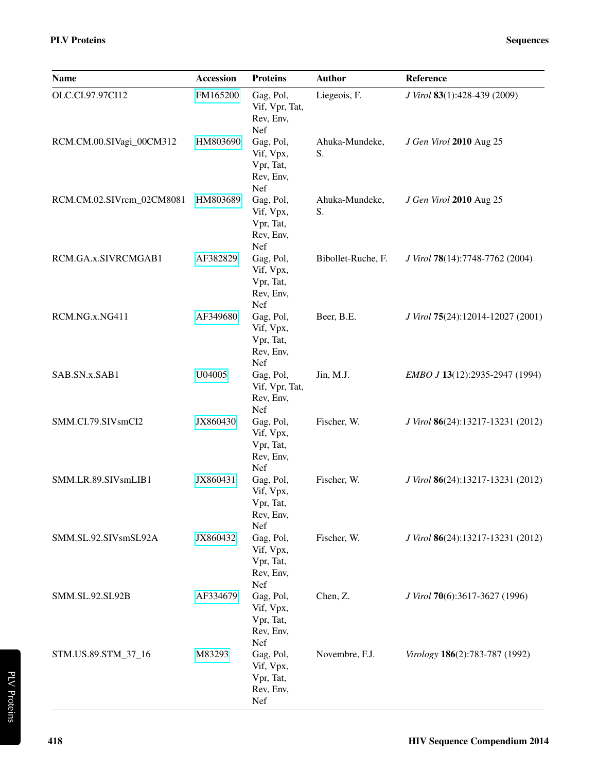| <b>Name</b>               | Accession | <b>Proteins</b>                                         | <b>Author</b>        | Reference                         |
|---------------------------|-----------|---------------------------------------------------------|----------------------|-----------------------------------|
| OLC.CI.97.97CI12          | FM165200  | Gag, Pol,<br>Vif, Vpr, Tat,<br>Rev, Env,<br>Nef         | Liegeois, F.         | J Virol 83(1):428-439 (2009)      |
| RCM.CM.00.SIVagi_00CM312  | HM803690  | Gag, Pol,<br>Vif, Vpx,<br>Vpr, Tat,<br>Rev, Env,<br>Nef | Ahuka-Mundeke,<br>S. | J Gen Virol 2010 Aug 25           |
| RCM.CM.02.SIVrcm_02CM8081 | HM803689  | Gag, Pol,<br>Vif, Vpx,<br>Vpr, Tat,<br>Rev, Env,<br>Nef | Ahuka-Mundeke,<br>S. | J Gen Virol 2010 Aug 25           |
| RCM.GA.x.SIVRCMGAB1       | AF382829  | Gag, Pol,<br>Vif, Vpx,<br>Vpr, Tat,<br>Rev, Env,<br>Nef | Bibollet-Ruche, F.   | J Virol 78(14):7748-7762 (2004)   |
| RCM.NG.x.NG411            | AF349680  | Gag, Pol,<br>Vif, Vpx,<br>Vpr, Tat,<br>Rev, Env,<br>Nef | Beer, B.E.           | J Virol 75(24):12014-12027 (2001) |
| SAB.SN.x.SAB1             | U04005    | Gag, Pol,<br>Vif, Vpr, Tat,<br>Rev, Env,<br>Nef         | Jin, M.J.            | EMBO J 13(12):2935-2947 (1994)    |
| SMM.CI.79.SIVsmCI2        | JX860430  | Gag, Pol,<br>Vif, Vpx,<br>Vpr, Tat,<br>Rev, Env,<br>Nef | Fischer, W.          | J Virol 86(24):13217-13231 (2012) |
| SMM.LR.89.SIVsmLIB1       | JX860431  | Gag, Pol,<br>Vif, Vpx,<br>Vpr, Tat,<br>Rev, Env,<br>Nef | Fischer, W.          | J Virol 86(24):13217-13231 (2012) |
| SMM.SL.92.SIVsmSL92A      | JX860432  | Gag, Pol,<br>Vif, Vpx,<br>Vpr, Tat,<br>Rev, Env,<br>Nef | Fischer, W.          | J Virol 86(24):13217-13231 (2012) |
| SMM.SL.92.SL92B           | AF334679  | Gag, Pol,<br>Vif, Vpx,<br>Vpr, Tat,<br>Rev, Env,<br>Nef | Chen, Z.             | J Virol 70(6):3617-3627 (1996)    |
| STM.US.89.STM_37_16       | M83293    | Gag, Pol,<br>Vif, Vpx,<br>Vpr, Tat,<br>Rev, Env,<br>Nef | Novembre, F.J.       | Virology 186(2):783-787 (1992)    |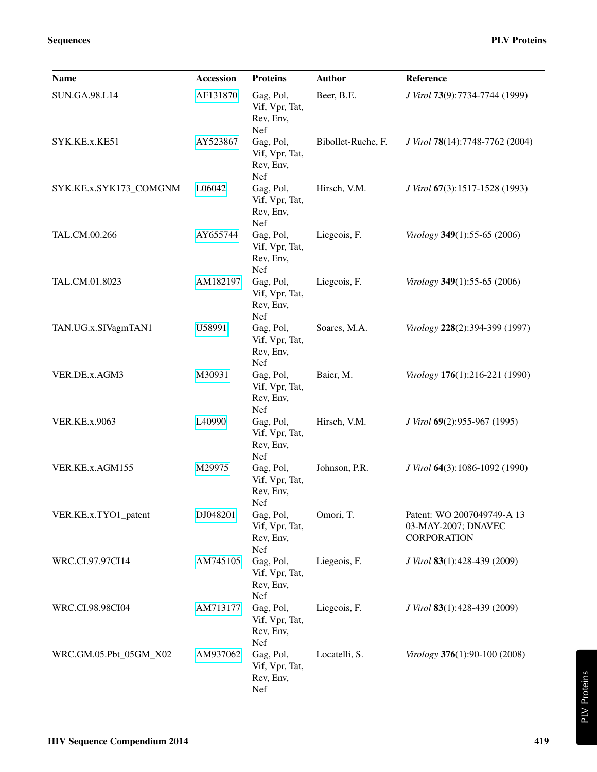| <b>Name</b>            | <b>Accession</b> | <b>Proteins</b>                                 | <b>Author</b>      | Reference                                                               |
|------------------------|------------------|-------------------------------------------------|--------------------|-------------------------------------------------------------------------|
| <b>SUN.GA.98.L14</b>   | AF131870         | Gag, Pol,<br>Vif, Vpr, Tat,<br>Rev, Env,<br>Nef | Beer, B.E.         | J Virol 73(9):7734-7744 (1999)                                          |
| SYK.KE.x.KE51          | AY523867         | Gag, Pol,<br>Vif, Vpr, Tat,<br>Rev, Env,<br>Nef | Bibollet-Ruche, F. | <i>J Virol</i> <b>78</b> (14):7748-7762 (2004)                          |
| SYK.KE.x.SYK173_COMGNM | L06042           | Gag, Pol,<br>Vif, Vpr, Tat,<br>Rev, Env,<br>Nef | Hirsch, V.M.       | J Virol 67(3):1517-1528 (1993)                                          |
| TAL.CM.00.266          | AY655744         | Gag, Pol,<br>Vif, Vpr, Tat,<br>Rev, Env,<br>Nef | Liegeois, F.       | Virology 349(1):55-65 (2006)                                            |
| TAL.CM.01.8023         | AM182197         | Gag, Pol,<br>Vif, Vpr, Tat,<br>Rev, Env,<br>Nef | Liegeois, F.       | Virology 349(1):55-65 (2006)                                            |
| TAN.UG.x.SIVagmTAN1    | U58991           | Gag, Pol,<br>Vif, Vpr, Tat,<br>Rev, Env,<br>Nef | Soares, M.A.       | Virology 228(2):394-399 (1997)                                          |
| VER.DE.x.AGM3          | M30931           | Gag, Pol,<br>Vif, Vpr, Tat,<br>Rev, Env,<br>Nef | Baier, M.          | Virology 176(1):216-221 (1990)                                          |
| <b>VER.KE.x.9063</b>   | L40990           | Gag, Pol,<br>Vif, Vpr, Tat,<br>Rev, Env,<br>Nef | Hirsch, V.M.       | <i>J Virol</i> <b>69</b> (2):955-967 (1995)                             |
| VER.KE.x.AGM155        | M29975           | Gag, Pol,<br>Vif, Vpr, Tat,<br>Rev, Env,<br>Nef | Johnson, P.R.      | J Virol 64(3):1086-1092 (1990)                                          |
| VER.KE.x.TYO1_patent   | DJ048201         | Gag, Pol,<br>Vif, Vpr, Tat,<br>Rev, Env,<br>Nef | Omori, T.          | Patent: WO 2007049749-A 13<br>03-MAY-2007; DNAVEC<br><b>CORPORATION</b> |
| WRC.CI.97.97CI14       | AM745105         | Gag, Pol,<br>Vif, Vpr, Tat,<br>Rev, Env,<br>Nef | Liegeois, F.       | J Virol 83(1):428-439 (2009)                                            |
| WRC.CI.98.98CI04       | AM713177         | Gag, Pol,<br>Vif, Vpr, Tat,<br>Rev, Env,<br>Nef | Liegeois, F.       | J Virol 83(1):428-439 (2009)                                            |
| WRC.GM.05.Pbt_05GM_X02 | AM937062         | Gag, Pol,<br>Vif, Vpr, Tat,<br>Rev, Env,<br>Nef | Locatelli, S.      | Virology 376(1):90-100 (2008)                                           |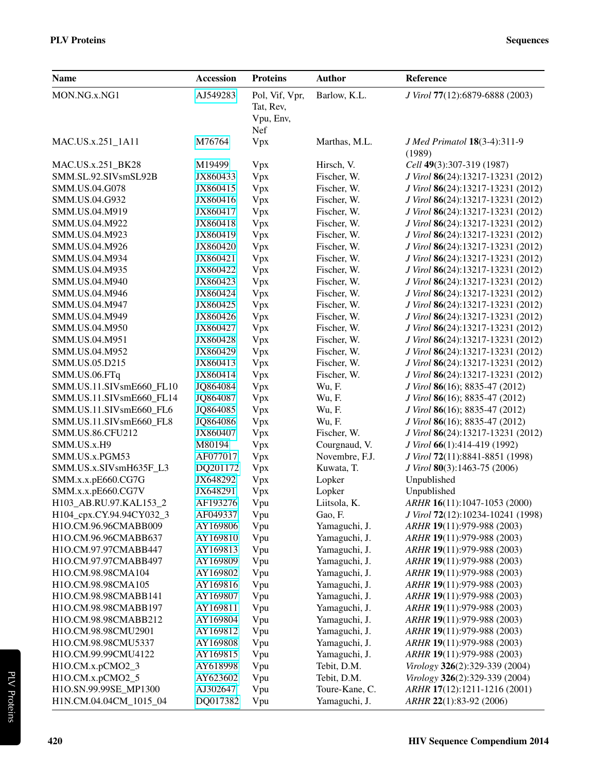| <b>Name</b>              | <b>Accession</b> | <b>Proteins</b>                                 | <b>Author</b>  | Reference                              |
|--------------------------|------------------|-------------------------------------------------|----------------|----------------------------------------|
| MON.NG.x.NG1             | AJ549283         | Pol, Vif, Vpr,<br>Tat, Rev,<br>Vpu, Env,<br>Nef | Barlow, K.L.   | J Virol 77(12):6879-6888 (2003)        |
| MAC.US.x.251_1A11        | M76764           | Vpx                                             | Marthas, M.L.  | J Med Primatol 18(3-4):311-9<br>(1989) |
| MAC.US.x.251_BK28        | M19499           | Vpx                                             | Hirsch, V.     | Cell 49(3):307-319 (1987)              |
| SMM.SL.92.SIVsmSL92B     | JX860433         | Vpx                                             | Fischer, W.    | J Virol 86(24):13217-13231 (2012)      |
| SMM.US.04.G078           | JX860415         | Vpx                                             | Fischer, W.    | J Virol 86(24):13217-13231 (2012)      |
| SMM.US.04.G932           | JX860416         | Vpx                                             | Fischer, W.    | J Virol 86(24):13217-13231 (2012)      |
| SMM.US.04.M919           | JX860417         | Vpx                                             | Fischer, W.    | J Virol 86(24):13217-13231 (2012)      |
| SMM.US.04.M922           | JX860418         | Vpx                                             | Fischer, W.    | J Virol 86(24):13217-13231 (2012)      |
| SMM.US.04.M923           | JX860419         | Vpx                                             | Fischer, W.    | J Virol 86(24):13217-13231 (2012)      |
| SMM.US.04.M926           | JX860420         | Vpx                                             | Fischer, W.    | J Virol 86(24):13217-13231 (2012)      |
| SMM.US.04.M934           | JX860421         | Vpx                                             | Fischer, W.    | J Virol 86(24):13217-13231 (2012)      |
| SMM.US.04.M935           | JX860422         | Vpx                                             | Fischer, W.    | J Virol 86(24):13217-13231 (2012)      |
| SMM.US.04.M940           | JX860423         | Vpx                                             | Fischer, W.    | J Virol 86(24):13217-13231 (2012)      |
| SMM.US.04.M946           | JX860424         | Vpx                                             | Fischer, W.    | J Virol 86(24):13217-13231 (2012)      |
| SMM.US.04.M947           | JX860425         | Vpx                                             | Fischer, W.    | J Virol 86(24):13217-13231 (2012)      |
| SMM.US.04.M949           | JX860426         | Vpx                                             | Fischer, W.    | J Virol 86(24):13217-13231 (2012)      |
| SMM.US.04.M950           | JX860427         | Vpx                                             | Fischer, W.    | J Virol 86(24):13217-13231 (2012)      |
| SMM.US.04.M951           | JX860428         | Vpx                                             | Fischer, W.    | J Virol 86(24):13217-13231 (2012)      |
| SMM.US.04.M952           | JX860429         | Vpx                                             | Fischer, W.    | J Virol 86(24):13217-13231 (2012)      |
| SMM.US.05.D215           | JX860413         | Vpx                                             | Fischer, W.    | J Virol 86(24):13217-13231 (2012)      |
| SMM.US.06.FTq            | JX860414         | Vpx                                             | Fischer, W.    | J Virol 86(24):13217-13231 (2012)      |
| SMM.US.11.SIVsmE660_FL10 | JQ864084         | Vpx                                             | Wu, F.         | J Virol 86(16); 8835-47 (2012)         |
| SMM.US.11.SIVsmE660_FL14 | JQ864087         | Vpx                                             | Wu, F.         | J Virol 86(16); 8835-47 (2012)         |
| SMM.US.11.SIVsmE660_FL6  | JQ864085         | Vpx                                             | Wu, F.         | J Virol 86(16); 8835-47 (2012)         |
| SMM.US.11.SIVsmE660_FL8  | JQ864086         | Vpx                                             | Wu, F.         | J Virol 86(16); 8835-47 (2012)         |
| SMM.US.86.CFU212         | JX860407         | Vpx                                             | Fischer, W.    | J Virol 86(24):13217-13231 (2012)      |
| SMM.US.x.H9              | M80194           | Vpx                                             | Courgnaud, V.  | J Virol 66(1):414-419 (1992)           |
| SMM.US.x.PGM53           | AF077017         | Vpx                                             | Novembre, F.J. | J Virol 72(11):8841-8851 (1998)        |
| SMM.US.x.SIVsmH635F_L3   | DQ201172         | Vpx                                             | Kuwata, T.     | J Virol 80(3):1463-75 (2006)           |
| SMM.x.x.pE660.CG7G       | JX648292         | Vpx                                             | Lopker         | Unpublished                            |
| SMM.x.x.pE660.CG7V       | JX648291         | Vpx                                             | Lopker         | Unpublished                            |
| H103_AB.RU.97.KAL153 2   | AF193276         | Vpu                                             | Liitsola, K.   | ARHR 16(11):1047-1053 (2000)           |
| H104_cpx.CY.94.94CY032_3 | AF049337         | Vpu                                             | Gao, F.        | J Virol 72(12):10234-10241 (1998)      |
| H1O.CM.96.96CMABB009     | AY169806         | Vpu                                             | Yamaguchi, J.  | ARHR 19(11):979-988 (2003)             |
| H1O.CM.96.96CMABB637     | AY169810         | Vpu                                             | Yamaguchi, J.  | ARHR 19(11):979-988 (2003)             |
| H1O.CM.97.97CMABB447     | AY169813         | Vpu                                             | Yamaguchi, J.  | ARHR 19(11):979-988 (2003)             |
| H1O.CM.97.97CMABB497     | AY169809         | Vpu                                             | Yamaguchi, J.  | ARHR 19(11):979-988 (2003)             |
| H1O.CM.98.98CMA104       | AY169802         | Vpu                                             | Yamaguchi, J.  | ARHR 19(11):979-988 (2003)             |
| H1O.CM.98.98CMA105       | AY169816         | Vpu                                             | Yamaguchi, J.  | ARHR 19(11):979-988 (2003)             |
| H1O.CM.98.98CMABB141     | AY169807         | Vpu                                             | Yamaguchi, J.  | ARHR 19(11):979-988 (2003)             |
| H1O.CM.98.98CMABB197     | AY169811         | Vpu                                             | Yamaguchi, J.  | ARHR 19(11):979-988 (2003)             |
| H1O.CM.98.98CMABB212     | AY169804         | Vpu                                             | Yamaguchi, J.  | ARHR 19(11):979-988 (2003)             |
| H1O.CM.98.98CMU2901      | AY169812         | Vpu                                             | Yamaguchi, J.  | ARHR 19(11):979-988 (2003)             |
| H1O.CM.98.98CMU5337      | AY169808         | Vpu                                             | Yamaguchi, J.  | ARHR 19(11):979-988 (2003)             |
| H1O.CM.99.99CMU4122      | AY169815         | Vpu                                             | Yamaguchi, J.  | ARHR 19(11):979-988 (2003)             |
| H1O.CM.x.pCMO2_3         | AY618998         | Vpu                                             | Tebit, D.M.    | Virology 326(2):329-339 (2004)         |
| H1O.CM.x.pCMO2_5         | AY623602         | Vpu                                             | Tebit, D.M.    | Virology 326(2):329-339 (2004)         |
| H1O.SN.99.99SE_MP1300    | AJ302647         | Vpu                                             | Toure-Kane, C. | ARHR 17(12):1211-1216 (2001)           |
| H1N.CM.04.04CM_1015_04   | DQ017382         | Vpu                                             | Yamaguchi, J.  | ARHR 22(1):83-92 (2006)                |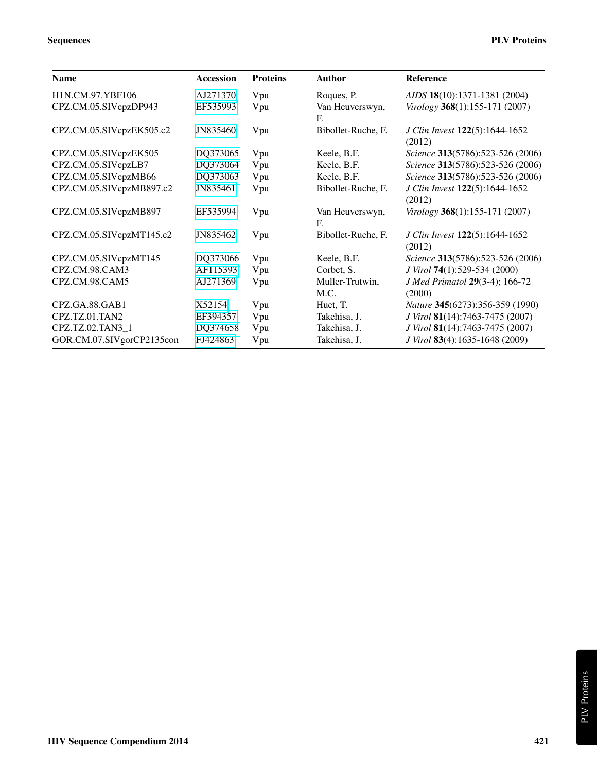| <b>Name</b>                               | <b>Accession</b> | <b>Proteins</b> | <b>Author</b>           | <b>Reference</b>                         |
|-------------------------------------------|------------------|-----------------|-------------------------|------------------------------------------|
| H <sub>1</sub> N.CM.97.YBF <sub>106</sub> | AJ271370         | Vpu             | Roques, P.              | AIDS 18(10):1371-1381 (2004)             |
| CPZ.CM.05.SIVcpzDP943                     | EF535993         | Vpu             | Van Heuverswyn,<br>F.   | Virology 368(1):155-171 (2007)           |
| CPZ.CM.05.SIVcpzEK505.c2                  | JN835460         | Vpu             | Bibollet-Ruche, F.      | J Clin Invest 122(5):1644-1652<br>(2012) |
| CPZ.CM.05.SIVcpzEK505                     | DQ373065         | Vpu             | Keele, B.F.             | Science 313(5786):523-526 (2006)         |
| CPZ.CM.05.SIVcpzLB7                       | DQ373064         | Vpu             | Keele, B.F.             | Science 313(5786):523-526 (2006)         |
| CPZ.CM.05.SIVcpzMB66                      | DQ373063         | Vpu             | Keele, B.F.             | Science 313(5786):523-526 (2006)         |
| CPZ.CM.05.SIVcpzMB897.c2                  | JN835461         | Vpu             | Bibollet-Ruche, F.      | J Clin Invest 122(5):1644-1652<br>(2012) |
| CPZ.CM.05.SIVcpzMB897                     | EF535994         | Vpu             | Van Heuverswyn,<br>F.   | Virology 368(1):155-171 (2007)           |
| CPZ.CM.05.SIVcpzMT145.c2                  | JN835462         | Vpu             | Bibollet-Ruche, F.      | J Clin Invest 122(5):1644-1652<br>(2012) |
| CPZ.CM.05.SIVcpzMT145                     | DQ373066         | Vpu             | Keele, B.F.             | Science 313(5786):523-526 (2006)         |
| CPZ.CM.98.CAM3                            | AF115393         | Vpu             | Corbet, S.              | J Virol 74(1):529-534 (2000)             |
| CPZ.CM.98.CAM5                            | AJ271369         | Vpu             | Muller-Trutwin,<br>M.C. | J Med Primatol 29(3-4); 166-72<br>(2000) |
| CPZ.GA.88.GAB1                            | X52154           | Vpu             | Huet, T.                | Nature 345(6273):356-359 (1990)          |
| CPZ.TZ.01.TAN2                            | EF394357         | Vpu             | Takehisa, J.            | J Virol 81(14):7463-7475 (2007)          |
| CPZ.TZ.02.TAN3 1                          | DQ374658         | Vpu             | Takehisa, J.            | J Virol 81(14):7463-7475 (2007)          |
| GOR.CM.07.SIVgorCP2135con                 | FJ424863         | Vpu             | Takehisa, J.            | J Virol 83(4):1635-1648 (2009)           |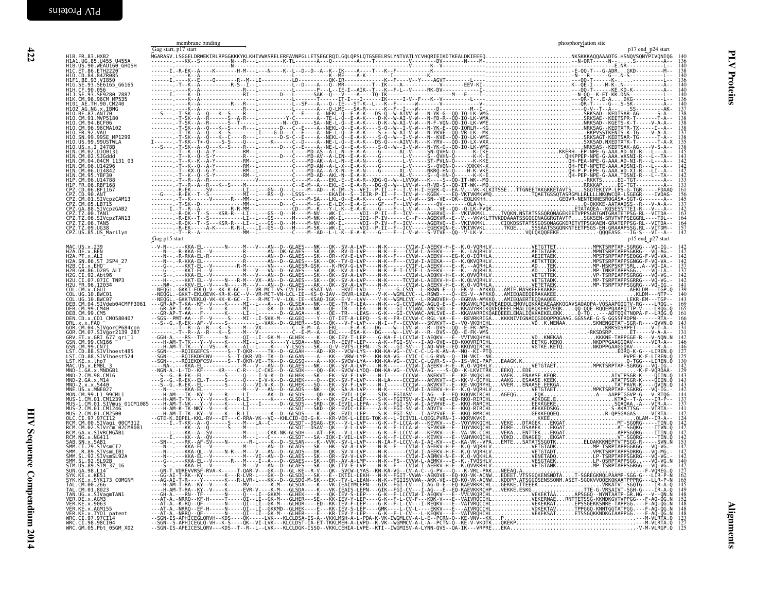<span id="page-11-1"></span><span id="page-11-0"></span>

|                                                                                                                         | membrane binding<br>Gag start, p17 start | phosphorylation site<br>p17 end p24 start |
|-------------------------------------------------------------------------------------------------------------------------|------------------------------------------|-------------------------------------------|
| H1B. FR. 83. HXB2<br>H1A1.UG. 85.U455_U455A<br>H1B. US. 90.WEAU160_GH0SH                                                |                                          |                                           |
| HIC.ET.86.ETH2220<br>H1D.CD.84.84ZR085                                                                                  |                                          |                                           |
| HIF1.BE.93.VI850<br>H1G.SE.93.SE6165_G6165<br>H1H.CF.90.056________                                                     |                                          |                                           |
| HIJ.SE.93.SE9280 7887                                                                                                   |                                          | 140                                       |
| HIK.CM.96.96CM MP535<br>H101_AE.TH.90.CM240<br>HIÕŽ AG.NG.x.IBNG<br>HIÕ.BE.87.ANT70                                     |                                          |                                           |
| H10.CM.91.MVP5180<br>H10.CM.94.BCF06                                                                                    |                                          |                                           |
| H10.CM.96.96CMA102<br>H10.CM.96.96CMA102<br>H10.FR.92.VAU<br>H10.US.99.99USTWLA                                         |                                          |                                           |
|                                                                                                                         |                                          |                                           |
| H10.US.x.I 2478B<br>H1N.CM.02.DJ00131<br>HIN.CM.02.SJGddd<br>HIN.CM.04.04CM 1131 03                                     |                                          |                                           |
| HIN.CM.06.U14296<br>H1N.CM.06.U14842                                                                                    |                                          |                                           |
| HIN.CM.95.YBF30<br>H1P.CM.06.U14788<br>H1P.FR.06.RBF168                                                                 |                                          |                                           |
| n1F: F.R.:00.RBF1167<br>CPZ.CD.06.BF1167<br>CPZ.CD.90.ANT<br>CPZ.CM.05.LB715<br>CPZ.CM.05.LB715<br>CPZ.G4.88.SIVCPZGAB2 |                                          |                                           |
|                                                                                                                         |                                          |                                           |
| CPZ.TZ.00.TAN1<br>CPZ.TZ.00.SIVcpzTAN13                                                                                 |                                          |                                           |
| CPZ.TZ.06.TAN5<br>CPZ.TZ.06.TAN5<br>CPZ.TZ.09.UG38<br>CPZ.US.85.US_Marilyn                                              |                                          | $\frac{157}{142}$                         |
|                                                                                                                         |                                          | p15 end_p27 start                         |
|                                                                                                                         |                                          |                                           |
|                                                                                                                         |                                          |                                           |
|                                                                                                                         |                                          |                                           |
|                                                                                                                         |                                          |                                           |
|                                                                                                                         |                                          |                                           |
|                                                                                                                         |                                          |                                           |
|                                                                                                                         |                                          |                                           |
|                                                                                                                         |                                          |                                           |
|                                                                                                                         |                                          |                                           |
|                                                                                                                         |                                          |                                           |
|                                                                                                                         |                                          |                                           |
|                                                                                                                         |                                          |                                           |
|                                                                                                                         |                                          |                                           |
|                                                                                                                         |                                          |                                           |
|                                                                                                                         |                                          | $142$<br>$142$<br>$142$<br>$153$<br>$142$ |
|                                                                                                                         |                                          |                                           |
|                                                                                                                         |                                          | $\frac{142}{142}$                         |
|                                                                                                                         |                                          |                                           |
|                                                                                                                         |                                          |                                           |
|                                                                                                                         |                                          |                                           |
|                                                                                                                         |                                          |                                           |
|                                                                                                                         |                                          |                                           |
|                                                                                                                         |                                          |                                           |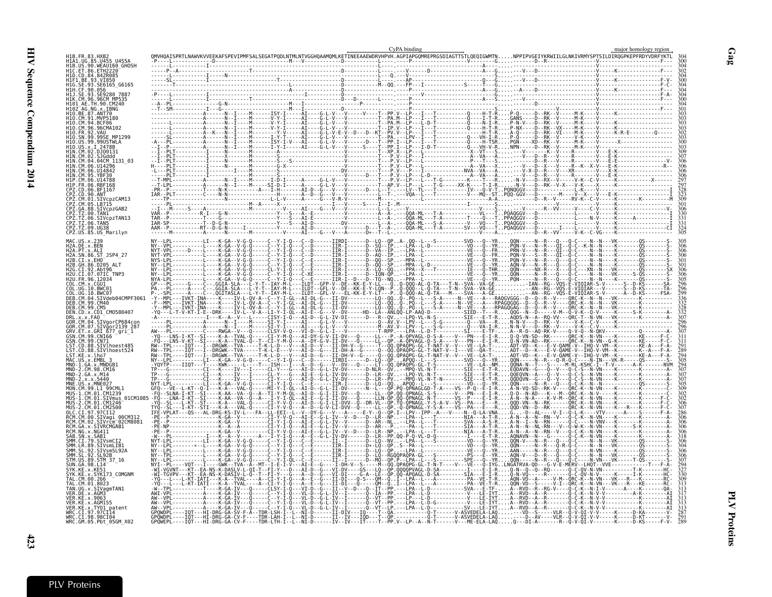|                            |                                                                                                                                                           |                                       |                                                                                                                      | CyPA binding                                                                                                       |                                                                                                                                                                                                                                                                                                                                                                                           | major homolog |
|----------------------------|-----------------------------------------------------------------------------------------------------------------------------------------------------------|---------------------------------------|----------------------------------------------------------------------------------------------------------------------|--------------------------------------------------------------------------------------------------------------------|-------------------------------------------------------------------------------------------------------------------------------------------------------------------------------------------------------------------------------------------------------------------------------------------------------------------------------------------------------------------------------------------|---------------|
|                            |                                                                                                                                                           |                                       |                                                                                                                      | QMVHQAISPRTLNAWVKVVEEKAFSPEVIPMFSALSEGATPQDLNTMLNTVGGHQAAMQMLKETINEEAAEWDRVHPVH.AGPIAPGQMREPRGSDIAGTTSTLQEQIGWMTN. | .NPPIPVGEIYKRWIILGLNKIVRMYSPTSILDIRQGPKEPFRDYVDF                                                                                                                                                                                                                                                                                                                                          |               |
|                            |                                                                                                                                                           |                                       |                                                                                                                      |                                                                                                                    |                                                                                                                                                                                                                                                                                                                                                                                           |               |
| CD 84 847R085              |                                                                                                                                                           |                                       |                                                                                                                      |                                                                                                                    |                                                                                                                                                                                                                                                                                                                                                                                           |               |
|                            |                                                                                                                                                           |                                       |                                                                                                                      |                                                                                                                    |                                                                                                                                                                                                                                                                                                                                                                                           |               |
|                            |                                                                                                                                                           |                                       |                                                                                                                      |                                                                                                                    |                                                                                                                                                                                                                                                                                                                                                                                           |               |
| TH.90.CM240                |                                                                                                                                                           |                                       |                                                                                                                      |                                                                                                                    |                                                                                                                                                                                                                                                                                                                                                                                           |               |
| $x$ . TBNG                 |                                                                                                                                                           |                                       |                                                                                                                      |                                                                                                                    |                                                                                                                                                                                                                                                                                                                                                                                           |               |
|                            |                                                                                                                                                           |                                       |                                                                                                                      |                                                                                                                    |                                                                                                                                                                                                                                                                                                                                                                                           |               |
|                            |                                                                                                                                                           |                                       |                                                                                                                      |                                                                                                                    |                                                                                                                                                                                                                                                                                                                                                                                           |               |
| <b>99SE MP1299</b>         |                                                                                                                                                           |                                       |                                                                                                                      |                                                                                                                    |                                                                                                                                                                                                                                                                                                                                                                                           |               |
|                            |                                                                                                                                                           |                                       |                                                                                                                      |                                                                                                                    |                                                                                                                                                                                                                                                                                                                                                                                           |               |
|                            |                                                                                                                                                           |                                       |                                                                                                                      |                                                                                                                    |                                                                                                                                                                                                                                                                                                                                                                                           |               |
|                            |                                                                                                                                                           |                                       |                                                                                                                      |                                                                                                                    |                                                                                                                                                                                                                                                                                                                                                                                           |               |
|                            |                                                                                                                                                           |                                       |                                                                                                                      |                                                                                                                    |                                                                                                                                                                                                                                                                                                                                                                                           |               |
|                            |                                                                                                                                                           |                                       |                                                                                                                      |                                                                                                                    |                                                                                                                                                                                                                                                                                                                                                                                           |               |
|                            |                                                                                                                                                           |                                       |                                                                                                                      |                                                                                                                    |                                                                                                                                                                                                                                                                                                                                                                                           |               |
|                            |                                                                                                                                                           |                                       |                                                                                                                      |                                                                                                                    |                                                                                                                                                                                                                                                                                                                                                                                           |               |
|                            |                                                                                                                                                           |                                       |                                                                                                                      |                                                                                                                    |                                                                                                                                                                                                                                                                                                                                                                                           |               |
|                            |                                                                                                                                                           |                                       |                                                                                                                      |                                                                                                                    |                                                                                                                                                                                                                                                                                                                                                                                           |               |
|                            |                                                                                                                                                           |                                       |                                                                                                                      |                                                                                                                    |                                                                                                                                                                                                                                                                                                                                                                                           |               |
| .06.TAN5<br>. 09. UG38     |                                                                                                                                                           |                                       |                                                                                                                      |                                                                                                                    |                                                                                                                                                                                                                                                                                                                                                                                           |               |
| 85.US_Marilyn              |                                                                                                                                                           |                                       |                                                                                                                      |                                                                                                                    | $R_1 - 0.6 - N_1 - \cdots + N_{n-1} - \cdots + N_{n-1} - \cdots + N_{n-1} - \cdots + N_{n-1} - \cdots + N_{n-1} - \cdots + N_{n-1} - \cdots + N_{n-1} - \cdots + N_{n-1} - \cdots + N_{n-1} - \cdots + N_{n-1} - \cdots + N_{n-1} - \cdots + N_{n-1} - \cdots + N_{n-1} - \cdots + N_{n-1} - \cdots + N_{n-1} - \cdots + N_{n-1} - \cdots + N_{n-1} - \cdots + N_{n-1} - \cdots + N_{n-1$ |               |
|                            |                                                                                                                                                           |                                       |                                                                                                                      |                                                                                                                    |                                                                                                                                                                                                                                                                                                                                                                                           |               |
|                            |                                                                                                                                                           |                                       |                                                                                                                      |                                                                                                                    |                                                                                                                                                                                                                                                                                                                                                                                           |               |
| .ST JSP4 27                |                                                                                                                                                           |                                       |                                                                                                                      |                                                                                                                    |                                                                                                                                                                                                                                                                                                                                                                                           |               |
|                            |                                                                                                                                                           |                                       |                                                                                                                      |                                                                                                                    |                                                                                                                                                                                                                                                                                                                                                                                           |               |
|                            |                                                                                                                                                           |                                       |                                                                                                                      |                                                                                                                    |                                                                                                                                                                                                                                                                                                                                                                                           |               |
|                            |                                                                                                                                                           |                                       |                                                                                                                      |                                                                                                                    |                                                                                                                                                                                                                                                                                                                                                                                           |               |
|                            |                                                                                                                                                           |                                       |                                                                                                                      |                                                                                                                    |                                                                                                                                                                                                                                                                                                                                                                                           |               |
| SIVdeb04CMPF3061<br>CM40   | MPL---IVКТ-INА----К----IV-I                                                                                                                               |                                       |                                                                                                                      |                                                                                                                    |                                                                                                                                                                                                                                                                                                                                                                                           |               |
| CM5<br>CD1 CM0580407       |                                                                                                                                                           |                                       |                                                                                                                      |                                                                                                                    |                                                                                                                                                                                                                                                                                                                                                                                           |               |
|                            | -T-V-KT-Î-E--DRK----ÎV-L-<br>-----------I---K--A--V---                                                                                                    |                                       |                                                                                                                      |                                                                                                                    |                                                                                                                                                                                                                                                                                                                                                                                           |               |
| IVğor2139 287              |                                                                                                                                                           |                                       |                                                                                                                      |                                                                                                                    |                                                                                                                                                                                                                                                                                                                                                                                           |               |
| GRI 677 gri <sup>—</sup> 1 | I-KT--SI----K-A--TVAL-0-----CI-Y-I                                                                                                                        |                                       | -İ---V----------T-RPP.<br>-II-DV---Q-----LL---P.-A<br>-II-DV---Q-----LL--QP.-A                                       |                                                                                                                    |                                                                                                                                                                                                                                                                                                                                                                                           |               |
|                            |                                                                                                                                                           |                                       |                                                                                                                      |                                                                                                                    | ·R.                                                                                                                                                                                                                                                                                                                                                                                       |               |
| Vlhoest524                 |                                                                                                                                                           |                                       |                                                                                                                      |                                                                                                                    |                                                                                                                                                                                                                                                                                                                                                                                           |               |
|                            | ----Iğt---I---DRGWK--TVA-----T-K-L-D---V---AI-D--<br>----------LI---K-GA--V-G-Q-----C--Y-I-Q---C--D--<br>---IIQT---T----KWK-----L----T---ISH---I---A--D-- |                                       | -11-DH-7--G<br>-11-DH-7--G-----Ŏ--ŎŎ-ŎPAŎPŌ-<br>-IIRDI------D--LO--OPAPOO-<br>-V--DV---Q-- <u>---LT</u> --QQ-QPAQPŌ- |                                                                                                                    |                                                                                                                                                                                                                                                                                                                                                                                           |               |
|                            |                                                                                                                                                           |                                       | IV-DV------D-NLR--QV--MPQ                                                                                            |                                                                                                                    |                                                                                                                                                                                                                                                                                                                                                                                           |               |
|                            |                                                                                                                                                           |                                       | $IV-DV---D--LR--QV---LPQ$                                                                                            | D--LR--PV--MPQ                                                                                                     |                                                                                                                                                                                                                                                                                                                                                                                           |               |
|                            |                                                                                                                                                           |                                       | [IR-I------D--LQ--QQAPQQ                                                                                             |                                                                                                                    |                                                                                                                                                                                                                                                                                                                                                                                           |               |
|                            |                                                                                                                                                           | QL--AI-D--G-I-II-DV---Q-----LL--QP.QQ |                                                                                                                      | - II - DV - - - - - - N - - L - - - QP . PQ - QPNAGLGD - T - A                                                     |                                                                                                                                                                                                                                                                                                                                                                                           |               |
|                            |                                                                                                                                                           |                                       | $\overline{1}$ -DVV--0--DR-VL--0P.TQ-                                                                                |                                                                                                                    |                                                                                                                                                                                                                                                                                                                                                                                           |               |
| CT 97 97CT12               | --ŠL---Ī-KT--STI---K-A---VAL-Q-----CĪ-Y-V-Q---A--D--G-<br>-VPLAT---QS---AL-DRG-KS-IV-L---FA--LL-EEI--L--V--DY-G-                                          |                                       |                                                                                                                      |                                                                                                                    |                                                                                                                                                                                                                                                                                                                                                                                           |               |
|                            |                                                                                                                                                           |                                       |                                                                                                                      |                                                                                                                    |                                                                                                                                                                                                                                                                                                                                                                                           |               |
| `cm <sup>-</sup> 02CM8081  |                                                                                                                                                           |                                       |                                                                                                                      |                                                                                                                    |                                                                                                                                                                                                                                                                                                                                                                                           |               |
|                            |                                                                                                                                                           |                                       |                                                                                                                      |                                                                                                                    |                                                                                                                                                                                                                                                                                                                                                                                           |               |
| Vsml TR'                   |                                                                                                                                                           |                                       |                                                                                                                      |                                                                                                                    |                                                                                                                                                                                                                                                                                                                                                                                           |               |
| smSL92A<br>97R.            |                                                                                                                                                           |                                       |                                                                                                                      |                                                                                                                    |                                                                                                                                                                                                                                                                                                                                                                                           |               |
|                            |                                                                                                                                                           |                                       |                                                                                                                      |                                                                                                                    |                                                                                                                                                                                                                                                                                                                                                                                           |               |
|                            |                                                                                                                                                           |                                       |                                                                                                                      |                                                                                                                    |                                                                                                                                                                                                                                                                                                                                                                                           |               |
|                            | -L-KT-IATI---K-A-                                                                                                                                         |                                       |                                                                                                                      |                                                                                                                    |                                                                                                                                                                                                                                                                                                                                                                                           |               |
|                            |                                                                                                                                                           |                                       |                                                                                                                      |                                                                                                                    |                                                                                                                                                                                                                                                                                                                                                                                           |               |
|                            |                                                                                                                                                           |                                       |                                                                                                                      |                                                                                                                    |                                                                                                                                                                                                                                                                                                                                                                                           |               |
|                            |                                                                                                                                                           |                                       |                                                                                                                      |                                                                                                                    |                                                                                                                                                                                                                                                                                                                                                                                           |               |
|                            |                                                                                                                                                           |                                       |                                                                                                                      |                                                                                                                    |                                                                                                                                                                                                                                                                                                                                                                                           |               |
|                            | - - - IQT - - - HI - DRG - GA - CV - F - - - - TDR -                                                                                                      |                                       |                                                                                                                      |                                                                                                                    | AV - - - - VLR - - Q - V - QI - V - V - - - - - - K - - - - - D ·                                                                                                                                                                                                                                                                                                                         |               |
|                            |                                                                                                                                                           |                                       |                                                                                                                      |                                                                                                                    |                                                                                                                                                                                                                                                                                                                                                                                           |               |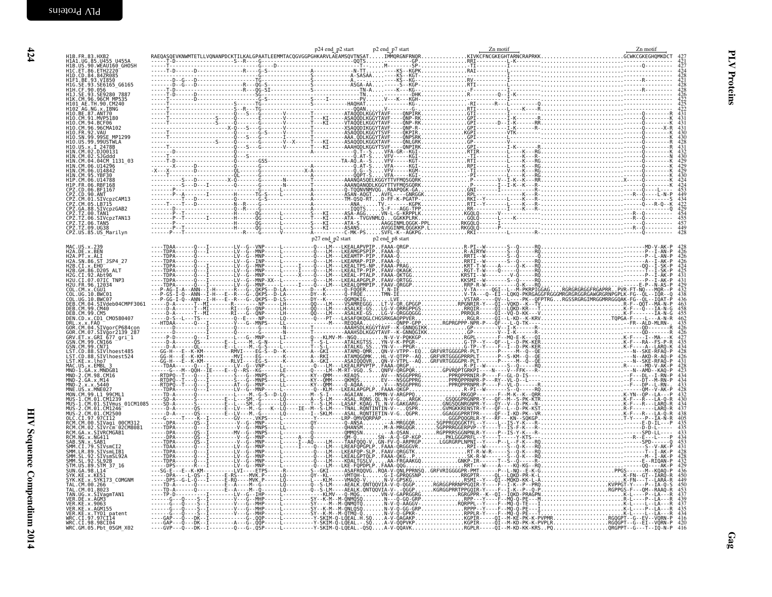| H1B. FR. 83. HXB2<br>H1A1. UG. 85. U455_U455A                                                                                                                                                                                                                   |  |  |  |                                                                                                      |
|-----------------------------------------------------------------------------------------------------------------------------------------------------------------------------------------------------------------------------------------------------------------|--|--|--|------------------------------------------------------------------------------------------------------|
|                                                                                                                                                                                                                                                                 |  |  |  |                                                                                                      |
| HIB.US.90.WEAU160_GHOSH<br>H1C.ET.86.ETH2220<br>H1D.CD.84.84ZR085                                                                                                                                                                                               |  |  |  |                                                                                                      |
| HIF1.BE.93.VI850                                                                                                                                                                                                                                                |  |  |  |                                                                                                      |
|                                                                                                                                                                                                                                                                 |  |  |  |                                                                                                      |
|                                                                                                                                                                                                                                                                 |  |  |  |                                                                                                      |
| HIF1.BE.93.VI859<br>HIM.CF.90.056<br>HIJ.SE.93.SE8186<br>HIJ.SE.93.SE9280 7887<br>HIM.CM.96.96.PE9280 7887<br>HIM.CM.BE.N.R.90.CM240<br>HIQ.BE.87.AN.TBNG<br>HIQ.BE.87.AN.TBNG<br>HIQ.CM.94.BCP680<br>HIQ.CM.94.BCP680<br>HIQ.CM.94.950004102<br>HIQ.CM.94.9500 |  |  |  |                                                                                                      |
|                                                                                                                                                                                                                                                                 |  |  |  |                                                                                                      |
|                                                                                                                                                                                                                                                                 |  |  |  |                                                                                                      |
| H10.SN.99.99SE_MP1299                                                                                                                                                                                                                                           |  |  |  |                                                                                                      |
| H10. US. 99. 99USTWLA<br>H10. US. x. I 2478B<br>H1N. CM. 02. DJ00131                                                                                                                                                                                            |  |  |  |                                                                                                      |
| H1N.CM.02.SJGddd                                                                                                                                                                                                                                                |  |  |  |                                                                                                      |
| H1N.CM.04.04CM 1131 03<br>H1N.CM.06.U14296                                                                                                                                                                                                                      |  |  |  |                                                                                                      |
| HIN.CM.06.U14842<br>HIN.CM.95.YBF30<br>HIP.CM.06.U14788<br>HIP.FR.06.RBF168                                                                                                                                                                                     |  |  |  |                                                                                                      |
|                                                                                                                                                                                                                                                                 |  |  |  |                                                                                                      |
|                                                                                                                                                                                                                                                                 |  |  |  |                                                                                                      |
| CPZ.CD.06.BF1167<br>CPZ.CD.90.ANT<br>CPZ.CM.01.SIVcpzCAM13<br>CPZ.CM.05.LB715                                                                                                                                                                                   |  |  |  |                                                                                                      |
| CPZ.GA.88.SIVcpzGAB2<br>CPZ.GA.88.SIVcpzGAB2                                                                                                                                                                                                                    |  |  |  |                                                                                                      |
|                                                                                                                                                                                                                                                                 |  |  |  |                                                                                                      |
| CF2.12.00.IAN1<br>CPZ.TZ.06.SIVCpzTAN13<br>CPZ.TZ.06.TAN5<br>CPZ.TZ.09.UG38<br>CPZ.US.85.US_Marilyn                                                                                                                                                             |  |  |  |                                                                                                      |
|                                                                                                                                                                                                                                                                 |  |  |  |                                                                                                      |
|                                                                                                                                                                                                                                                                 |  |  |  |                                                                                                      |
|                                                                                                                                                                                                                                                                 |  |  |  |                                                                                                      |
|                                                                                                                                                                                                                                                                 |  |  |  | $\begin{array}{c} 426 \\ 426 \\ 424 \\ 425 \\ 431 \\ 431 \\ 429 \\ 432 \end{array}$                  |
|                                                                                                                                                                                                                                                                 |  |  |  |                                                                                                      |
|                                                                                                                                                                                                                                                                 |  |  |  |                                                                                                      |
|                                                                                                                                                                                                                                                                 |  |  |  |                                                                                                      |
|                                                                                                                                                                                                                                                                 |  |  |  |                                                                                                      |
|                                                                                                                                                                                                                                                                 |  |  |  |                                                                                                      |
|                                                                                                                                                                                                                                                                 |  |  |  |                                                                                                      |
|                                                                                                                                                                                                                                                                 |  |  |  |                                                                                                      |
|                                                                                                                                                                                                                                                                 |  |  |  | $426$<br>$426$<br>$427$<br>$435$                                                                     |
|                                                                                                                                                                                                                                                                 |  |  |  |                                                                                                      |
|                                                                                                                                                                                                                                                                 |  |  |  |                                                                                                      |
|                                                                                                                                                                                                                                                                 |  |  |  |                                                                                                      |
|                                                                                                                                                                                                                                                                 |  |  |  |                                                                                                      |
|                                                                                                                                                                                                                                                                 |  |  |  |                                                                                                      |
|                                                                                                                                                                                                                                                                 |  |  |  | $\begin{array}{r} 434 \\ 428 \\ 426 \\ 431 \\ 423 \\ 434 \\ 434 \\ 433 \\ 428 \\ 432 \\ \end{array}$ |
|                                                                                                                                                                                                                                                                 |  |  |  |                                                                                                      |
|                                                                                                                                                                                                                                                                 |  |  |  | $434$<br>$437$<br>$438$<br>$405$<br>$435$                                                            |
|                                                                                                                                                                                                                                                                 |  |  |  |                                                                                                      |
|                                                                                                                                                                                                                                                                 |  |  |  |                                                                                                      |
|                                                                                                                                                                                                                                                                 |  |  |  |                                                                                                      |
|                                                                                                                                                                                                                                                                 |  |  |  |                                                                                                      |
|                                                                                                                                                                                                                                                                 |  |  |  |                                                                                                      |
|                                                                                                                                                                                                                                                                 |  |  |  | $428$<br>$428$<br>$432$<br>$432$<br>$436$<br>$450$                                                   |
|                                                                                                                                                                                                                                                                 |  |  |  |                                                                                                      |
|                                                                                                                                                                                                                                                                 |  |  |  |                                                                                                      |
|                                                                                                                                                                                                                                                                 |  |  |  | $\frac{450}{453}$<br>$\frac{453}{437}$                                                               |
|                                                                                                                                                                                                                                                                 |  |  |  |                                                                                                      |
|                                                                                                                                                                                                                                                                 |  |  |  |                                                                                                      |
|                                                                                                                                                                                                                                                                 |  |  |  | 434                                                                                                  |
|                                                                                                                                                                                                                                                                 |  |  |  | $\frac{416}{420}$<br>416                                                                             |
|                                                                                                                                                                                                                                                                 |  |  |  |                                                                                                      |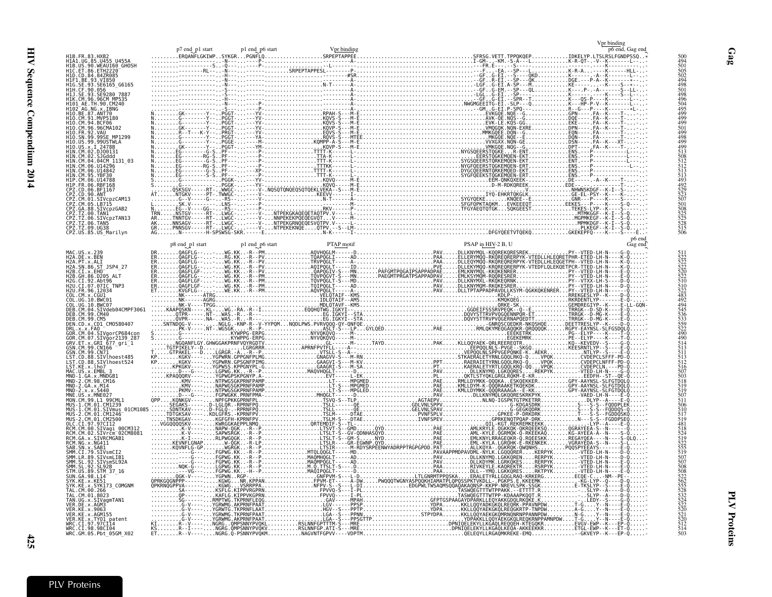| HIA1.UG.85.U455 U455A<br>HIB.US.90.WEAU160 GHOSH<br>HIC.ET.86.ETH2220<br>HID.CD.84.84ZR085<br>HIF1.BE.93.VT850<br>H1G.SE.93.SE6165_G6165<br>H1H.CF.90.056<br>HIJ.SE.93.SE9280 7887<br>HIK.CM.96.96CM MP535<br>AE.TH.90.CM240<br>$102^-$ AG.NG.x.IBNG<br>H1O.CM.91.MVP5180<br>H10.CM.94.BCF06<br>H10.CM.96.96CMA102<br>H10.FR.92.VAU<br>H10.SN.99.99SE MP1299<br>iī0.US.99.99USTWLA<br>2478B<br>HIN.CM.02.DJ00131<br>HIN.CM.02.SJGddd<br>HIN.CM.04.04CM_1131_03<br>11N CM 06 1114296<br>I1P.FR.06.RBF168<br>PZ.CD.06.BF1167<br><b>P7. CD. 90. ANT</b><br>PZ.CM.01.SIVcpzCAM13<br>PZ.CM.05.LB715<br>GA.88.SIVcpzGAB2<br>00.TAN1<br>PZ.TZ.06.SIVcpzTAN13<br>CPZ.TZ.06.TAN5<br>CPZ.TZ.06.TAN5<br>CPZ.TZ.09.UG38<br>CPZ.US.85.US_Marilyn<br>p6 end |  |  | 'pr binding |
|-----------------------------------------------------------------------------------------------------------------------------------------------------------------------------------------------------------------------------------------------------------------------------------------------------------------------------------------------------------------------------------------------------------------------------------------------------------------------------------------------------------------------------------------------------------------------------------------------------------------------------------------------------------------------------------------------------------------------------------------------|--|--|-------------|
|                                                                                                                                                                                                                                                                                                                                                                                                                                                                                                                                                                                                                                                                                                                                               |  |  |             |
|                                                                                                                                                                                                                                                                                                                                                                                                                                                                                                                                                                                                                                                                                                                                               |  |  |             |
|                                                                                                                                                                                                                                                                                                                                                                                                                                                                                                                                                                                                                                                                                                                                               |  |  |             |
|                                                                                                                                                                                                                                                                                                                                                                                                                                                                                                                                                                                                                                                                                                                                               |  |  |             |
|                                                                                                                                                                                                                                                                                                                                                                                                                                                                                                                                                                                                                                                                                                                                               |  |  |             |
|                                                                                                                                                                                                                                                                                                                                                                                                                                                                                                                                                                                                                                                                                                                                               |  |  |             |
|                                                                                                                                                                                                                                                                                                                                                                                                                                                                                                                                                                                                                                                                                                                                               |  |  |             |
|                                                                                                                                                                                                                                                                                                                                                                                                                                                                                                                                                                                                                                                                                                                                               |  |  |             |
|                                                                                                                                                                                                                                                                                                                                                                                                                                                                                                                                                                                                                                                                                                                                               |  |  |             |
|                                                                                                                                                                                                                                                                                                                                                                                                                                                                                                                                                                                                                                                                                                                                               |  |  |             |
|                                                                                                                                                                                                                                                                                                                                                                                                                                                                                                                                                                                                                                                                                                                                               |  |  |             |
|                                                                                                                                                                                                                                                                                                                                                                                                                                                                                                                                                                                                                                                                                                                                               |  |  |             |
|                                                                                                                                                                                                                                                                                                                                                                                                                                                                                                                                                                                                                                                                                                                                               |  |  |             |
|                                                                                                                                                                                                                                                                                                                                                                                                                                                                                                                                                                                                                                                                                                                                               |  |  |             |
|                                                                                                                                                                                                                                                                                                                                                                                                                                                                                                                                                                                                                                                                                                                                               |  |  |             |
|                                                                                                                                                                                                                                                                                                                                                                                                                                                                                                                                                                                                                                                                                                                                               |  |  |             |
|                                                                                                                                                                                                                                                                                                                                                                                                                                                                                                                                                                                                                                                                                                                                               |  |  |             |
|                                                                                                                                                                                                                                                                                                                                                                                                                                                                                                                                                                                                                                                                                                                                               |  |  |             |
|                                                                                                                                                                                                                                                                                                                                                                                                                                                                                                                                                                                                                                                                                                                                               |  |  |             |
|                                                                                                                                                                                                                                                                                                                                                                                                                                                                                                                                                                                                                                                                                                                                               |  |  |             |
|                                                                                                                                                                                                                                                                                                                                                                                                                                                                                                                                                                                                                                                                                                                                               |  |  |             |
|                                                                                                                                                                                                                                                                                                                                                                                                                                                                                                                                                                                                                                                                                                                                               |  |  |             |
|                                                                                                                                                                                                                                                                                                                                                                                                                                                                                                                                                                                                                                                                                                                                               |  |  |             |
|                                                                                                                                                                                                                                                                                                                                                                                                                                                                                                                                                                                                                                                                                                                                               |  |  |             |
|                                                                                                                                                                                                                                                                                                                                                                                                                                                                                                                                                                                                                                                                                                                                               |  |  |             |
|                                                                                                                                                                                                                                                                                                                                                                                                                                                                                                                                                                                                                                                                                                                                               |  |  |             |
|                                                                                                                                                                                                                                                                                                                                                                                                                                                                                                                                                                                                                                                                                                                                               |  |  |             |
|                                                                                                                                                                                                                                                                                                                                                                                                                                                                                                                                                                                                                                                                                                                                               |  |  |             |
|                                                                                                                                                                                                                                                                                                                                                                                                                                                                                                                                                                                                                                                                                                                                               |  |  |             |
|                                                                                                                                                                                                                                                                                                                                                                                                                                                                                                                                                                                                                                                                                                                                               |  |  |             |
|                                                                                                                                                                                                                                                                                                                                                                                                                                                                                                                                                                                                                                                                                                                                               |  |  |             |
|                                                                                                                                                                                                                                                                                                                                                                                                                                                                                                                                                                                                                                                                                                                                               |  |  |             |
|                                                                                                                                                                                                                                                                                                                                                                                                                                                                                                                                                                                                                                                                                                                                               |  |  |             |
|                                                                                                                                                                                                                                                                                                                                                                                                                                                                                                                                                                                                                                                                                                                                               |  |  |             |
|                                                                                                                                                                                                                                                                                                                                                                                                                                                                                                                                                                                                                                                                                                                                               |  |  |             |
|                                                                                                                                                                                                                                                                                                                                                                                                                                                                                                                                                                                                                                                                                                                                               |  |  |             |
|                                                                                                                                                                                                                                                                                                                                                                                                                                                                                                                                                                                                                                                                                                                                               |  |  |             |
|                                                                                                                                                                                                                                                                                                                                                                                                                                                                                                                                                                                                                                                                                                                                               |  |  |             |
|                                                                                                                                                                                                                                                                                                                                                                                                                                                                                                                                                                                                                                                                                                                                               |  |  |             |
|                                                                                                                                                                                                                                                                                                                                                                                                                                                                                                                                                                                                                                                                                                                                               |  |  |             |
|                                                                                                                                                                                                                                                                                                                                                                                                                                                                                                                                                                                                                                                                                                                                               |  |  |             |
|                                                                                                                                                                                                                                                                                                                                                                                                                                                                                                                                                                                                                                                                                                                                               |  |  |             |
|                                                                                                                                                                                                                                                                                                                                                                                                                                                                                                                                                                                                                                                                                                                                               |  |  |             |
|                                                                                                                                                                                                                                                                                                                                                                                                                                                                                                                                                                                                                                                                                                                                               |  |  |             |
|                                                                                                                                                                                                                                                                                                                                                                                                                                                                                                                                                                                                                                                                                                                                               |  |  |             |
|                                                                                                                                                                                                                                                                                                                                                                                                                                                                                                                                                                                                                                                                                                                                               |  |  |             |
|                                                                                                                                                                                                                                                                                                                                                                                                                                                                                                                                                                                                                                                                                                                                               |  |  |             |
|                                                                                                                                                                                                                                                                                                                                                                                                                                                                                                                                                                                                                                                                                                                                               |  |  |             |
|                                                                                                                                                                                                                                                                                                                                                                                                                                                                                                                                                                                                                                                                                                                                               |  |  |             |
|                                                                                                                                                                                                                                                                                                                                                                                                                                                                                                                                                                                                                                                                                                                                               |  |  |             |
|                                                                                                                                                                                                                                                                                                                                                                                                                                                                                                                                                                                                                                                                                                                                               |  |  |             |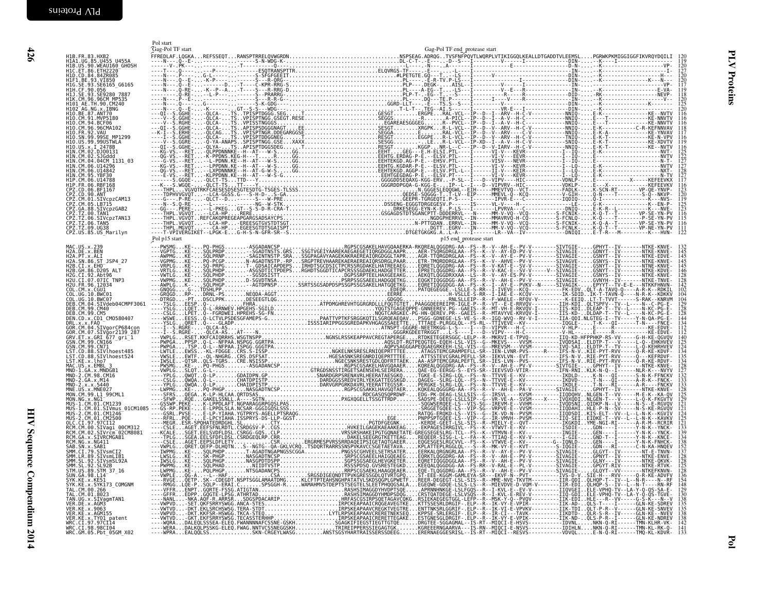<span id="page-15-0"></span>

| H1B.FR.83.HXB2<br>H1A1.UG.85.U455 U455A<br>H1B.US.90.WEAU160 GHOSH<br>H1C.ET.86.ETH2220                                      |               |                        |
|------------------------------------------------------------------------------------------------------------------------------|---------------|------------------------|
| H1D.CD.84.84ZR085<br>H1F1.BE.93.VI850                                                                                        |               |                        |
| HIG.SE.93.SE6165_G6165<br>H1H.CF.90.056<br>H1J.SE.93.SE9280 7887                                                             |               |                        |
|                                                                                                                              |               |                        |
| H1J. SE. 93. SE9260 / 68.<br>H1K. CM. 96. 96CM MP535<br>H101 AE. TH. 90. CM240<br>H10. BE. 87. ANT70<br>H10. CM. 91. MVP5180 |               |                        |
| H10.CM.94.BCF06<br>H10.CM.96.96C00<br>H10.CM.96.96CMA102<br>H10.FR.92.VAU<br>H10.US.99.99USTWLA                              |               |                        |
| H10.US.x.I 2478B                                                                                                             |               |                        |
|                                                                                                                              |               |                        |
| H1N.CM.06.U14296<br>H1N.CM.06.U14842                                                                                         |               |                        |
| HIN.CM.95.YBF30<br>HIP.CM.06.U14788<br>HIP.FR.06.RBF168<br>CPZ.CD.06.BF1167                                                  |               |                        |
| CPZ.CD.00.DNT<br>CPZ.CD.90.ANT<br>CPZ.CM.01.SIVcpzCAM13<br>CPZ.CM.05.LB715<br>CPZ. <u>GA</u> .88.SIVcpzGAB2                  |               |                        |
|                                                                                                                              |               |                        |
| CP2.581.00.31vCp20Ab2<br>CPZ.TZ.00.TAN1<br>CPZ.TZ.06.SIVcpzTAN13<br>CPZ.TZ.00.TAN5                                           |               |                        |
| CPZ.US.85.US Marilyn                                                                                                         | Pol p15 start | p15 end_protease start |
|                                                                                                                              |               |                        |
|                                                                                                                              |               |                        |
|                                                                                                                              |               |                        |
|                                                                                                                              |               |                        |
|                                                                                                                              |               |                        |
|                                                                                                                              |               |                        |
|                                                                                                                              |               |                        |
|                                                                                                                              |               |                        |
|                                                                                                                              |               |                        |
|                                                                                                                              |               |                        |
|                                                                                                                              |               |                        |
|                                                                                                                              |               |                        |
|                                                                                                                              |               |                        |
|                                                                                                                              |               |                        |
|                                                                                                                              |               |                        |
|                                                                                                                              |               |                        |
|                                                                                                                              |               |                        |
|                                                                                                                              |               |                        |
|                                                                                                                              |               |                        |
|                                                                                                                              |               |                        |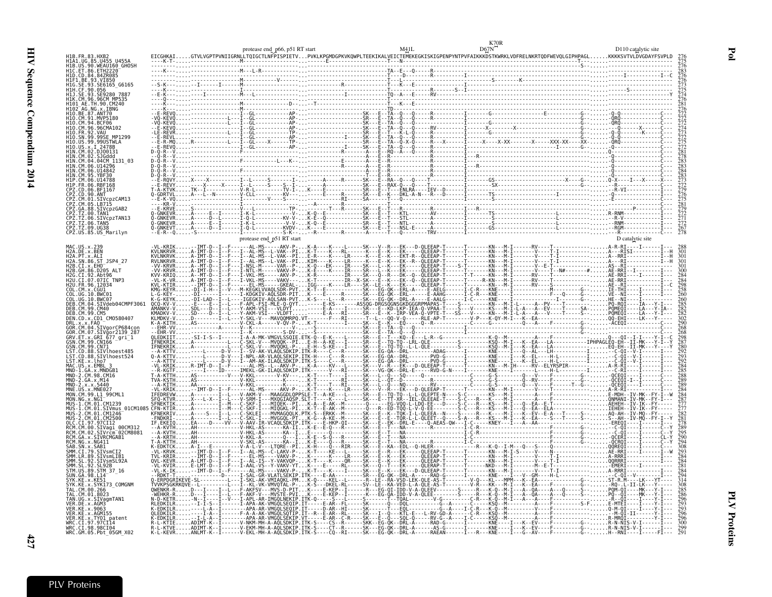|                                                                  |                    |            |  |  | ETCE(#CTITUS ACCORDINATION CONTROL INTERNATIONAL INTERNATIONAL INTERNATIONAL INTERNATIONAL INTERNATIONAL INTERNATIONAL INTERNATIONAL INTERNATIONAL INTERNATIONAL INTERNATIONAL INTERNATIONAL INTERNATIONAL INTERNATIONAL INTE                                |  |  |
|------------------------------------------------------------------|--------------------|------------|--|--|--------------------------------------------------------------------------------------------------------------------------------------------------------------------------------------------------------------------------------------------------------------|--|--|
| HIA1.UG.85.U455 U455A<br>H1B.US.90.WEAU160 GHOSH                 |                    |            |  |  |                                                                                                                                                                                                                                                              |  |  |
|                                                                  |                    |            |  |  |                                                                                                                                                                                                                                                              |  |  |
| I1G.SE.93.SE6165 G6165                                           |                    |            |  |  |                                                                                                                                                                                                                                                              |  |  |
| H.90.CM240                                                       | 96CM MP535         |            |  |  |                                                                                                                                                                                                                                                              |  |  |
|                                                                  |                    |            |  |  |                                                                                                                                                                                                                                                              |  |  |
| 10.CM.91.MVP5180                                                 |                    |            |  |  |                                                                                                                                                                                                                                                              |  |  |
| 96CMA102<br>VAII                                                 | MP1299             |            |  |  |                                                                                                                                                                                                                                                              |  |  |
|                                                                  |                    |            |  |  |                                                                                                                                                                                                                                                              |  |  |
| 1N.CM.02.DJ00131<br>: JGddd                                      |                    |            |  |  |                                                                                                                                                                                                                                                              |  |  |
|                                                                  | 04CM 1131 03       |            |  |  |                                                                                                                                                                                                                                                              |  |  |
|                                                                  |                    |            |  |  |                                                                                                                                                                                                                                                              |  |  |
| 1P. FR. 06. RBF168<br>BF1167                                     |                    |            |  |  |                                                                                                                                                                                                                                                              |  |  |
| ANT<br>B/15                                                      | SIVcpzCAM13        |            |  |  |                                                                                                                                                                                                                                                              |  |  |
| GA.88.SIVcpzGAB2<br>00.TAN1                                      |                    |            |  |  |                                                                                                                                                                                                                                                              |  |  |
| P7.T7.06.TAN5<br>CPZ.TZ.09.UG38                                  | SIVcpzTAN13        |            |  |  |                                                                                                                                                                                                                                                              |  |  |
| ČPŽ.US.85.US Marilyn                                             |                    |            |  |  |                                                                                                                                                                                                                                                              |  |  |
|                                                                  |                    |            |  |  |                                                                                                                                                                                                                                                              |  |  |
| H2A.DE.x.BEN<br>PT.x.ALI<br>SN.86.ST_JSP4_27                     |                    |            |  |  |                                                                                                                                                                                                                                                              |  |  |
| I2A.SN.86.ST<br>I2B.CI.x.EHO<br>12R GH 86 D205 ALT               |                    |            |  |  |                                                                                                                                                                                                                                                              |  |  |
|                                                                  |                    |            |  |  |                                                                                                                                                                                                                                                              |  |  |
| I2U.FR.96.12034<br>OL.CM.x.CGU1                                  |                    |            |  |  |                                                                                                                                                                                                                                                              |  |  |
| ČÓL.ÚG.10.BWC01<br>COL.UG.10.BWC07<br>DEB.CM.04.SIVdeb04CMPF3061 |                    |            |  |  |                                                                                                                                                                                                                                                              |  |  |
| EB.CM.99.CM5                                                     |                    |            |  |  |                                                                                                                                                                                                                                                              |  |  |
| DEN.CD.x.CD1 CM0580407<br>FAO.<br>OR.CM.04.SIVaorCP684con        |                    |            |  |  |                                                                                                                                                                                                                                                              |  |  |
| «V.ET.x.GRI_677_gri_1                                            | SIVgor2139_287     |            |  |  |                                                                                                                                                                                                                                                              |  |  |
| N.CM.99.CN166<br>SN.CM.99.CN71                                   |                    |            |  |  |                                                                                                                                                                                                                                                              |  |  |
| ST.CD.88.SIVlhoest485<br>.ST.KE.x.lho7                           | SIVlhoest524       |            |  |  |                                                                                                                                                                                                                                                              |  |  |
|                                                                  |                    |            |  |  |                                                                                                                                                                                                                                                              |  |  |
| CM.98.CM16<br>MND<br>MND -<br>-5440                              |                    |            |  |  |                                                                                                                                                                                                                                                              |  |  |
| MNE.<br>MNF027<br>MON.CM.99.L1 99CML1                            |                    |            |  |  |                                                                                                                                                                                                                                                              |  |  |
|                                                                  |                    |            |  |  |                                                                                                                                                                                                                                                              |  |  |
| MUS.<br>2.CM.01.CM1246<br>CM.01.CM2500                           |                    |            |  |  |                                                                                                                                                                                                                                                              |  |  |
| CI.97.97CI12<br>RCM.CM.00.SIVagi                                 | 00CM312            |            |  |  |                                                                                                                                                                                                                                                              |  |  |
|                                                                  | SIVrcm-02CM8081    |            |  |  |                                                                                                                                                                                                                                                              |  |  |
| CM.NG.x.NG411<br>SAB.SN.x.SAB1<br>SMM CT 79 STVsmCT2             |                    |            |  |  |                                                                                                                                                                                                                                                              |  |  |
| 89.SIVsmLIB1                                                     | SIVsmSL92A         |            |  |  |                                                                                                                                                                                                                                                              |  |  |
| SI 92R<br>TM.US.89.STM 37 16                                     |                    |            |  |  |                                                                                                                                                                                                                                                              |  |  |
| .x.SYK173 COMGNM                                                 |                    |            |  |  |                                                                                                                                                                                                                                                              |  |  |
| AL.CM.01.8023                                                    |                    |            |  |  |                                                                                                                                                                                                                                                              |  |  |
| TAN.UG.x.SIVagmTAN1                                              |                    |            |  |  |                                                                                                                                                                                                                                                              |  |  |
| x.9063                                                           | TY01 patent        |            |  |  | - AR - - RL - - - - - - ŠK - - - I - - Ö - - - KTĪ - E - - - L - RV - ĞD - Ä - - - - - - - - - - - ŠK - - M - - - -<br>- AR - - C - R - - - - SK - - - E - - Q - - - SQL - Q - - - - - RV - G - - A - - - - I - C - - - - - KSQ -                            |  |  |
| WRC CT 97 97CT14<br>WRC.CI.98.98CI04                             | WRC.GM.05.Pbt 05GM | -KEVRANLMT |  |  | -KTIEADIMT-K--I------V-NKM-MH-A-AQLSDKIP.ITK-S----CS--R------SKK--EG-QK--DRL-A-----RAD-G-----I-----KME----I---K--EV----F--------G--<br>-KTVEADIMT-K--I------V-EKM-MH-A-AQLSDKIP.ITK-S----CT--R------SK---EG-QK--DR<br>- ŠK - - - ĒĞ - QK - - DRL - A - - - - |  |  |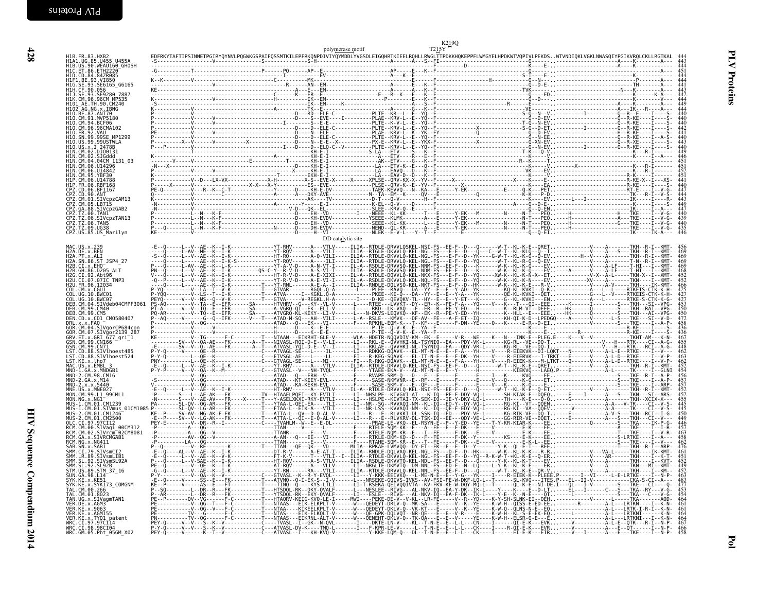| H1B. FR. 83. HXB2<br>H1A1.UG. 85.U455 U455A<br>H1B. US. 90.WEAU160 GHOSH                                  |  | polymerase motif  | T215Y |                                                                     |
|-----------------------------------------------------------------------------------------------------------|--|-------------------|-------|---------------------------------------------------------------------|
| H1C.ET.86.ETH2220<br>H1D.CD.84.84ZR085                                                                    |  |                   |       | 444                                                                 |
| HIF1.BE.93.VI850<br>H1G.SE.93.SE6165_G6165<br>H1H.CF.90.056_________                                      |  |                   |       |                                                                     |
| H11.SE.93.SE9280 7887<br>H1K.CM.96.96CM MP535<br>H101 AE.TH.90.CM240<br>H102_AG.NG.X.IBNG                 |  |                   |       | $443$<br>$442$<br>$444$<br>$449$                                    |
|                                                                                                           |  |                   |       | 440                                                                 |
| H102 RG.87. ANT70<br>H10. CM.91. MVP5180<br>H10. CM.94. BCF06<br>H10. CM.96. 96CMA102<br>H10. FR. 92. VAU |  |                   |       | 440<br>$\frac{440}{442}$                                            |
| H10.SN.99.99SE MP1299<br>H10.US.99.99USTWLA                                                               |  |                   |       | 440                                                                 |
| H10.US.x.1 2478B<br>H1N.CM.02.DJ00131<br>H1N.CM.02.SJGddd                                                 |  |                   |       | $\frac{443}{440}$<br>449                                            |
| HIN.CM.04.04CM 1131_03<br>HIN.CM.06.U14296                                                                |  |                   |       | $^{451}_{451}$                                                      |
| HIN.CM.06.U14842<br>HIN.CM.95.YBF30<br>HIP.CM.06.U14788                                                   |  |                   |       |                                                                     |
| H1P.FR.06.RBF168<br>CPZ.CD.06.BF1167<br>CPZ.CD.90.ANT<br>CPZ.CM.01.SIVcpzCAM13                            |  |                   |       |                                                                     |
| CPZ.CM.05.LB715<br>CPZ.GA.88.SIVcpzGAB2                                                                   |  |                   |       | 447                                                                 |
| CPZ.TZ.00.TANI<br>CPZ.TZ.06.SIVcpzTAN13<br>CPZ.TZ.06.TAN5                                                 |  |                   |       | $\frac{440}{439}$<br>440                                            |
| CPZ.TZ.09.UG38<br>CPZ.US.85.US Marilyn                                                                    |  |                   |       | 446                                                                 |
|                                                                                                           |  | DD catalytic site |       |                                                                     |
|                                                                                                           |  |                   |       | 469<br>469                                                          |
|                                                                                                           |  |                   |       | 469<br>468<br>452<br>452                                            |
|                                                                                                           |  |                   |       |                                                                     |
|                                                                                                           |  |                   |       | 466<br>425<br>427<br>427                                            |
|                                                                                                           |  |                   |       | $453$<br>$450$<br>$450$<br>$472$<br>$458$                           |
|                                                                                                           |  |                   |       |                                                                     |
|                                                                                                           |  |                   |       | 436<br>436<br>467<br>455                                            |
|                                                                                                           |  |                   |       |                                                                     |
|                                                                                                           |  |                   |       | 462<br>463<br>4452<br>456<br>457<br>452<br>455<br>445<br>445<br>445 |
|                                                                                                           |  |                   |       |                                                                     |
|                                                                                                           |  |                   |       |                                                                     |
|                                                                                                           |  |                   |       |                                                                     |
|                                                                                                           |  |                   |       |                                                                     |
|                                                                                                           |  |                   |       | 446<br>$\frac{457}{463}$                                            |
|                                                                                                           |  |                   |       | $\frac{458}{462}$                                                   |
|                                                                                                           |  |                   |       | 461<br>451<br>452                                                   |
|                                                                                                           |  |                   |       | $\frac{452}{463}$                                                   |
|                                                                                                           |  |                   |       | 483<br>477                                                          |
|                                                                                                           |  |                   |       |                                                                     |
|                                                                                                           |  |                   |       | $\frac{461}{461}$                                                   |
|                                                                                                           |  |                   |       | $\frac{464}{467}$                                                   |
|                                                                                                           |  |                   |       | 466<br>458                                                          |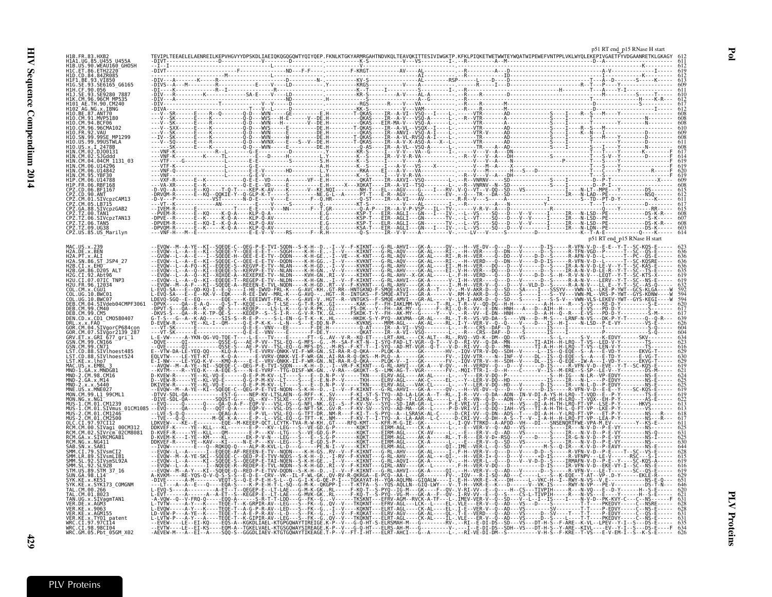| PZ.TZ.06.SIVcpzTAN13      |  |  |  |  |  |  |                                                                                                                                                                                                                                 |  |  |
|---------------------------|--|--|--|--|--|--|---------------------------------------------------------------------------------------------------------------------------------------------------------------------------------------------------------------------------------|--|--|
| 06.TAN5<br>CPZ.TZ.09.UG38 |  |  |  |  |  |  |                                                                                                                                                                                                                                 |  |  |
| CPZ.US.85.US Marilyn      |  |  |  |  |  |  |                                                                                                                                                                                                                                 |  |  |
|                           |  |  |  |  |  |  |                                                                                                                                                                                                                                 |  |  |
|                           |  |  |  |  |  |  |                                                                                                                                                                                                                                 |  |  |
|                           |  |  |  |  |  |  |                                                                                                                                                                                                                                 |  |  |
|                           |  |  |  |  |  |  |                                                                                                                                                                                                                                 |  |  |
|                           |  |  |  |  |  |  |                                                                                                                                                                                                                                 |  |  |
|                           |  |  |  |  |  |  |                                                                                                                                                                                                                                 |  |  |
| SIVdeb04CMPF306           |  |  |  |  |  |  |                                                                                                                                                                                                                                 |  |  |
|                           |  |  |  |  |  |  |                                                                                                                                                                                                                                 |  |  |
|                           |  |  |  |  |  |  |                                                                                                                                                                                                                                 |  |  |
| ğor2139 287               |  |  |  |  |  |  |                                                                                                                                                                                                                                 |  |  |
| 677_gri_1                 |  |  |  |  |  |  |                                                                                                                                                                                                                                 |  |  |
| Vlhoest48                 |  |  |  |  |  |  |                                                                                                                                                                                                                                 |  |  |
| IVlhoest524               |  |  |  |  |  |  |                                                                                                                                                                                                                                 |  |  |
|                           |  |  |  |  |  |  |                                                                                                                                                                                                                                 |  |  |
|                           |  |  |  |  |  |  |                                                                                                                                                                                                                                 |  |  |
|                           |  |  |  |  |  |  |                                                                                                                                                                                                                                 |  |  |
|                           |  |  |  |  |  |  |                                                                                                                                                                                                                                 |  |  |
| :TVmus                    |  |  |  |  |  |  |                                                                                                                                                                                                                                 |  |  |
|                           |  |  |  |  |  |  |                                                                                                                                                                                                                                 |  |  |
|                           |  |  |  |  |  |  |                                                                                                                                                                                                                                 |  |  |
|                           |  |  |  |  |  |  |                                                                                                                                                                                                                                 |  |  |
|                           |  |  |  |  |  |  |                                                                                                                                                                                                                                 |  |  |
|                           |  |  |  |  |  |  |                                                                                                                                                                                                                                 |  |  |
|                           |  |  |  |  |  |  |                                                                                                                                                                                                                                 |  |  |
|                           |  |  |  |  |  |  |                                                                                                                                                                                                                                 |  |  |
|                           |  |  |  |  |  |  |                                                                                                                                                                                                                                 |  |  |
|                           |  |  |  |  |  |  |                                                                                                                                                                                                                                 |  |  |
|                           |  |  |  |  |  |  |                                                                                                                                                                                                                                 |  |  |
| 7 9063 x                  |  |  |  |  |  |  |                                                                                                                                                                                                                                 |  |  |
|                           |  |  |  |  |  |  |                                                                                                                                                                                                                                 |  |  |
|                           |  |  |  |  |  |  | -LVIW-P---A-Y---A-Y---TEQE-T--K-GIPIR-AV--LEG---S--FK--GQV--V---TKÖKNT---EEXT-AGL----CK-AL------------------<br>-EVEW----LE--EI-KO----EQS-A--KGKDLIAEL-KTGPGQWAYTIREIGE.K-P--V---G-Q-HT-S-ELRSMAH-M---G-------RV----ER-V--Q--AD |  |  |

Pol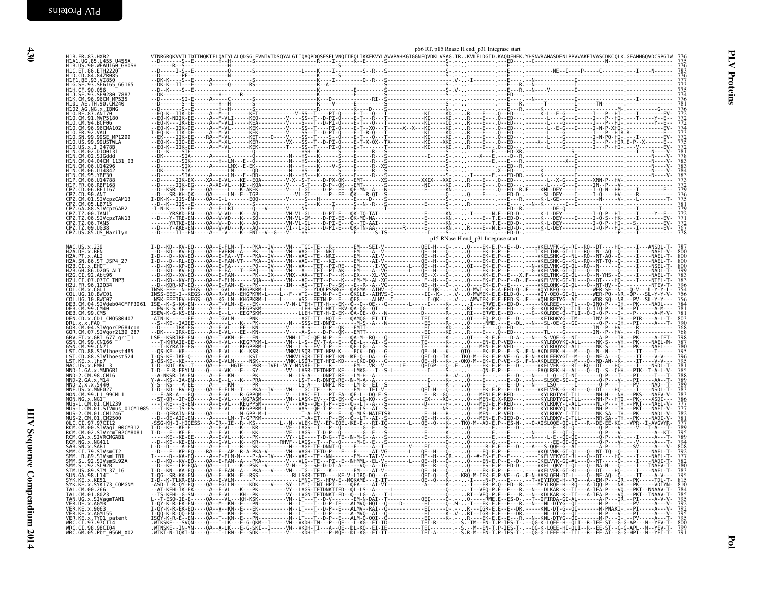| H1B.FR.83.HXB2<br>H1A1.UG.85.U455 U455A<br>H1B.US.90.WEAU160 GHOSH<br>H1C.ET.86.ETH2220                                                                    |  |  |            |
|------------------------------------------------------------------------------------------------------------------------------------------------------------|--|--|------------|
| H1D.CD.84.84ZR085<br>H1F1.BE.93.VI850                                                                                                                      |  |  |            |
| H1F1.BE.-93.:V1030<br>H1G.SE.93.SE6165_G6165<br>H1H.CF.90.056<br>H1J.SE.93.SE9280_7887<br>H1K.CM.96.96CM_MP535                                             |  |  |            |
| H101 AE.TH.90.CM240<br>H101 AE.TH.90.CM240<br>H102 AG.NG.x.IBNG                                                                                            |  |  |            |
| H10. BE.87. ANT70<br>H10. BE.87. ANT70<br>H10. CM.91. MVP5180<br>H10. CM.96. 96CMA102                                                                      |  |  |            |
| H10.FR.92.VAU<br>H10.FR.92.VAU<br>H10.SN.99.99SE_MP1299                                                                                                    |  |  |            |
| H10.US.99.99USTWLA                                                                                                                                         |  |  |            |
| H10.US.x.I 2478B<br>H1N.CM.02.DJ00131<br>H1N.CM.02.SJGddd<br>HIN.CM.04.04CM 1131 03                                                                        |  |  |            |
| H1N.CM.06.U1429<br>H1N.CM.06.U14842                                                                                                                        |  |  |            |
| H1N.CM.95.YBF30<br>HIP.CM.06.UI4788<br>HIP.FR.06.RBF168                                                                                                    |  |  |            |
| CPZ.CD.06.BF1167                                                                                                                                           |  |  |            |
|                                                                                                                                                            |  |  |            |
| CPZ.CD.90.8F1167<br>CPZ.CD.90.ANT<br>CPZ.CM.01.SIVcpzCAM13<br>CPZ.GA.88.SIVcpzGAB2<br>CPZ.TZ.00.TAN1<br>CPZ.TZ.00.TAN1<br>CPZ.TZ.00.TAN2<br>CPZ.TZ.00.TAN2 |  |  |            |
| CPZ.TZ.09.UG38<br>CPZ.US.85.US Marilyn                                                                                                                     |  |  |            |
|                                                                                                                                                            |  |  | 800        |
|                                                                                                                                                            |  |  |            |
|                                                                                                                                                            |  |  | 799        |
|                                                                                                                                                            |  |  |            |
|                                                                                                                                                            |  |  | 756<br>784 |
|                                                                                                                                                            |  |  |            |
|                                                                                                                                                            |  |  |            |
|                                                                                                                                                            |  |  |            |
|                                                                                                                                                            |  |  | 796        |
|                                                                                                                                                            |  |  | 795        |
|                                                                                                                                                            |  |  |            |
|                                                                                                                                                            |  |  |            |
|                                                                                                                                                            |  |  |            |
|                                                                                                                                                            |  |  |            |
|                                                                                                                                                            |  |  |            |
|                                                                                                                                                            |  |  |            |
|                                                                                                                                                            |  |  | 792        |
|                                                                                                                                                            |  |  | 780        |
|                                                                                                                                                            |  |  |            |
|                                                                                                                                                            |  |  |            |
|                                                                                                                                                            |  |  |            |
|                                                                                                                                                            |  |  | 795<br>800 |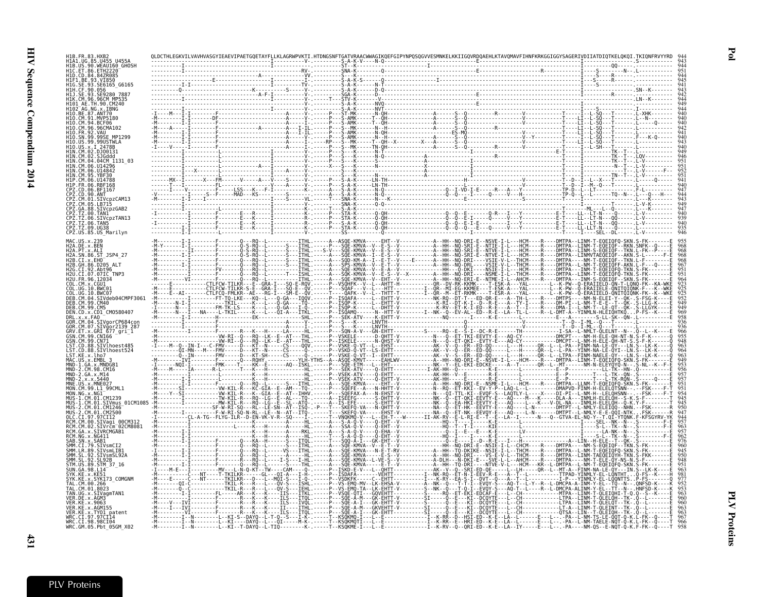|           | E6165                                                              |                                                                                                                                                         |                                      |                                                                                                                                                                         |                         |
|-----------|--------------------------------------------------------------------|---------------------------------------------------------------------------------------------------------------------------------------------------------|--------------------------------------|-------------------------------------------------------------------------------------------------------------------------------------------------------------------------|-------------------------|
|           | CM MP535                                                           |                                                                                                                                                         |                                      |                                                                                                                                                                         |                         |
|           |                                                                    |                                                                                                                                                         |                                      |                                                                                                                                                                         |                         |
|           | . IBNG                                                             |                                                                                                                                                         |                                      |                                                                                                                                                                         |                         |
|           |                                                                    |                                                                                                                                                         |                                      |                                                                                                                                                                         |                         |
|           |                                                                    |                                                                                                                                                         |                                      |                                                                                                                                                                         |                         |
|           | <b>99SF MP1290</b>                                                 |                                                                                                                                                         |                                      |                                                                                                                                                                         |                         |
|           |                                                                    |                                                                                                                                                         |                                      |                                                                                                                                                                         |                         |
|           |                                                                    |                                                                                                                                                         |                                      |                                                                                                                                                                         |                         |
|           |                                                                    |                                                                                                                                                         |                                      |                                                                                                                                                                         |                         |
|           |                                                                    |                                                                                                                                                         |                                      |                                                                                                                                                                         |                         |
|           |                                                                    |                                                                                                                                                         |                                      |                                                                                                                                                                         |                         |
|           |                                                                    |                                                                                                                                                         |                                      |                                                                                                                                                                         |                         |
|           |                                                                    |                                                                                                                                                         |                                      |                                                                                                                                                                         |                         |
|           |                                                                    |                                                                                                                                                         |                                      |                                                                                                                                                                         |                         |
|           |                                                                    |                                                                                                                                                         |                                      |                                                                                                                                                                         |                         |
|           |                                                                    |                                                                                                                                                         |                                      |                                                                                                                                                                         |                         |
|           |                                                                    |                                                                                                                                                         |                                      |                                                                                                                                                                         |                         |
|           | <b>TAN5</b><br>09.UG38                                             |                                                                                                                                                         |                                      |                                                                                                                                                                         |                         |
|           | :PZ.US.85.US Marilyn                                               |                                                                                                                                                         |                                      |                                                                                                                                                                         |                         |
|           |                                                                    |                                                                                                                                                         |                                      | - R- - - - DMTPA - - LINM -                                                                                                                                             |                         |
|           |                                                                    |                                                                                                                                                         |                                      | . - - - - - - - A - -HH - -NỘ-SRI - E - -NŤIE - I - L - - -HĆM - - - -R - - - -DMTPA - -LINM -T<br>E--NTVE<br><b>DMTPA</b>                                              |                         |
|           |                                                                    |                                                                                                                                                         |                                      | $-SRI - E - NTVE - I -$<br>- L - - - HCM - - - - R - - - - DMTPA -<br>- - - - - - - - A - - HH - - NQ -                                                                 |                         |
|           | GH.86.D205 ALT                                                     |                                                                                                                                                         | KMVA - - V - - E                     | -E------A--HH--NÒ-DRĪ----VSÌE-V-L--THCM-<br>--------A--HH--NÒ-DRL----VSÌE-V-L--THCM-                                                                                    | $-L - NM -$             |
|           | .07.07IC TNP3                                                      |                                                                                                                                                         | KMVA-<br>KMVA - -V -                 | - L---THCM----R----DMTPA-<br>- L--THCM----R----DMTPA-<br>- L---THCM----R----DMTPA-<br>- L---THCM----R----DMTPA-<br>- L--AHCM----R----DMTPA-<br>- L--AHCM----R----DMTPA- | - - INM<br>-LINM        |
|           |                                                                    |                                                                                                                                                         | KMVA - - V                           |                                                                                                                                                                         | - - INM                 |
|           | .x.CGU1                                                            |                                                                                                                                                         |                                      | A---YAL-------L--K-PW-<br>- - K - PW                                                                                                                                    |                         |
|           | .BWC07                                                             | -CTLFCW-TILKR-S-E--GRA-I---SQ-<br>-CTLFCQ-FMLKR--AE---RG-I---SM-                                                                                        | $QV - - - -T - - - QAFK - -V - -L -$ |                                                                                                                                                                         |                         |
|           | SIVdeb04CMPF3061<br>.99.CM40                                       |                                                                                                                                                         |                                      |                                                                                                                                                                         |                         |
| CM.99.CM5 | EN.CD.x.CD1_CM0580407                                              |                                                                                                                                                         |                                      |                                                                                                                                                                         |                         |
|           | FA0                                                                |                                                                                                                                                         |                                      |                                                                                                                                                                         |                         |
|           | CM.04.SIVgorCP684con<br>CM.07.SIVgor2139_287<br>ET.x.GRI 677_gri_1 |                                                                                                                                                         |                                      |                                                                                                                                                                         |                         |
|           |                                                                    |                                                                                                                                                         |                                      |                                                                                                                                                                         |                         |
|           | 99.CN166<br>99.CN71                                                | -------- - W-RI--0---R0--LK--E--AT---<br>-------VW-RI--0---R0--LK--E--AT---<br>I---C-EMV-----R---KT--N-----CS----<br>I---C-EMV-----R---KT--N-----CS---- |                                      |                                                                                                                                                                         |                         |
|           | SIVlhoest485<br>SIVlhoest524                                       |                                                                                                                                                         |                                      |                                                                                                                                                                         |                         |
|           |                                                                    |                                                                                                                                                         |                                      |                                                                                                                                                                         |                         |
|           |                                                                    |                                                                                                                                                         |                                      |                                                                                                                                                                         |                         |
|           | IS.x.EMBL3<br>.x.MNDGB1                                            |                                                                                                                                                         |                                      |                                                                                                                                                                         |                         |
|           | CM.98.CM16                                                         |                                                                                                                                                         | -ŘMVT - - - -<br>- ETM - - - L -     |                                                                                                                                                                         |                         |
|           |                                                                    |                                                                                                                                                         |                                      |                                                                                                                                                                         |                         |
|           |                                                                    |                                                                                                                                                         | KMVA-----EHT-                        |                                                                                                                                                                         |                         |
|           | CM.99.L1 99CML1                                                    |                                                                                                                                                         |                                      |                                                                                                                                                                         |                         |
|           | SIVmus                                                             |                                                                                                                                                         |                                      |                                                                                                                                                                         |                         |
|           |                                                                    |                                                                                                                                                         |                                      |                                                                                                                                                                         |                         |
|           | .97.97CI12                                                         |                                                                                                                                                         |                                      |                                                                                                                                                                         |                         |
|           | IVagi 00CM312                                                      |                                                                                                                                                         |                                      |                                                                                                                                                                         |                         |
|           | /rcm <sup>-</sup> 02CM8081                                         |                                                                                                                                                         |                                      |                                                                                                                                                                         |                         |
|           |                                                                    |                                                                                                                                                         |                                      |                                                                                                                                                                         |                         |
|           |                                                                    |                                                                                                                                                         |                                      |                                                                                                                                                                         |                         |
|           | /smLIB<br>VsmSL92A                                                 |                                                                                                                                                         |                                      | IĂ--ÑO-DRĪ-E--NŜIĒ-I-L--CHCM----R----DMTPÂ----NM-S<br>IH--TQ-DKIKE--NSIE-I-L--THCM----R----DMTPA--L-NM-T                                                                |                         |
|           | SL 92B                                                             |                                                                                                                                                         |                                      | - -R- - - - DMTPA - - LINM<br>- -R- - - - DMTPA - - - - NM                                                                                                              |                         |
|           | STM 37 16                                                          |                                                                                                                                                         |                                      | TQ-DRĪ----NTVĒ-V-L-<br>Q--SRI-ED-QE-----L-                                                                                                                              |                         |
|           |                                                                    |                                                                                                                                                         |                                      | иси----кр-----<br>.HCM---KR--L--МТ-А--FINM-NA-I<br>.H-----QR--L--МТ-А--FINM-NA-I<br>[--L-----------TTPAD-YINMLY-E<br>I-P---YINMI                                        |                         |
|           |                                                                    |                                                                                                                                                         |                                      |                                                                                                                                                                         |                         |
|           |                                                                    |                                                                                                                                                         |                                      |                                                                                                                                                                         |                         |
|           |                                                                    |                                                                                                                                                         |                                      |                                                                                                                                                                         |                         |
|           |                                                                    |                                                                                                                                                         |                                      |                                                                                                                                                                         |                         |
|           | patent<br>CI.97.97CI14                                             |                                                                                                                                                         |                                      |                                                                                                                                                                         |                         |
|           | CI.98.98CI04<br>WRC.GM.05.Pbt 05GM                                 |                                                                                                                                                         |                                      |                                                                                                                                                                         | - PA - - L - NM - TAELE |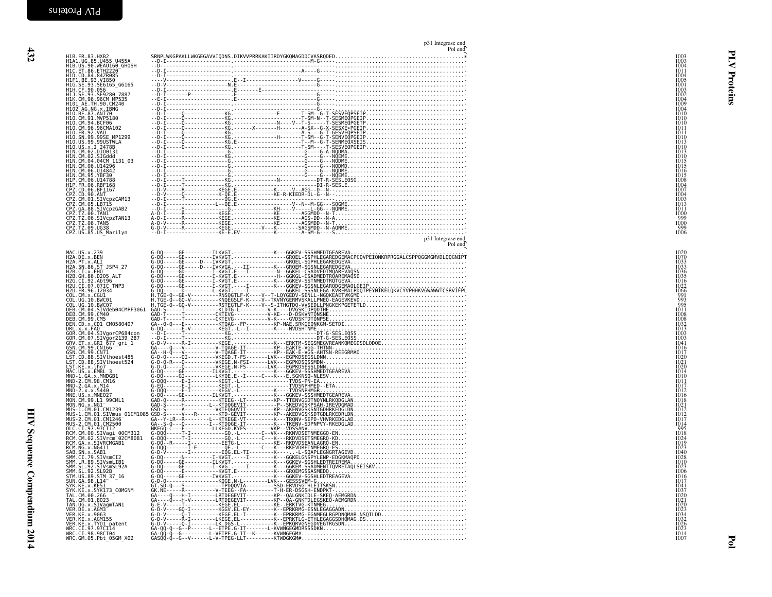|                                                                                                                                                                                                                                                                                                                                                                                                                                                                                                                                                                                                                                                                                                                                                                                                                                                                                                                                                                                                                                                                                                                                                                                                                                                             |  | p31 Integrase end<br>Pol end |  |
|-------------------------------------------------------------------------------------------------------------------------------------------------------------------------------------------------------------------------------------------------------------------------------------------------------------------------------------------------------------------------------------------------------------------------------------------------------------------------------------------------------------------------------------------------------------------------------------------------------------------------------------------------------------------------------------------------------------------------------------------------------------------------------------------------------------------------------------------------------------------------------------------------------------------------------------------------------------------------------------------------------------------------------------------------------------------------------------------------------------------------------------------------------------------------------------------------------------------------------------------------------------|--|------------------------------|--|
| H1B.FR.83.HXB2<br>H1A1.UG.85.U455 U455A<br>H1B.US.90.WEAU160 GHOSH<br>H1C.ET.86.ETH2220<br>H1D.CD.84.84ZR085<br>H1F1.BE.93.VI850                                                                                                                                                                                                                                                                                                                                                                                                                                                                                                                                                                                                                                                                                                                                                                                                                                                                                                                                                                                                                                                                                                                            |  |                              |  |
|                                                                                                                                                                                                                                                                                                                                                                                                                                                                                                                                                                                                                                                                                                                                                                                                                                                                                                                                                                                                                                                                                                                                                                                                                                                             |  |                              |  |
|                                                                                                                                                                                                                                                                                                                                                                                                                                                                                                                                                                                                                                                                                                                                                                                                                                                                                                                                                                                                                                                                                                                                                                                                                                                             |  |                              |  |
|                                                                                                                                                                                                                                                                                                                                                                                                                                                                                                                                                                                                                                                                                                                                                                                                                                                                                                                                                                                                                                                                                                                                                                                                                                                             |  |                              |  |
| HIF1.BE.93. VI859<br>HIB.CF.90.056<br>HIJ.SE.93. SE6165_G6165<br>HIJ.SE.93. SE9280_7887<br>HIM.CM.96.96CM_MP535<br>HIQ. AE.TH.90.CM240<br>HIQ.BE.87. ANT70<br>HIQ.BE.87. ANT70<br>HIQ.CM.91. NVP5188<br>HIQ.CM.91. NVP5188                                                                                                                                                                                                                                                                                                                                                                                                                                                                                                                                                                                                                                                                                                                                                                                                                                                                                                                                                                                                                                  |  |                              |  |
|                                                                                                                                                                                                                                                                                                                                                                                                                                                                                                                                                                                                                                                                                                                                                                                                                                                                                                                                                                                                                                                                                                                                                                                                                                                             |  |                              |  |
|                                                                                                                                                                                                                                                                                                                                                                                                                                                                                                                                                                                                                                                                                                                                                                                                                                                                                                                                                                                                                                                                                                                                                                                                                                                             |  |                              |  |
|                                                                                                                                                                                                                                                                                                                                                                                                                                                                                                                                                                                                                                                                                                                                                                                                                                                                                                                                                                                                                                                                                                                                                                                                                                                             |  |                              |  |
|                                                                                                                                                                                                                                                                                                                                                                                                                                                                                                                                                                                                                                                                                                                                                                                                                                                                                                                                                                                                                                                                                                                                                                                                                                                             |  |                              |  |
|                                                                                                                                                                                                                                                                                                                                                                                                                                                                                                                                                                                                                                                                                                                                                                                                                                                                                                                                                                                                                                                                                                                                                                                                                                                             |  |                              |  |
| H10.CM.94.BCF06<br>H10.CM.94.BCF06<br>H10.CM.96.96CMA102<br>H10.FR.92.VAU<br>H10.SN.99.99SE_MP1299                                                                                                                                                                                                                                                                                                                                                                                                                                                                                                                                                                                                                                                                                                                                                                                                                                                                                                                                                                                                                                                                                                                                                          |  |                              |  |
|                                                                                                                                                                                                                                                                                                                                                                                                                                                                                                                                                                                                                                                                                                                                                                                                                                                                                                                                                                                                                                                                                                                                                                                                                                                             |  |                              |  |
|                                                                                                                                                                                                                                                                                                                                                                                                                                                                                                                                                                                                                                                                                                                                                                                                                                                                                                                                                                                                                                                                                                                                                                                                                                                             |  |                              |  |
| H10. SN -99. 9995 MP1299<br>H10. US. 99. 9905TWLA<br>H10. US. x, 1 - 2478B<br>H1N. CM. 02. 5306d131<br>H1N. CM. 04. 04204<br>H1N. CM. 06. U14296<br>H1N. CM. 06. U14296<br>H1N. CM. 06. U14296                                                                                                                                                                                                                                                                                                                                                                                                                                                                                                                                                                                                                                                                                                                                                                                                                                                                                                                                                                                                                                                              |  |                              |  |
|                                                                                                                                                                                                                                                                                                                                                                                                                                                                                                                                                                                                                                                                                                                                                                                                                                                                                                                                                                                                                                                                                                                                                                                                                                                             |  |                              |  |
|                                                                                                                                                                                                                                                                                                                                                                                                                                                                                                                                                                                                                                                                                                                                                                                                                                                                                                                                                                                                                                                                                                                                                                                                                                                             |  |                              |  |
|                                                                                                                                                                                                                                                                                                                                                                                                                                                                                                                                                                                                                                                                                                                                                                                                                                                                                                                                                                                                                                                                                                                                                                                                                                                             |  |                              |  |
|                                                                                                                                                                                                                                                                                                                                                                                                                                                                                                                                                                                                                                                                                                                                                                                                                                                                                                                                                                                                                                                                                                                                                                                                                                                             |  |                              |  |
|                                                                                                                                                                                                                                                                                                                                                                                                                                                                                                                                                                                                                                                                                                                                                                                                                                                                                                                                                                                                                                                                                                                                                                                                                                                             |  |                              |  |
|                                                                                                                                                                                                                                                                                                                                                                                                                                                                                                                                                                                                                                                                                                                                                                                                                                                                                                                                                                                                                                                                                                                                                                                                                                                             |  |                              |  |
|                                                                                                                                                                                                                                                                                                                                                                                                                                                                                                                                                                                                                                                                                                                                                                                                                                                                                                                                                                                                                                                                                                                                                                                                                                                             |  |                              |  |
|                                                                                                                                                                                                                                                                                                                                                                                                                                                                                                                                                                                                                                                                                                                                                                                                                                                                                                                                                                                                                                                                                                                                                                                                                                                             |  |                              |  |
| H1N . Cm . 00 . U14842<br>H1P . CM . 05 . YBF30<br>H1P . CM . 06 . U14788<br>CPZ . CD . 06 . BF1167<br>CPZ . CD . 06 . BF1167<br>CPZ . CM . 01 . SIV-q2 CAM13<br>CPZ . CM . 01 . SIV-q2 CAM13<br>CPZ.CM.05.LB715                                                                                                                                                                                                                                                                                                                                                                                                                                                                                                                                                                                                                                                                                                                                                                                                                                                                                                                                                                                                                                            |  |                              |  |
| CPZ.GA.88.SIVcpzGAB2                                                                                                                                                                                                                                                                                                                                                                                                                                                                                                                                                                                                                                                                                                                                                                                                                                                                                                                                                                                                                                                                                                                                                                                                                                        |  |                              |  |
|                                                                                                                                                                                                                                                                                                                                                                                                                                                                                                                                                                                                                                                                                                                                                                                                                                                                                                                                                                                                                                                                                                                                                                                                                                                             |  |                              |  |
|                                                                                                                                                                                                                                                                                                                                                                                                                                                                                                                                                                                                                                                                                                                                                                                                                                                                                                                                                                                                                                                                                                                                                                                                                                                             |  |                              |  |
| CPZ. TZ.00. TAN1<br>CPZ. TZ.00. SIVCPZTAN13<br>CPZ. TZ.06. TAN5<br>CPZ. TZ.09. UG38                                                                                                                                                                                                                                                                                                                                                                                                                                                                                                                                                                                                                                                                                                                                                                                                                                                                                                                                                                                                                                                                                                                                                                         |  |                              |  |
| CPZ.US.85.US Marilyn                                                                                                                                                                                                                                                                                                                                                                                                                                                                                                                                                                                                                                                                                                                                                                                                                                                                                                                                                                                                                                                                                                                                                                                                                                        |  |                              |  |
|                                                                                                                                                                                                                                                                                                                                                                                                                                                                                                                                                                                                                                                                                                                                                                                                                                                                                                                                                                                                                                                                                                                                                                                                                                                             |  | p31 Integrase end            |  |
|                                                                                                                                                                                                                                                                                                                                                                                                                                                                                                                                                                                                                                                                                                                                                                                                                                                                                                                                                                                                                                                                                                                                                                                                                                                             |  | Pol end                      |  |
| MAC.US.x.239<br>H2A.DE.x.BEN                                                                                                                                                                                                                                                                                                                                                                                                                                                                                                                                                                                                                                                                                                                                                                                                                                                                                                                                                                                                                                                                                                                                                                                                                                |  |                              |  |
|                                                                                                                                                                                                                                                                                                                                                                                                                                                                                                                                                                                                                                                                                                                                                                                                                                                                                                                                                                                                                                                                                                                                                                                                                                                             |  |                              |  |
| H2A.PT.x.ALI<br>H2A.SN.86.ST_JSP4_27                                                                                                                                                                                                                                                                                                                                                                                                                                                                                                                                                                                                                                                                                                                                                                                                                                                                                                                                                                                                                                                                                                                                                                                                                        |  |                              |  |
|                                                                                                                                                                                                                                                                                                                                                                                                                                                                                                                                                                                                                                                                                                                                                                                                                                                                                                                                                                                                                                                                                                                                                                                                                                                             |  |                              |  |
| H2B.CI.x.EHO<br>H2B.GH.86.D205 ALT<br>H2G.CI.92.Abt96                                                                                                                                                                                                                                                                                                                                                                                                                                                                                                                                                                                                                                                                                                                                                                                                                                                                                                                                                                                                                                                                                                                                                                                                       |  |                              |  |
|                                                                                                                                                                                                                                                                                                                                                                                                                                                                                                                                                                                                                                                                                                                                                                                                                                                                                                                                                                                                                                                                                                                                                                                                                                                             |  |                              |  |
|                                                                                                                                                                                                                                                                                                                                                                                                                                                                                                                                                                                                                                                                                                                                                                                                                                                                                                                                                                                                                                                                                                                                                                                                                                                             |  |                              |  |
|                                                                                                                                                                                                                                                                                                                                                                                                                                                                                                                                                                                                                                                                                                                                                                                                                                                                                                                                                                                                                                                                                                                                                                                                                                                             |  |                              |  |
|                                                                                                                                                                                                                                                                                                                                                                                                                                                                                                                                                                                                                                                                                                                                                                                                                                                                                                                                                                                                                                                                                                                                                                                                                                                             |  |                              |  |
| H2G.CL-92.ADT0<br>H2U.CI.87.071C<br>CDL.CM.x.CGU1<br>COL.CM.x.CGU1<br>COL.UG.10.BWC07<br>DEB.CM.04.SIV0e07<br>DEB.CM.04.SIV0eb04CMPF3061                                                                                                                                                                                                                                                                                                                                                                                                                                                                                                                                                                                                                                                                                                                                                                                                                                                                                                                                                                                                                                                                                                                    |  |                              |  |
| DEB. CM. 99. CM40                                                                                                                                                                                                                                                                                                                                                                                                                                                                                                                                                                                                                                                                                                                                                                                                                                                                                                                                                                                                                                                                                                                                                                                                                                           |  |                              |  |
| DEB.CM.99.CM5<br>DEN.CD.x.CD1_CM0580407                                                                                                                                                                                                                                                                                                                                                                                                                                                                                                                                                                                                                                                                                                                                                                                                                                                                                                                                                                                                                                                                                                                                                                                                                     |  |                              |  |
|                                                                                                                                                                                                                                                                                                                                                                                                                                                                                                                                                                                                                                                                                                                                                                                                                                                                                                                                                                                                                                                                                                                                                                                                                                                             |  |                              |  |
|                                                                                                                                                                                                                                                                                                                                                                                                                                                                                                                                                                                                                                                                                                                                                                                                                                                                                                                                                                                                                                                                                                                                                                                                                                                             |  |                              |  |
|                                                                                                                                                                                                                                                                                                                                                                                                                                                                                                                                                                                                                                                                                                                                                                                                                                                                                                                                                                                                                                                                                                                                                                                                                                                             |  |                              |  |
|                                                                                                                                                                                                                                                                                                                                                                                                                                                                                                                                                                                                                                                                                                                                                                                                                                                                                                                                                                                                                                                                                                                                                                                                                                                             |  |                              |  |
|                                                                                                                                                                                                                                                                                                                                                                                                                                                                                                                                                                                                                                                                                                                                                                                                                                                                                                                                                                                                                                                                                                                                                                                                                                                             |  |                              |  |
|                                                                                                                                                                                                                                                                                                                                                                                                                                                                                                                                                                                                                                                                                                                                                                                                                                                                                                                                                                                                                                                                                                                                                                                                                                                             |  |                              |  |
|                                                                                                                                                                                                                                                                                                                                                                                                                                                                                                                                                                                                                                                                                                                                                                                                                                                                                                                                                                                                                                                                                                                                                                                                                                                             |  |                              |  |
|                                                                                                                                                                                                                                                                                                                                                                                                                                                                                                                                                                                                                                                                                                                                                                                                                                                                                                                                                                                                                                                                                                                                                                                                                                                             |  |                              |  |
|                                                                                                                                                                                                                                                                                                                                                                                                                                                                                                                                                                                                                                                                                                                                                                                                                                                                                                                                                                                                                                                                                                                                                                                                                                                             |  |                              |  |
|                                                                                                                                                                                                                                                                                                                                                                                                                                                                                                                                                                                                                                                                                                                                                                                                                                                                                                                                                                                                                                                                                                                                                                                                                                                             |  |                              |  |
|                                                                                                                                                                                                                                                                                                                                                                                                                                                                                                                                                                                                                                                                                                                                                                                                                                                                                                                                                                                                                                                                                                                                                                                                                                                             |  |                              |  |
|                                                                                                                                                                                                                                                                                                                                                                                                                                                                                                                                                                                                                                                                                                                                                                                                                                                                                                                                                                                                                                                                                                                                                                                                                                                             |  |                              |  |
|                                                                                                                                                                                                                                                                                                                                                                                                                                                                                                                                                                                                                                                                                                                                                                                                                                                                                                                                                                                                                                                                                                                                                                                                                                                             |  |                              |  |
|                                                                                                                                                                                                                                                                                                                                                                                                                                                                                                                                                                                                                                                                                                                                                                                                                                                                                                                                                                                                                                                                                                                                                                                                                                                             |  |                              |  |
|                                                                                                                                                                                                                                                                                                                                                                                                                                                                                                                                                                                                                                                                                                                                                                                                                                                                                                                                                                                                                                                                                                                                                                                                                                                             |  |                              |  |
|                                                                                                                                                                                                                                                                                                                                                                                                                                                                                                                                                                                                                                                                                                                                                                                                                                                                                                                                                                                                                                                                                                                                                                                                                                                             |  |                              |  |
|                                                                                                                                                                                                                                                                                                                                                                                                                                                                                                                                                                                                                                                                                                                                                                                                                                                                                                                                                                                                                                                                                                                                                                                                                                                             |  |                              |  |
|                                                                                                                                                                                                                                                                                                                                                                                                                                                                                                                                                                                                                                                                                                                                                                                                                                                                                                                                                                                                                                                                                                                                                                                                                                                             |  |                              |  |
|                                                                                                                                                                                                                                                                                                                                                                                                                                                                                                                                                                                                                                                                                                                                                                                                                                                                                                                                                                                                                                                                                                                                                                                                                                                             |  |                              |  |
|                                                                                                                                                                                                                                                                                                                                                                                                                                                                                                                                                                                                                                                                                                                                                                                                                                                                                                                                                                                                                                                                                                                                                                                                                                                             |  |                              |  |
|                                                                                                                                                                                                                                                                                                                                                                                                                                                                                                                                                                                                                                                                                                                                                                                                                                                                                                                                                                                                                                                                                                                                                                                                                                                             |  |                              |  |
|                                                                                                                                                                                                                                                                                                                                                                                                                                                                                                                                                                                                                                                                                                                                                                                                                                                                                                                                                                                                                                                                                                                                                                                                                                                             |  |                              |  |
|                                                                                                                                                                                                                                                                                                                                                                                                                                                                                                                                                                                                                                                                                                                                                                                                                                                                                                                                                                                                                                                                                                                                                                                                                                                             |  |                              |  |
|                                                                                                                                                                                                                                                                                                                                                                                                                                                                                                                                                                                                                                                                                                                                                                                                                                                                                                                                                                                                                                                                                                                                                                                                                                                             |  |                              |  |
|                                                                                                                                                                                                                                                                                                                                                                                                                                                                                                                                                                                                                                                                                                                                                                                                                                                                                                                                                                                                                                                                                                                                                                                                                                                             |  |                              |  |
|                                                                                                                                                                                                                                                                                                                                                                                                                                                                                                                                                                                                                                                                                                                                                                                                                                                                                                                                                                                                                                                                                                                                                                                                                                                             |  |                              |  |
|                                                                                                                                                                                                                                                                                                                                                                                                                                                                                                                                                                                                                                                                                                                                                                                                                                                                                                                                                                                                                                                                                                                                                                                                                                                             |  |                              |  |
|                                                                                                                                                                                                                                                                                                                                                                                                                                                                                                                                                                                                                                                                                                                                                                                                                                                                                                                                                                                                                                                                                                                                                                                                                                                             |  |                              |  |
|                                                                                                                                                                                                                                                                                                                                                                                                                                                                                                                                                                                                                                                                                                                                                                                                                                                                                                                                                                                                                                                                                                                                                                                                                                                             |  |                              |  |
|                                                                                                                                                                                                                                                                                                                                                                                                                                                                                                                                                                                                                                                                                                                                                                                                                                                                                                                                                                                                                                                                                                                                                                                                                                                             |  |                              |  |
|                                                                                                                                                                                                                                                                                                                                                                                                                                                                                                                                                                                                                                                                                                                                                                                                                                                                                                                                                                                                                                                                                                                                                                                                                                                             |  |                              |  |
|                                                                                                                                                                                                                                                                                                                                                                                                                                                                                                                                                                                                                                                                                                                                                                                                                                                                                                                                                                                                                                                                                                                                                                                                                                                             |  |                              |  |
|                                                                                                                                                                                                                                                                                                                                                                                                                                                                                                                                                                                                                                                                                                                                                                                                                                                                                                                                                                                                                                                                                                                                                                                                                                                             |  |                              |  |
| DRL.x.x.F80<br>GOR.CM.04.SIVgorCP684con<br>GOR.CM.04.SIVgorCP684con<br>GRV.ET.x.GRI 677_gri_1<br>GSN.CM.99.CNI66<br>CSN.CM.99.CNI66<br>GSN.CM.99.CN71<br>LST.CD.88.SIVlhoest485<br>LST.CD.88.SIVlhoest524<br>LST.CD.88.Slv.noe<br>MAC.US.x.EMBL3<br>MND-1.GA.x.MDBB1<br>MND-2.CM.98.CM16<br>MND-2.CA.x.K14<br>MND-2.CA.x.K14<br>MND-2.x.x.5440<br>MND-1.c<br>MND-2.x.x.5440<br>MNE.US.x.x.5440<br>MON.NG.x.NGI-99.L1_99CML1<br>MON.NG.x.NGI-99.L1_99<br>MUS-1.CM.01.51Vmus_01CM1085<br>MUS-2.CM.01.51Vmus_01CM1085<br>MUS-2.CM.01.CM2500<br>RCM.CM.00.51Vagi_00CM312<br>RCM.CM.00.51Vagi_00CM312<br>RCM.CM.00.51Vagi_0<br>RCM.GA.x.SIVRCMGAB1<br>RCM. NG. x . NGATH<br>RCM. NG. x . NGA11<br>SAB . SN. x . SAB1<br>SMM. CI. x . 9. SIV<br>SMM. CI. x . 9. SIV<br>SMM. SL. 92 . SIVSMLIB1<br>SMM. SL. 92 . SL92B<br>STM. US. 89 . STM . 37 . 16<br>SMM. US. 89 . STM . 37 . 16<br>SMM. US. 89 . ST<br>SIM. 03. 09. 51m<br>SYK. KE. x. KE51<br>SYK. KE. x. KE51<br>TAL. CM. 00. 266<br>TAL. CM. 01. 8023<br>TAL. CM. 01. 8023<br>TAN. UG. x. SUZ3<br>TAN. UG. x. SIVagmTAN1<br>VER. DE. x. AGM3<br>VER. KE. x. 9063<br>VER. KE. x. AGM155<br>VER. KE. x. TY01 patent<br>WRC. CI. 97. 97CI14<br>WRC.CI.98.98CI04<br>WRC.CI.98.98CI04<br>WRC.GM.05.Pbt 05GM X02 |  |                              |  |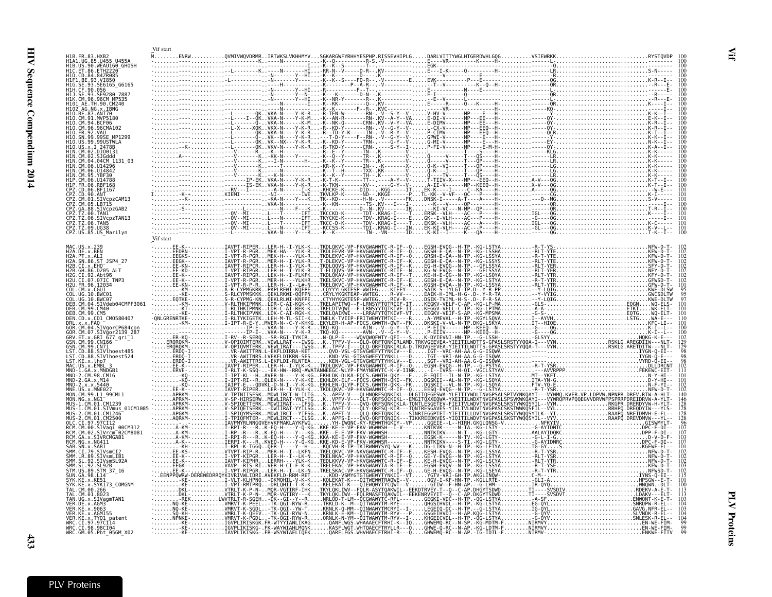<span id="page-22-0"></span>

|                                                                 | Vif start                                                                                     |                                               |                                              |                   |                                                                                                                                                                         |  |  |
|-----------------------------------------------------------------|-----------------------------------------------------------------------------------------------|-----------------------------------------------|----------------------------------------------|-------------------|-------------------------------------------------------------------------------------------------------------------------------------------------------------------------|--|--|
| 11R FR 83 HXR<br>H1A1 UG 85 U455 U455/                          | MENRWQVMIVWQVDRMRIRTWKSLVKHHMYVSGKARGWFYRHHYESPHP.RISSEVHIPLGDARLVITTYWGLHTGERDWHLGQGVSIEWRKK |                                               |                                              |                   |                                                                                                                                                                         |  |  |
| HIB.US.90.WEAU160_GHOSH<br>HIC.ET.86.ETH2220                    |                                                                                               |                                               |                                              |                   |                                                                                                                                                                         |  |  |
| 10.CD.84.84ZR085                                                |                                                                                               |                                               |                                              |                   |                                                                                                                                                                         |  |  |
| SE6165 G6165                                                    |                                                                                               |                                               |                                              |                   |                                                                                                                                                                         |  |  |
|                                                                 |                                                                                               |                                               |                                              |                   |                                                                                                                                                                         |  |  |
| 7887<br><b>SE9280</b><br>. CM . 96                              |                                                                                               |                                               |                                              |                   |                                                                                                                                                                         |  |  |
| 6.96CM MP535<br>TH.90.CM240<br>NG.x.IBNG                        |                                                                                               |                                               |                                              |                   |                                                                                                                                                                         |  |  |
| 87 ANT70                                                        |                                                                                               |                                               |                                              |                   |                                                                                                                                                                         |  |  |
|                                                                 |                                                                                               |                                               |                                              |                   |                                                                                                                                                                         |  |  |
| 96CMA102<br>VAII                                                |                                                                                               |                                               |                                              |                   |                                                                                                                                                                         |  |  |
| 99SE MP1299                                                     |                                                                                               |                                               |                                              |                   |                                                                                                                                                                         |  |  |
| .99USTWLA<br>410. IIS. 99<br>2478B                              |                                                                                               |                                               |                                              |                   |                                                                                                                                                                         |  |  |
| 100131                                                          |                                                                                               |                                               |                                              |                   |                                                                                                                                                                         |  |  |
| H1N.CM.04.04CM 1131 03                                          |                                                                                               |                                               |                                              |                   |                                                                                                                                                                         |  |  |
|                                                                 |                                                                                               |                                               |                                              |                   |                                                                                                                                                                         |  |  |
|                                                                 |                                                                                               |                                               |                                              |                   |                                                                                                                                                                         |  |  |
| 1P.FR.06.RBF168                                                 |                                                                                               |                                               |                                              |                   |                                                                                                                                                                         |  |  |
| BF1167<br>.CD.90.ANT                                            |                                                                                               |                                               |                                              |                   |                                                                                                                                                                         |  |  |
| SIVcpzCAM13                                                     |                                                                                               |                                               |                                              |                   |                                                                                                                                                                         |  |  |
| CM 05.<br><b>IR715</b><br>GA.88.SIVCDZGAB2                      |                                                                                               |                                               |                                              |                   |                                                                                                                                                                         |  |  |
| PZ.TZ.00.TAN1<br>PZ.TZ.06.SIVcpzTAN13                           |                                                                                               |                                               |                                              |                   |                                                                                                                                                                         |  |  |
| PZ.TZ.06.TAN5                                                   |                                                                                               |                                               |                                              |                   |                                                                                                                                                                         |  |  |
| CPZ.TZ.09.UG38<br>CPZ.US.85.US Marilyn                          |                                                                                               |                                               |                                              |                   |                                                                                                                                                                         |  |  |
|                                                                 | Vif start                                                                                     |                                               |                                              |                   |                                                                                                                                                                         |  |  |
| MAC.US.x.239                                                    |                                                                                               | IAVPT-RIPERLER-H--I-YLK-K.                    |                                              |                   |                                                                                                                                                                         |  |  |
| H2A.DE.x.BEN<br>H2A.PT.x.ALI                                    |                                                                                               |                                               |                                              |                   |                                                                                                                                                                         |  |  |
| SN.86.ST<br>H2A.<br>JSP4 27                                     |                                                                                               |                                               |                                              |                   |                                                                                                                                                                         |  |  |
|                                                                 |                                                                                               |                                               |                                              |                   |                                                                                                                                                                         |  |  |
| 12G.CI.92.Abt96<br>CI.07.07IC TNP                               |                                                                                               |                                               |                                              |                   |                                                                                                                                                                         |  |  |
| I2U.FR.96.12034                                                 |                                                                                               |                                               |                                              |                   |                                                                                                                                                                         |  |  |
|                                                                 |                                                                                               |                                               |                                              |                   |                                                                                                                                                                         |  |  |
| UG 10 BWC07<br>.CM.04.SIVdeb04CMPF306                           |                                                                                               |                                               |                                              |                   |                                                                                                                                                                         |  |  |
| DEB.CM.99.CM40<br>CM 99 CM5                                     |                                                                                               |                                               |                                              |                   |                                                                                                                                                                         |  |  |
| DEN.CD.x.CD1 CM0580407                                          | KE<br>.QNLGRENRTKE                                                                            |                                               |                                              |                   |                                                                                                                                                                         |  |  |
| RI x x FAO<br>.CM.04.SIVgorCP684cor                             |                                                                                               |                                               |                                              |                   |                                                                                                                                                                         |  |  |
| SIVğor2139 287                                                  |                                                                                               |                                               |                                              |                   |                                                                                                                                                                         |  |  |
| 677_gri_1<br>CM.99.CN166                                        |                                                                                               |                                               |                                              |                   |                                                                                                                                                                         |  |  |
| 19 CN71<br>ST.CD.88.SIVlhoest485-                               |                                                                                               |                                               |                                              |                   |                                                                                                                                                                         |  |  |
| SIVlhoest524                                                    |                                                                                               |                                               |                                              |                   |                                                                                                                                                                         |  |  |
| KF x 1ho7<br>IIS x FMRI                                         |                                                                                               |                                               |                                              |                   |                                                                                                                                                                         |  |  |
| $-1.GA.x.MNDGB1$<br>2. CM. 98. CM16                             |                                                                                               |                                               |                                              |                   |                                                                                                                                                                         |  |  |
| 2.GA.x.M14                                                      |                                                                                               |                                               |                                              |                   |                                                                                                                                                                         |  |  |
| $x \cdot x$<br>MNE027                                           |                                                                                               |                                               |                                              |                   |                                                                                                                                                                         |  |  |
| MON.CM.99.L1 99CML1<br>MON                                      |                                                                                               |                                               |                                              |                   |                                                                                                                                                                         |  |  |
| $-1.$ CM.01.CM1239<br>MUS<br>MUS<br>SIVmus 01CM1085<br>.1.CM.01 |                                                                                               |                                               |                                              |                   |                                                                                                                                                                         |  |  |
| CM.01.CM1246<br>MUS                                             |                                                                                               |                                               |                                              |                   |                                                                                                                                                                         |  |  |
| MŪŠ.<br>$-2.$ CM $-01.$ CM2500<br>OLC.CI.97.97CI12              |                                                                                               |                                               |                                              |                   |                                                                                                                                                                         |  |  |
| .CM.00.SIVagi<br>00CM312                                        |                                                                                               |                                               |                                              |                   |                                                                                                                                                                         |  |  |
| .GA.x.SIVRCMGAB1                                                |                                                                                               |                                               |                                              |                   |                                                                                                                                                                         |  |  |
| RCM.NG.x.NG411<br>SAB.SN.x.SAB1                                 |                                                                                               |                                               |                                              |                   |                                                                                                                                                                         |  |  |
| SMM.CI.79.SIVsmCI                                               |                                                                                               |                                               |                                              |                   |                                                                                                                                                                         |  |  |
| SMM.LR.89.SIVsmLIB1<br>SIVsmSL92A<br>. SL . 92                  |                                                                                               |                                               |                                              |                   |                                                                                                                                                                         |  |  |
| -92<br>SI 92R<br>TM.US.89.STM 37 16                             |                                                                                               |                                               |                                              |                   |                                                                                                                                                                         |  |  |
| SUN GA 98 L14                                                   |                                                                                               |                                               |                                              |                   |                                                                                                                                                                         |  |  |
| SYK.KE.x.KE51<br>/K.KE.x.SYK173 COMGNM                          |                                                                                               | .I-VLT-KLHPNQ-DKMQHIL-V-<br>Ī-VPT-RMTPRO-DRL  |                                              |                   | R-K:KOLEKAT-K:--OITWEWWTRAOWE--V-OGV-I-KE-HN-TP.-RGC<br>K-K-KELEKAT-K---OIEWOWYTYCOWT--V-GTTW--F-HN-TP.-GC<br>IHKTKYLOKLIWV--FOLR-ASYTOAKWIL--EEKDTRVEY-T--O--C-AP.DHGY |  |  |
|                                                                 |                                                                                               |                                               | TKYLQKLIWV--FQLRMASFTQAKWIL--EEKENRVEYIT--Q- |                   |                                                                                                                                                                         |  |  |
| TAN.UG.x.SIVagmTAN1                                             |                                                                                               | SGEH. . - DK - - GI - - Y -                   | NRLQD-T-LM--QCGWAWYTC-RFL----                |                   | .GEGKI-VDĆ--H-TP.                                                                                                                                                       |  |  |
| DE.x.AGM3<br>KE.x.9063                                          |                                                                                               | PEEL-TK-QGI-RYW<br>.VMRVT-K-SGDL-TK-QGI--YW-T | . TRKLD-K--M-<br>. KRNLK-Q-MM-               | OTNWAWYTMCRYI--I- | LEGETO-DC--H                                                                                                                                                            |  |  |
| KE.x.AGM155<br>KE.x.TY01_patent                                 |                                                                                               | ∙0EEV-TK∙<br>PGDI - TK - OG                   | KRNIK-F-KM-<br>ORNI K-N-YM-                  |                   | FHVDT -<br>KHGFTCVDL - - H-TP.                                                                                                                                          |  |  |
| WRC.CI.97.97CT14                                                |                                                                                               |                                               |                                              |                   | $\ldots$ QANFLWGS.WHAAAECFTRHI-K--IQGHWEMQ-RC--N-SP.                                                                                                                    |  |  |
|                                                                 |                                                                                               | KISKG-.FR-WSYWIAEL                            |                                              |                   | KASFLWGT.WHTQAECFTRYLLR---QGHWE-Q-RC--N-AP.-KG-LDTM-F                                                                                                                   |  |  |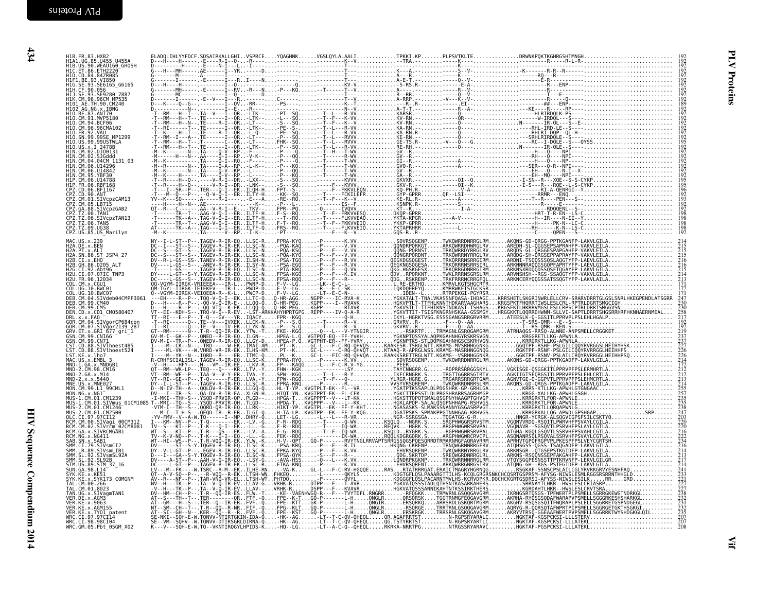| H1B.FR.83.HXB2<br>H1A1.UG.85.U455 U455A                                                                                                                                                                                                              |  |  |                                                             |
|------------------------------------------------------------------------------------------------------------------------------------------------------------------------------------------------------------------------------------------------------|--|--|-------------------------------------------------------------|
| HIB.US.90.WEAUI60_GHOSH<br>HIC.ET.86.ETH2220<br>HID.CD.84.84ZR085                                                                                                                                                                                    |  |  |                                                             |
| H1D. CD. 84.842R085<br>H1F1.BE.93.VI850<br>H1G.SE.93.SE6165_G6165<br>H1J. SE.93.SE9280_7887<br>H1J. SE.93.SE9280_7887<br>H1O. AE.1H.90.CM240<br>H1O. AE.87.ANT70<br>H1O. BE.87.ANT70<br>H1O. BE.87.ANT70<br>H1O. CM.91. MP5180<br>H1O. CM.91. MP5180 |  |  |                                                             |
|                                                                                                                                                                                                                                                      |  |  |                                                             |
|                                                                                                                                                                                                                                                      |  |  |                                                             |
| H10. CM. 94. BCF06                                                                                                                                                                                                                                   |  |  |                                                             |
| H10.CM.96.96CMA102<br>HIU.CM: 90.90CMAI02<br>HIO.FR.92.VAU<br>HIO.SN.99.99SE_MP1299<br>HIO.US.99.99USTWLA<br>HIN.CM.02.DJ00131<br>HIN.CM.02.DJ00131<br>HIN.CM.02.DJ00131                                                                             |  |  |                                                             |
|                                                                                                                                                                                                                                                      |  |  |                                                             |
| HIN.CM.04.04CM 1131 03                                                                                                                                                                                                                               |  |  |                                                             |
| H1N.CM.06.U14296                                                                                                                                                                                                                                     |  |  |                                                             |
|                                                                                                                                                                                                                                                      |  |  |                                                             |
| HIN.CM.06.U14296<br>HIN.CM.06.U14842<br>HIN.CM.95.YBF30<br>HIP.CM.06.U14788<br>CPZ.CD.06.BF1167<br>CPZ.CD.06.BF1167<br>CPZ.CD.09.ANT                                                                                                                 |  |  |                                                             |
| CPZ.CM.01.SIVcpzCAM13<br>CPZ.CM.05.LB715<br>CPZ.GA.88.SIVcpzGAB2                                                                                                                                                                                     |  |  |                                                             |
| CPZ.TZ.00.TAN1                                                                                                                                                                                                                                       |  |  |                                                             |
| ČPŽ. TŽ. 06. SIVCpzTAN13<br>CPZ. TZ. 06. TAN5<br>CPZ. TZ. 09. UG38                                                                                                                                                                                   |  |  |                                                             |
|                                                                                                                                                                                                                                                      |  |  |                                                             |
|                                                                                                                                                                                                                                                      |  |  |                                                             |
|                                                                                                                                                                                                                                                      |  |  |                                                             |
|                                                                                                                                                                                                                                                      |  |  |                                                             |
|                                                                                                                                                                                                                                                      |  |  |                                                             |
|                                                                                                                                                                                                                                                      |  |  |                                                             |
|                                                                                                                                                                                                                                                      |  |  |                                                             |
|                                                                                                                                                                                                                                                      |  |  |                                                             |
|                                                                                                                                                                                                                                                      |  |  |                                                             |
|                                                                                                                                                                                                                                                      |  |  |                                                             |
|                                                                                                                                                                                                                                                      |  |  |                                                             |
|                                                                                                                                                                                                                                                      |  |  |                                                             |
|                                                                                                                                                                                                                                                      |  |  |                                                             |
|                                                                                                                                                                                                                                                      |  |  |                                                             |
|                                                                                                                                                                                                                                                      |  |  |                                                             |
|                                                                                                                                                                                                                                                      |  |  |                                                             |
|                                                                                                                                                                                                                                                      |  |  |                                                             |
|                                                                                                                                                                                                                                                      |  |  |                                                             |
|                                                                                                                                                                                                                                                      |  |  |                                                             |
|                                                                                                                                                                                                                                                      |  |  |                                                             |
|                                                                                                                                                                                                                                                      |  |  |                                                             |
|                                                                                                                                                                                                                                                      |  |  |                                                             |
|                                                                                                                                                                                                                                                      |  |  |                                                             |
|                                                                                                                                                                                                                                                      |  |  | $\frac{232}{231}$<br>$\frac{232}{235}$<br>$\frac{235}{207}$ |
|                                                                                                                                                                                                                                                      |  |  |                                                             |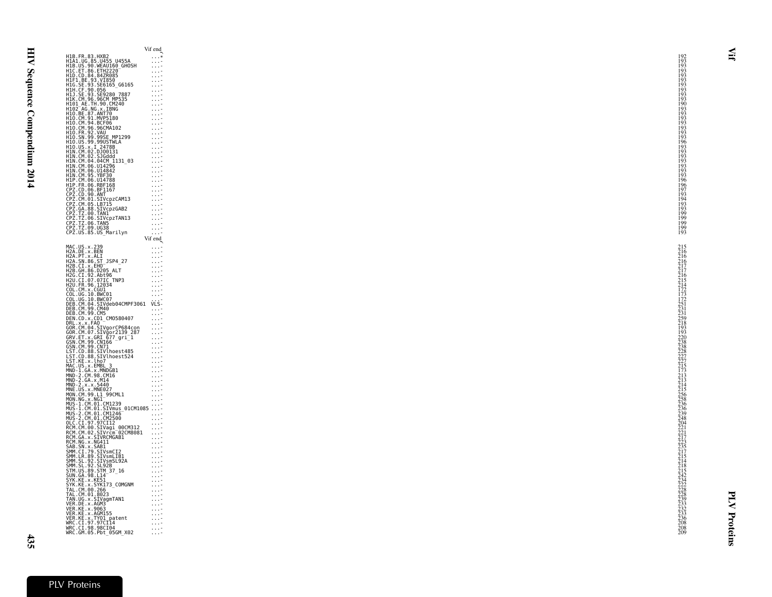|                                                                                                                                                                                                                                                                                              |                                                                                                                                                                                                                                                        | $\cdots$ *<br>$\cdots$                                                                                                                                                                                                                                                                                                                                                                                                                                               |
|----------------------------------------------------------------------------------------------------------------------------------------------------------------------------------------------------------------------------------------------------------------------------------------------|--------------------------------------------------------------------------------------------------------------------------------------------------------------------------------------------------------------------------------------------------------|----------------------------------------------------------------------------------------------------------------------------------------------------------------------------------------------------------------------------------------------------------------------------------------------------------------------------------------------------------------------------------------------------------------------------------------------------------------------|
|                                                                                                                                                                                                                                                                                              | H1B.FR.83.HXB2<br>H1A1.UG.85.U455 U455A<br>H1B.US.90.WEAU160 GHOSH<br>H1C.ET.86.ETH2220<br>H1D.CD.84.84ZR085<br>H1F1.BE.93.VEA165                                                                                                                      | $\epsilon \sim \epsilon^{-2}$<br>$\sim$ - $\sim$ $^{\circ}$                                                                                                                                                                                                                                                                                                                                                                                                          |
|                                                                                                                                                                                                                                                                                              |                                                                                                                                                                                                                                                        | $\sim 10^{-11}$<br>$\sim 1000$                                                                                                                                                                                                                                                                                                                                                                                                                                       |
|                                                                                                                                                                                                                                                                                              | H1G.SE.93.SE6165 G6165                                                                                                                                                                                                                                 | $\sim$ , $\sim$ $\sim$                                                                                                                                                                                                                                                                                                                                                                                                                                               |
|                                                                                                                                                                                                                                                                                              |                                                                                                                                                                                                                                                        | $\sim 100$<br>$\sim$ $\sim$ $\sim$ $\sim$                                                                                                                                                                                                                                                                                                                                                                                                                            |
|                                                                                                                                                                                                                                                                                              |                                                                                                                                                                                                                                                        | $\sim$ - $\sim$ $\sim$<br>$\epsilon \sim \epsilon^{-2}$                                                                                                                                                                                                                                                                                                                                                                                                              |
|                                                                                                                                                                                                                                                                                              | HIH. CF. 99. 056<br>HIJ. SE. 99. 056<br>HIJ. SE. 93. SE9280 7887<br>HIK. CM. 96. 96CM MP535<br>HI01_AE. TH. 99. CM240<br>HI02_AG. NG. x. IBNG<br>HI02_BG. 87. ANT79.90<br>HI0. BE. 87. ANT79.90                                                        | $\sim$ - $\sim$<br>$\sim$ $\sim$ $\sim$ $\sim$                                                                                                                                                                                                                                                                                                                                                                                                                       |
| H10.CM.91.MVP5180<br>H10.CM.94.BCF06                                                                                                                                                                                                                                                         |                                                                                                                                                                                                                                                        | $\ldots$ .<br>$\sim 10^{-11}$                                                                                                                                                                                                                                                                                                                                                                                                                                        |
| H10.CM.96.96CMA102                                                                                                                                                                                                                                                                           |                                                                                                                                                                                                                                                        | $\sim 10^{-11}$<br>$\sim 10^{-1}$                                                                                                                                                                                                                                                                                                                                                                                                                                    |
|                                                                                                                                                                                                                                                                                              | H10. FR. 92. VAU<br>H10. SN. 99. 99SE_MP1299<br>H10. US. 99. 99USTWLA<br>H10. US. x, I_2478B                                                                                                                                                           | $\sim$ $\sim$ $\sim$ $\sim$<br>$\sim$ $\sim$ $\sim$                                                                                                                                                                                                                                                                                                                                                                                                                  |
|                                                                                                                                                                                                                                                                                              |                                                                                                                                                                                                                                                        | $\sim$ $\sim$ $\sim$ $\sim$                                                                                                                                                                                                                                                                                                                                                                                                                                          |
|                                                                                                                                                                                                                                                                                              | H1N.CM.02.DJ00131<br>H1N.CM.02.SJGddd<br>H1N.CM.02.SJGddd<br>H1N.CM.04.04CM_1131_03<br>H1N.CM.06.U14296                                                                                                                                                | $\sim$ - $\sim$<br>$\sim$ - $\sim$ $^{\circ}$                                                                                                                                                                                                                                                                                                                                                                                                                        |
|                                                                                                                                                                                                                                                                                              |                                                                                                                                                                                                                                                        | $\ldots$ .<br>$\sim 1000$                                                                                                                                                                                                                                                                                                                                                                                                                                            |
| H1N.CM.06.U14842<br>H1N.CM.95.YBF30                                                                                                                                                                                                                                                          |                                                                                                                                                                                                                                                        | $\sim$ , $\sim$ $\sim$<br>$\cdots$                                                                                                                                                                                                                                                                                                                                                                                                                                   |
|                                                                                                                                                                                                                                                                                              |                                                                                                                                                                                                                                                        | $\sim$ $\sim$ $\sim$ $\sim$<br>$\sim$ - $\sim$                                                                                                                                                                                                                                                                                                                                                                                                                       |
|                                                                                                                                                                                                                                                                                              | H1P.CM.06.014788<br>H1P.FR.06.RBF168<br>CPZ.CD.06.RBF168<br>CPZ.CD.00.ANT<br>CPZ.CM.01.SIV <pr></pr> CPZ.CM13                                                                                                                                          | $\sim$ - $\sim$ $^{\circ}$<br>$\epsilon \sim \epsilon^{-2}$                                                                                                                                                                                                                                                                                                                                                                                                          |
|                                                                                                                                                                                                                                                                                              |                                                                                                                                                                                                                                                        | $\sim$ $\sim$ $\sim$ $\sim$                                                                                                                                                                                                                                                                                                                                                                                                                                          |
| CPZ.CM.05.LB715                                                                                                                                                                                                                                                                              |                                                                                                                                                                                                                                                        | $\sim$ , $\sim$<br>$\sim$ $\sim$ $\sim$ $\sim$                                                                                                                                                                                                                                                                                                                                                                                                                       |
|                                                                                                                                                                                                                                                                                              |                                                                                                                                                                                                                                                        | $\sim$ , $\sim$ $\sim$<br>$\sim 100$                                                                                                                                                                                                                                                                                                                                                                                                                                 |
|                                                                                                                                                                                                                                                                                              | CPZ. TZ. 00. TAN1<br>CPZ. TZ. 00. TAN1<br>CPZ. TZ. 06. SIVcpzTAN13<br>CPZ. TZ. 09. UG38                                                                                                                                                                | $\sim 1000$<br>$\sim 10^{-2}$                                                                                                                                                                                                                                                                                                                                                                                                                                        |
| CPZ.US.85.US_Marilyn                                                                                                                                                                                                                                                                         |                                                                                                                                                                                                                                                        | $\sim$ $\sim$ $\sim$ $\sim$                                                                                                                                                                                                                                                                                                                                                                                                                                          |
| MAC.US.x.239                                                                                                                                                                                                                                                                                 |                                                                                                                                                                                                                                                        | Vif end<br>1.117                                                                                                                                                                                                                                                                                                                                                                                                                                                     |
| H2A.DE.x.BEN<br>H2A.PT.x.ALI                                                                                                                                                                                                                                                                 |                                                                                                                                                                                                                                                        | $\sim$ $\sim$ $\sim$ $^{-1}$<br>$\ldots$ .                                                                                                                                                                                                                                                                                                                                                                                                                           |
| H2A.SN.86.ST_JSP4_27<br>H2B.CI.x.EH0                                                                                                                                                                                                                                                         |                                                                                                                                                                                                                                                        | $\sim 10^{-11}$                                                                                                                                                                                                                                                                                                                                                                                                                                                      |
| H2B.CL.X.EHU<br>H2B.CH.86.D205 ALT<br>H2G.CI.92.Abt96<br>H2U.CI.07.07IC TNP3<br>H2U.FR.96.12034<br>COL.CM.x.CGU1<br>COL.CM.x.CGU1                                                                                                                                                            |                                                                                                                                                                                                                                                        | $\ldots$ .<br>$\sim 10^{-1}$                                                                                                                                                                                                                                                                                                                                                                                                                                         |
|                                                                                                                                                                                                                                                                                              |                                                                                                                                                                                                                                                        | $\sim$ $\sim$ $\sim$ $\sim$<br>$\sim$ - $\sim$ $\sim$                                                                                                                                                                                                                                                                                                                                                                                                                |
|                                                                                                                                                                                                                                                                                              |                                                                                                                                                                                                                                                        | $\sim$ - $\sim$ $\sim$<br>$\sim$ - $\sim$ $\sim$                                                                                                                                                                                                                                                                                                                                                                                                                     |
|                                                                                                                                                                                                                                                                                              |                                                                                                                                                                                                                                                        | $\sim 1000$                                                                                                                                                                                                                                                                                                                                                                                                                                                          |
|                                                                                                                                                                                                                                                                                              | COL.UG.10.BWC07<br>DEB.CM.04.SIVdeb04CMPF3061 VLS-                                                                                                                                                                                                     | $\sim 10^{-11}$                                                                                                                                                                                                                                                                                                                                                                                                                                                      |
| DEB.CM.99.CM40<br>DEB.CM.99.CM5                                                                                                                                                                                                                                                              |                                                                                                                                                                                                                                                        | $\cdots$                                                                                                                                                                                                                                                                                                                                                                                                                                                             |
|                                                                                                                                                                                                                                                                                              | DED.CO.x, CD1<br>DEN.co.x, CD1<br>DRL.x.x, FA0<br>GOR.CM.04.51VgorCP684con<br>GOR.CM.07.51Vgor2139_287<br>GRV.ET.x, GRI G77_gri_1<br>CSN.CM.99.CNI66<br>CSN.CM.99.CNI66                                                                                | $\sim$ $\sim$ $\sim$ $\sim$<br>$\epsilon \sim \epsilon^{-2}$                                                                                                                                                                                                                                                                                                                                                                                                         |
|                                                                                                                                                                                                                                                                                              |                                                                                                                                                                                                                                                        | $\sim$ $\sim$ $\sim$ $\sim$<br>$\sim$ - $\sim$ $\sim$                                                                                                                                                                                                                                                                                                                                                                                                                |
|                                                                                                                                                                                                                                                                                              |                                                                                                                                                                                                                                                        | $\sim$ $\sim$ $\sim$ $\sim$                                                                                                                                                                                                                                                                                                                                                                                                                                          |
| GSN.CM.99.CN71                                                                                                                                                                                                                                                                               |                                                                                                                                                                                                                                                        |                                                                                                                                                                                                                                                                                                                                                                                                                                                                      |
|                                                                                                                                                                                                                                                                                              |                                                                                                                                                                                                                                                        |                                                                                                                                                                                                                                                                                                                                                                                                                                                                      |
|                                                                                                                                                                                                                                                                                              | LST.CD.88.SIVlhoest485                                                                                                                                                                                                                                 |                                                                                                                                                                                                                                                                                                                                                                                                                                                                      |
|                                                                                                                                                                                                                                                                                              |                                                                                                                                                                                                                                                        |                                                                                                                                                                                                                                                                                                                                                                                                                                                                      |
|                                                                                                                                                                                                                                                                                              |                                                                                                                                                                                                                                                        |                                                                                                                                                                                                                                                                                                                                                                                                                                                                      |
|                                                                                                                                                                                                                                                                                              | LST.CD.88.SIVLNoest485<br>LST.KE.x.lho7<br>MAC.US.x.EMBL 3<br>MND-1.GA.x.MNDGB1<br>MND-2.CM.98.CM16<br>MND-2.CM.98.CM16<br>MND-2.GA.x.M14                                                                                                              |                                                                                                                                                                                                                                                                                                                                                                                                                                                                      |
|                                                                                                                                                                                                                                                                                              |                                                                                                                                                                                                                                                        |                                                                                                                                                                                                                                                                                                                                                                                                                                                                      |
|                                                                                                                                                                                                                                                                                              |                                                                                                                                                                                                                                                        |                                                                                                                                                                                                                                                                                                                                                                                                                                                                      |
|                                                                                                                                                                                                                                                                                              |                                                                                                                                                                                                                                                        |                                                                                                                                                                                                                                                                                                                                                                                                                                                                      |
|                                                                                                                                                                                                                                                                                              |                                                                                                                                                                                                                                                        |                                                                                                                                                                                                                                                                                                                                                                                                                                                                      |
|                                                                                                                                                                                                                                                                                              |                                                                                                                                                                                                                                                        |                                                                                                                                                                                                                                                                                                                                                                                                                                                                      |
|                                                                                                                                                                                                                                                                                              |                                                                                                                                                                                                                                                        |                                                                                                                                                                                                                                                                                                                                                                                                                                                                      |
|                                                                                                                                                                                                                                                                                              | MON. CM. 99. L1. 99CML1<br>MON. CM. S. NG1<br>MUS-1. CM. 01. SI VMUS 01CM1085<br>MUS-2. CM. 01. SI VMUS 01CM1085<br>MUS-2. CM. 01. CM2346<br>MUS-2. CM. 01. CM2360<br>CM. CM. 00. SI VM311<br>RCM. CM. 00. SI VM311 00CM312<br>RCM. CM. 00. SI VM311 0 |                                                                                                                                                                                                                                                                                                                                                                                                                                                                      |
|                                                                                                                                                                                                                                                                                              |                                                                                                                                                                                                                                                        |                                                                                                                                                                                                                                                                                                                                                                                                                                                                      |
|                                                                                                                                                                                                                                                                                              |                                                                                                                                                                                                                                                        |                                                                                                                                                                                                                                                                                                                                                                                                                                                                      |
|                                                                                                                                                                                                                                                                                              |                                                                                                                                                                                                                                                        |                                                                                                                                                                                                                                                                                                                                                                                                                                                                      |
|                                                                                                                                                                                                                                                                                              |                                                                                                                                                                                                                                                        |                                                                                                                                                                                                                                                                                                                                                                                                                                                                      |
|                                                                                                                                                                                                                                                                                              | SYK.KE.X.KE51<br>SYK.KE.X.SYK173_COMGNM<br>TAL.CM.00.266                                                                                                                                                                                               | $\sim 1000$<br>$\sim 1000$<br>$\sim 10^{-11}$<br>$\sim 100$<br>$\sim$ $\sim$ $\sim$ $\sim$                                                                                                                                                                                                                                                                                                                                                                           |
| TAL.CM.01.8023                                                                                                                                                                                                                                                                               |                                                                                                                                                                                                                                                        | $\ldots$ .<br>$\sim$ , $\sim$ $\sim$<br>$\sim 100$<br>$\sim$ $\sim$ $\sim$ $\sim$<br>$\sim$ - $\sim$ $\sim$<br>$\sim$ $\sim$ $\sim$ $\sim$<br>$\sim$ - $\sim$ $\sim$<br>$\sim 100$ .<br>$\sim 1000$<br>$\sim$ $\sim$ $\sim$ $\sim$<br>$\sim$ $\sim$ $\sim$ $\sim$<br>$\sim$ - $\sim$ $\sim$<br>$\sim$ - $\sim$ $\sim$<br>$\sim$ - $\sim$ $\sim$<br>$\sim$ $\sim$ $\sim$ $\sim$<br>$\ldots$ .<br>$\sim 100$ km s $^{-1}$<br>$\sim 100$<br>$\sim$ $\sim$ $\sim$ $\sim$ |
|                                                                                                                                                                                                                                                                                              |                                                                                                                                                                                                                                                        | $\sim$ - $\sim$                                                                                                                                                                                                                                                                                                                                                                                                                                                      |
| MND-2.x.x.5440<br>MNE.US.x.MNE027<br>MON.CM.99.L1_99CML1<br>RGH. NU. X . NU41<br>SAB. SN. X . SAB1<br>SMM . CI . 79 . SIVSmCI23<br>SMM . CI . 92 . SIVSmSL92A<br>SMM . SL . 92 . SLVSmSL92A<br>STM . US . 89 . STM . 37<br>SUN . GA . 98 . LT4<br>SUN . GA . 98 . LT4<br>SUN . GA . 98 . LT4 |                                                                                                                                                                                                                                                        | $\sim$ $\sim$ $\sim$ $\sim$<br>$\sim$ - $\sim$                                                                                                                                                                                                                                                                                                                                                                                                                       |
|                                                                                                                                                                                                                                                                                              | TAN. UG. x. SIVagmTAN1<br>YER. DE. x. AGM3<br>VER. DE. x. AGM3<br>VER. KE. x. AGM155<br>VER. KE. x. AGM155<br>VER. KE. x. TY01 patent<br>WRC. CI. 97. 97CI14<br>WRC. CI. 97. 98CI04<br>WRC. CI. 98. 98CI04                                             | $\sim$ $\sim$ $\sim$ $^{-1}$<br>$\sim 1000$<br>$\sim 10^{-11}$                                                                                                                                                                                                                                                                                                                                                                                                       |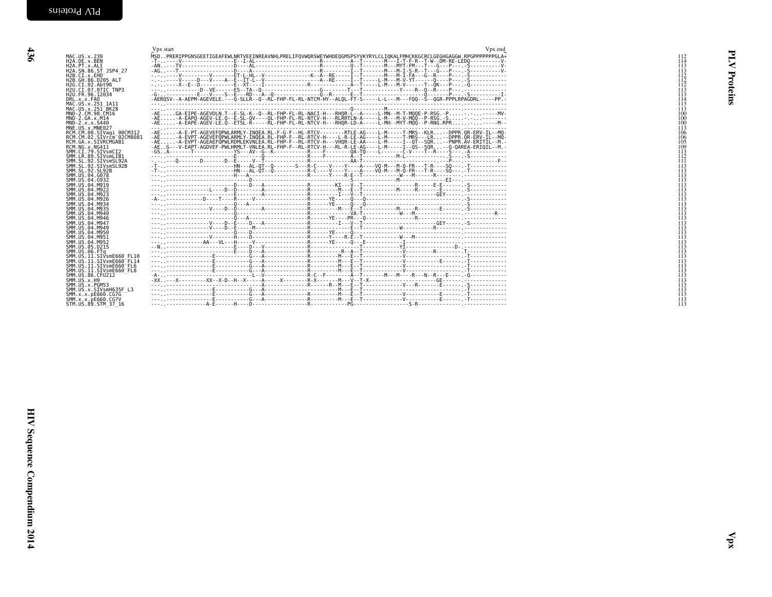<span id="page-25-0"></span>

|                                                  | Vpx start | V <sub>px</sub> end                                                                                                                                                                                                       |
|--------------------------------------------------|-----------|---------------------------------------------------------------------------------------------------------------------------------------------------------------------------------------------------------------------------|
| MAC. US. x. 239                                  |           | MSDPRERIPPGNSGEETIGEAFEWLNRTVEEINREAVNHLPRELIFOVWORSWEYWHDEOGMSPSYVKYRYLCLIOKALFMHCKKGCRCLGEGHGAGGW.RPGPPPPPPGLA*                                                                                                         |
| H2A.DE.x.BEN                                     |           |                                                                                                                                                                                                                           |
| H <sub>2</sub> A.PT.x.ALT                        |           |                                                                                                                                                                                                                           |
| H2A.SN.86.ST JSP4 27                             |           |                                                                                                                                                                                                                           |
| H <sub>2</sub> B.CI.x.EHO                        |           |                                                                                                                                                                                                                           |
| H2B. GH. 86. D205 ALT                            |           | - - - - V - - - - D - - - V - - - A - E - IT - L - V - - - - - - - - - - - - - - A - RE- - - - I - T - T - - - L - M - - M - V - Y - - - - 0 - - - D - - - P - - . - S - - - - - -                                        |
| H2G.CI.92.Abt96                                  |           |                                                                                                                                                                                                                           |
| H2U.CI.07.07IC TNP3<br>H2U.FR.96.12034           |           |                                                                                                                                                                                                                           |
| DRL.x.x.FAO                                      |           |                                                                                                                                                                                                                           |
| MAC.US.x.251 1A11                                |           |                                                                                                                                                                                                                           |
| MAC. US. x. 251 <sup>-</sup> BK28                |           |                                                                                                                                                                                                                           |
| MND-2.CM.98.CM16                                 |           | -AEGA-EIPE-AGEVDLN.T--E-SL-K--O--RL-FHP-FL-RL-NACI-H---RHOR-L--A-----L-MN--M-T-MOOE-P-RSG.-P-.-----MV-                                                                                                                    |
| $MND-2.GA.x.M14$                                 |           | -AE-A-EAPO-AGEV-LE.O--E-SL-OV----OL-FHP-FL-RL-NTCV-H---RLRRTLN-A-----L-M---M-V-MOO--P-RSG.-S--                                                                                                                            |
| $MD-2.x.x.5440$                                  |           | -AE-A-EAPÈ-AGEV-LE.Q--ETSL-R-----RL-FHP-FL-RL-NTCV-H---RHOR-LD-A-----L-MH--MYT-MQQ--P-RNG.RPR----M--                                                                                                                      |
| MNE.US.x.MNE027                                  |           |                                                                                                                                                                                                                           |
| RCM.CM.00.SIVagi 00CM312                         |           | -AE-A-E-PT-AGEVEFOPWLARMLY-INOEA.RL-F-G-F--HL-RTCV--------RTLE-AG----L-M-----T-MRS--KLR--DPPR.OR-ERV-IL--MO-                                                                                                              |
| RCM.CM.02.SIVrcm 02CM8081                        |           | -AE-A-EVPT-AGEVEFOPWLARMLY-INOEA.RL-FHP-F--RL-RTCV-H----L-R-LE-AG----L-M-----T-MRS---LR--DPPR.OR-ERV-IL--MO-                                                                                                              |
| RCM.GA.x.SIVRCMGAB1                              |           | A-EVPT-AGEAEFOPWLRDMLEKVNLEA.RL-FHP-F--RL-RTCV-H---VHOR-LE-AA----L-M-----I--OT--SOR--PNPR.AV-ERITIL--M<br>-AEG---V-EAPT-AGDVEF-PWLHRMLT-VNLEA.RL-FHP-F--RL-RTCV-H---RL-R-LE-AG----L-M-----I--OS--SOR--O-OAREA-ERIOIL--M.- |
| RCM.NG.x.NG411<br>SMM.CI.79.SIVsmCI2             |           |                                                                                                                                                                                                                           |
| SMM.LR.89.SIVsmLIB1                              |           |                                                                                                                                                                                                                           |
| SMM.SL.92.SIVsmSL92A                             |           |                                                                                                                                                                                                                           |
| SMM.SL.92.SIVsmSL92B                             |           |                                                                                                                                                                                                                           |
| SMM. SL. 92. SL92B                               |           |                                                                                                                                                                                                                           |
| SMM. U.S. 04. G078                               |           |                                                                                                                                                                                                                           |
| SMM. US. 04. G932                                |           |                                                                                                                                                                                                                           |
| SMM. U.S. 04. M919                               |           |                                                                                                                                                                                                                           |
| SMM.US.04.M922                                   |           |                                                                                                                                                                                                                           |
| SMM. US. 04. M923<br>SMM. U.S. 04. M926          |           |                                                                                                                                                                                                                           |
| SMM.US.04.M934                                   |           |                                                                                                                                                                                                                           |
| SMM. US. 04. M935                                |           |                                                                                                                                                                                                                           |
| SMM.US.04.M940                                   |           |                                                                                                                                                                                                                           |
| SMM. U.S. 04. M946                               |           |                                                                                                                                                                                                                           |
| SMM. U.S. 04. M947                               |           |                                                                                                                                                                                                                           |
| SMM.US.04.M949                                   |           |                                                                                                                                                                                                                           |
| SMM. US. 04. M950                                |           |                                                                                                                                                                                                                           |
| SMM. U.S. 04. M951<br>SMM.US.04.M952             |           |                                                                                                                                                                                                                           |
| SMM. US. 05. D215                                |           |                                                                                                                                                                                                                           |
| SMM.US.06.FTg                                    |           |                                                                                                                                                                                                                           |
| SMM.US.11.SIVsmE660 FL10                         |           |                                                                                                                                                                                                                           |
| SMM.US.11.SIVsmE660 <sup>-</sup> FL14            |           |                                                                                                                                                                                                                           |
| SMM.US.11.SIVsmE660 FL6                          |           |                                                                                                                                                                                                                           |
| SMM.US.11.SIVsmE660 <sup>-</sup> FL8             |           |                                                                                                                                                                                                                           |
| SMM.US.86.CFU212                                 |           |                                                                                                                                                                                                                           |
| SMM. US. x.H9                                    |           |                                                                                                                                                                                                                           |
| SMM.US.x.PGM53                                   |           |                                                                                                                                                                                                                           |
| SMM.US.x.SIVsmH635F L3<br>SMM. x. x. pE660. CG7G |           |                                                                                                                                                                                                                           |
| SMM.x.x.pE660.CG7V                               |           |                                                                                                                                                                                                                           |
| STM.US.89.STM 37 16                              |           |                                                                                                                                                                                                                           |
|                                                  |           |                                                                                                                                                                                                                           |

 $\mathbf{v}_{\text{px}}$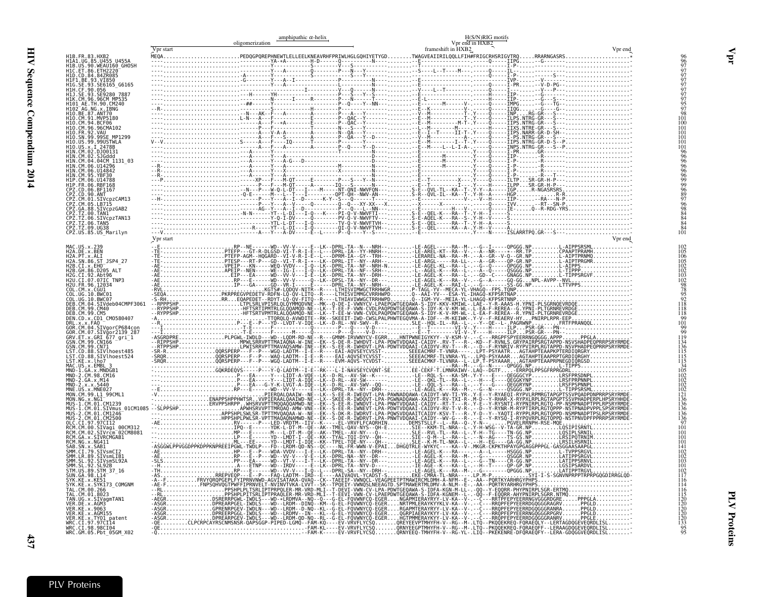<span id="page-26-0"></span>

|                                                                                                      |           | amphipathic $\alpha$ -helix<br>oligomerization | H(S/N)RIG motifs                      |         |
|------------------------------------------------------------------------------------------------------|-----------|------------------------------------------------|---------------------------------------|---------|
|                                                                                                      | Vpr start |                                                | Vpr end in HXB2<br>frameshift in HXB2 | Vpr end |
| H1B.FR.83.HXB2<br>H1A1.UG.85.U455 U455A<br>H1B.US.90.WEAU160 GHOSH<br>H1C.ET.86.ETH2220              |           |                                                |                                       |         |
| H1D.CD.84.84ZR085                                                                                    |           |                                                |                                       |         |
| H1F1.BE.93.VZK850<br>H1F1.BE.93.SE6165_G6165<br>H1H.CF.90.056<br>H1J.SE.93.SE9280_7887               |           |                                                |                                       |         |
| HIK.CM.96.96CM MP535                                                                                 |           |                                                |                                       |         |
| H101 AE.TH.90.CM240<br>H101 AE.TH.90.CM240<br>H102 AG.NG.x.IBNG                                      |           |                                                |                                       |         |
| H10. BE. 87. ANT70<br>H10. BE. 87. ANT70<br>H10. CM. 91. MVP5180<br>H10. CM. 96. 96CMA102            |           |                                                |                                       |         |
| H10.FR.92.VAU                                                                                        |           |                                                |                                       |         |
| H10.SN.99.99SE_MP1299<br>HIO.US.99.99USTWLA<br>H1O.US.x.I 2478B                                      |           |                                                |                                       |         |
| H1O.US.x.I 2478B<br>H1N.CM.02.DJ00131<br>H1N.CM.02.SJGddd                                            |           |                                                |                                       |         |
| H1N.CM.04.04CM 1131 03                                                                               |           |                                                |                                       |         |
| H1N.CM.06.U14296<br>H1N.CM.06.U14296<br>H1N.CM.06.U14842<br>H1P.CM.06.U14788                         |           |                                                |                                       |         |
| H1P. FR. 06. RBF168                                                                                  |           |                                                |                                       |         |
| nr.r.n.00.06.BF1167<br>CPZ.CD.06.BF1167<br>CPZ.CD.90.ANT<br>CPZ.CM.01.SIVcpzCAM13<br>CPZ.CM.05.LB715 |           |                                                |                                       |         |
| CPZ.GA.88.SIVcpzGAB2                                                                                 |           |                                                |                                       |         |
| CPZ.TZ.00.TAN1                                                                                       |           |                                                |                                       |         |
| CPZ.TZ.06.SIVCpzTAN13<br>CPZ.TZ.06.SIVCpzTAN13<br>CPZ.TZ.00.TAN5<br>CPZ.US.85.US_Marilyn             |           |                                                |                                       |         |
|                                                                                                      | Vpr start |                                                |                                       | Vpr end |
|                                                                                                      |           |                                                |                                       |         |
|                                                                                                      |           |                                                |                                       |         |
|                                                                                                      |           |                                                |                                       |         |
|                                                                                                      |           |                                                |                                       |         |
|                                                                                                      |           |                                                |                                       |         |
|                                                                                                      |           |                                                |                                       |         |
|                                                                                                      |           |                                                |                                       |         |
|                                                                                                      |           |                                                |                                       |         |
|                                                                                                      |           |                                                |                                       |         |
|                                                                                                      |           |                                                |                                       |         |
|                                                                                                      |           |                                                |                                       |         |
|                                                                                                      |           |                                                |                                       |         |
|                                                                                                      |           |                                                |                                       |         |
|                                                                                                      |           |                                                |                                       |         |
|                                                                                                      |           |                                                |                                       |         |
|                                                                                                      |           |                                                |                                       |         |
|                                                                                                      |           |                                                |                                       |         |
|                                                                                                      |           |                                                |                                       |         |
|                                                                                                      |           |                                                |                                       |         |
|                                                                                                      |           |                                                |                                       |         |
|                                                                                                      |           |                                                |                                       |         |
|                                                                                                      |           |                                                |                                       |         |
|                                                                                                      |           |                                                |                                       |         |
|                                                                                                      |           |                                                |                                       |         |
|                                                                                                      |           |                                                |                                       |         |
|                                                                                                      |           |                                                |                                       |         |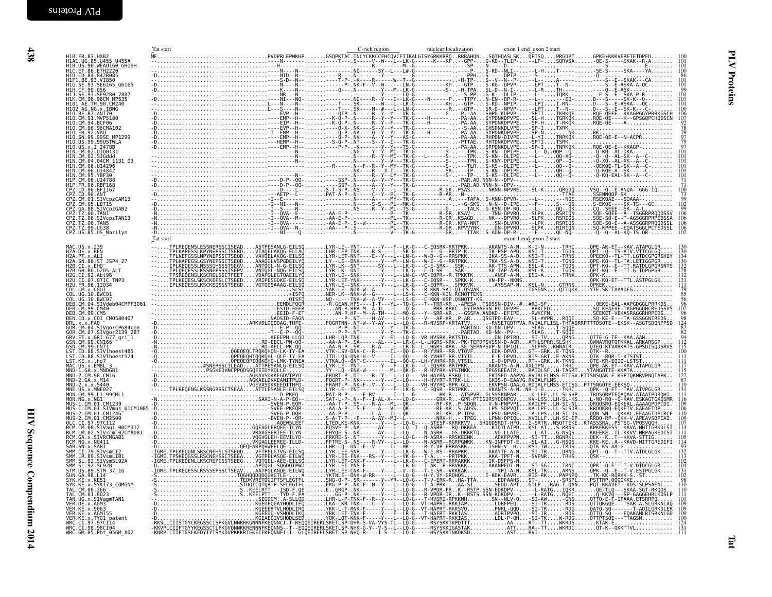<span id="page-27-0"></span>

| H1B.FR.83.HXB2                                                                                                                                                              | Tat start | C-rich region | nuclear localization | exon 1 end exon 2 start |                                                |
|-----------------------------------------------------------------------------------------------------------------------------------------------------------------------------|-----------|---------------|----------------------|-------------------------|------------------------------------------------|
| H1A1.UG.85.U455 U455A<br>H1A1.UG.85.U455 U455A<br>H1B.US.90.WEAU160 GH0SH<br>H1C.ET.86.ETH2220                                                                              |           |               |                      |                         | 101<br>100                                     |
| H1D.CD.84.84ZR085<br>HIF1.BE.93.VI850                                                                                                                                       |           |               |                      |                         | 86                                             |
| SE.93.SE6165_G6165<br>HIH.CF.90.056<br>H1J.SE.93.SE9280_7887<br>H1K.CM.96.96CM_MP535                                                                                        |           |               |                      |                         | QC                                             |
| H101 AE.TH.90.CM240<br>H102 AG.NG.x.IBNG                                                                                                                                    |           |               |                      |                         | 101<br>101                                     |
| H10.BE.87.ANT70                                                                                                                                                             |           |               |                      |                         |                                                |
| H10.CM.91.MVP5180<br>H10.CM.94.BCF06<br>HĨŎ.ČM.96.96CMĂ102                                                                                                                  |           |               |                      |                         |                                                |
| H10. FR. 92. VAU<br>H10.SN.99.99SE_MP1299                                                                                                                                   |           |               |                      |                         | 106<br>107<br>92<br>78<br>79<br>79<br>79<br>79 |
| H10.US.99.99USTWLA<br>H10.US.x.I 2478B<br>H1N.CM.02.DJ00131                                                                                                                 |           |               |                      |                         |                                                |
| H1N.CM.02.SJGddd<br>H1N.CM.04.04CM 1131 03                                                                                                                                  |           |               |                      |                         |                                                |
| H1N.CM.06.U14296<br>H1N.CM.06.U14842                                                                                                                                        |           |               |                      |                         |                                                |
| HIN.CM.95.YBF30<br>HIP.CM.06.U14788<br>HIP. FR. 06. RBF168                                                                                                                  |           |               |                      |                         |                                                |
| CPZ.CD.06.BF1167<br>CPZ.CD.90.ANT                                                                                                                                           |           |               |                      |                         | 73<br>99                                       |
| CPZ.CM.01.SIVcpzCAM13<br>CPZ.CM.05.LB715<br>CPZ.GA.88.SIVcpzGAB2                                                                                                            |           |               |                      |                         | 102<br>99                                      |
| CPZ.TZ.00.TAN1<br>CPZ.TZ.00.SIVCPzTAN13                                                                                                                                     |           |               |                      |                         | 106                                            |
| CPZ.TZ.06.TAN5<br>CPZ.TZ.09.UG38<br>CPZ.US.85.US_Marilyn                                                                                                                    |           |               |                      |                         | 106<br>106                                     |
|                                                                                                                                                                             |           |               |                      | exon 1 end exon 2 start |                                                |
| MAC.US.x.239<br>H2A.DE.x.BEN                                                                                                                                                |           |               |                      |                         | 130                                            |
| H2A . PT . x . ALI<br>H2A . SN . 86 . ST_JSP4_27<br>H2B . CI . x . EH0<br>H2B . GH . 86 . D205_ALT                                                                          |           |               |                      |                         | 134                                            |
| 12G.CI.92.Abt96                                                                                                                                                             |           |               |                      |                         | 130<br>132<br>128<br>112                       |
| H2U.CI.07.07IC_TNP3<br>H2U.FR.96.12034<br>COL.CM.x.CGU1                                                                                                                     |           |               |                      |                         | 121                                            |
| COL. UG. 10. BWC01<br>COL.UG.10.BWC07                                                                                                                                       |           |               |                      |                         |                                                |
| DEB.CM.04.SIVdeb04CMPF3061<br>DEB.CM.99.CM40<br>DEB.CM.99.CM5                                                                                                               |           |               |                      |                         |                                                |
|                                                                                                                                                                             |           |               |                      |                         |                                                |
| DEB.CM.99.CM<br>DEN.CD.x.CD1_CM0580407<br>DRL.x.x.FA0 -<br>GR.CM.04.SIVgorCP684con<br>GOR.CM.07.SIVgor2139_287<br>GSN.CM.99.CM156<br>GSN.CM.99.CM156                        |           |               |                      |                         | 1179556661026882482282294                      |
| GSN. CM. 99. CN71                                                                                                                                                           |           |               |                      |                         | 112<br>115                                     |
| LST.CD.88.SIVlhoest485<br>LST.CD.88.SIVlhoest524                                                                                                                            |           |               |                      |                         |                                                |
| LST.KE.x.lho7<br>MAC.US.x.EMBL_3<br>MND-1.GA.x.MNDGB1<br>MND-1.GA.x.MNDGB1                                                                                                  |           |               |                      |                         | 111<br>117                                     |
| 2.GA.x.M14                                                                                                                                                                  |           |               |                      |                         | 115<br>122<br>87                               |
|                                                                                                                                                                             |           |               |                      |                         |                                                |
| MUS-1.CM.01.CM1239                                                                                                                                                          |           |               |                      |                         |                                                |
| MUS-1.CM.01.STV<br>MUS-1.CM.01.STV<br>MUS-2.CM.01.CM1246<br>MUS-2.CM.01.CM2500                                                                                              |           |               |                      |                         | $\frac{110}{109}$<br>$\frac{109}{107}$         |
| OLC.CI.97.97CI12<br>RCM.CM.00.SIVagi_00CM312<br>RCM.CM.02.SIVrcm <sup>-</sup> 02CM8081                                                                                      |           |               |                      |                         |                                                |
|                                                                                                                                                                             |           |               |                      |                         | 111<br>$\frac{105}{114}$                       |
| RCM.CH.UZZ.S1VRCMGAB1<br>RCM.GA.x.SIVRCMGAB1<br>RCM.NG.x.NG411<br>SAB.SN.x.SAB1<br>SMM.CI.79.SIVSmCI2<br>SMM.CR.89.SIVSmLIB1<br>SMM.SL.92.SIVSmLIB1                         |           |               |                      |                         | 132                                            |
| SL.92.SIVsmSL92A                                                                                                                                                            |           |               |                      |                         |                                                |
|                                                                                                                                                                             |           |               |                      |                         | 102<br>104<br>131<br>102<br>98                 |
| SMM. SL. 92. SLVSMSL92A<br>SMM. SL. 92. SL92B<br>STM. US. 89. STM 37_16<br>SUN. GA. 98. L14<br>SYK. KE. x. KES1<br>SYK. KE. x. KES1<br>TAL. CM. 09. 266<br>TAL. CM. 09. 266 |           |               |                      |                         |                                                |
| TAL.CM.01.8023                                                                                                                                                              |           |               |                      |                         |                                                |
| TAN.UG.x.SIVagmTAN1<br>VER.DE.x.AGM3<br>VER. KE. x. 9063                                                                                                                    |           |               |                      |                         | iŏ9<br>ĨÕ9                                     |
| VER.KE.x.AGM155                                                                                                                                                             |           |               |                      |                         | 100                                            |
| VER.KE.X.TYO1 patent<br>WRC.CI.97.97CI14<br>WRC.CI.98.98CI04<br>WRC.GM.05.Pbt_05GM_X02                                                                                      |           |               |                      |                         |                                                |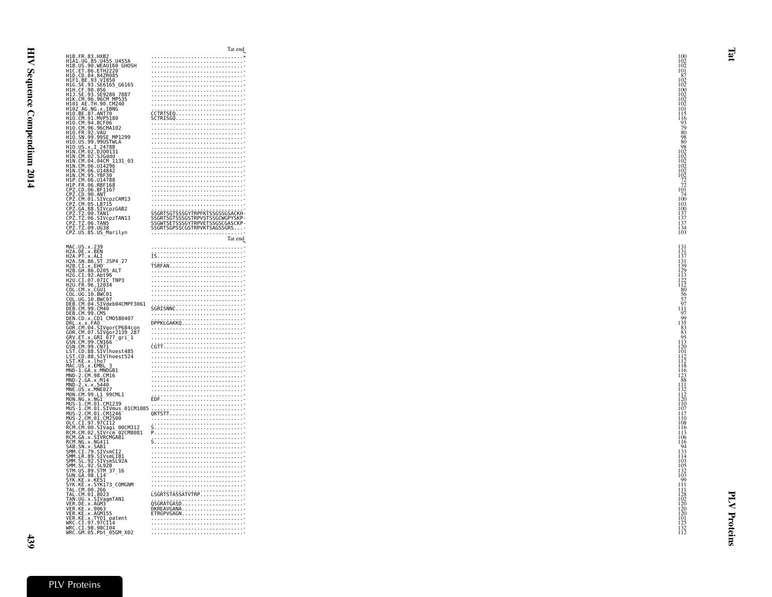|                                                                                                                                                                                                                                                           | таг спи                                                                                                                                                                                                                                                                                                                                                                                            |  |
|-----------------------------------------------------------------------------------------------------------------------------------------------------------------------------------------------------------------------------------------------------------|----------------------------------------------------------------------------------------------------------------------------------------------------------------------------------------------------------------------------------------------------------------------------------------------------------------------------------------------------------------------------------------------------|--|
|                                                                                                                                                                                                                                                           |                                                                                                                                                                                                                                                                                                                                                                                                    |  |
|                                                                                                                                                                                                                                                           |                                                                                                                                                                                                                                                                                                                                                                                                    |  |
|                                                                                                                                                                                                                                                           |                                                                                                                                                                                                                                                                                                                                                                                                    |  |
|                                                                                                                                                                                                                                                           |                                                                                                                                                                                                                                                                                                                                                                                                    |  |
|                                                                                                                                                                                                                                                           |                                                                                                                                                                                                                                                                                                                                                                                                    |  |
|                                                                                                                                                                                                                                                           |                                                                                                                                                                                                                                                                                                                                                                                                    |  |
| H1B.FR.83.HXB2<br>H1A1.UG.85.U455 U455A<br>H1B.US.90.WEAU160 GHOSH<br>H1C.ET.86.ETH2220<br>H1D.CD.84.84ZR085<br>H1F1.BE.93.VI850                                                                                                                          |                                                                                                                                                                                                                                                                                                                                                                                                    |  |
|                                                                                                                                                                                                                                                           |                                                                                                                                                                                                                                                                                                                                                                                                    |  |
| HIG.SE.93.SE6165_G6165<br>H1H.CF.90.056                                                                                                                                                                                                                   |                                                                                                                                                                                                                                                                                                                                                                                                    |  |
| 93.SE9280 7887                                                                                                                                                                                                                                            |                                                                                                                                                                                                                                                                                                                                                                                                    |  |
| HIK.CM.96.96CM MP535                                                                                                                                                                                                                                      |                                                                                                                                                                                                                                                                                                                                                                                                    |  |
|                                                                                                                                                                                                                                                           |                                                                                                                                                                                                                                                                                                                                                                                                    |  |
| H101 AE.TH.90.CM240<br>H101 AE.TH.90.CM240<br>H10.BE.87.ANT70<br>H10.BE.87.ANT70                                                                                                                                                                          |                                                                                                                                                                                                                                                                                                                                                                                                    |  |
|                                                                                                                                                                                                                                                           |                                                                                                                                                                                                                                                                                                                                                                                                    |  |
|                                                                                                                                                                                                                                                           |                                                                                                                                                                                                                                                                                                                                                                                                    |  |
| H10.CM.91.MVP5180<br>H10.CM.94.BCF06<br>H10.CM.96.96CMA102<br>H10.FR.92.VAU                                                                                                                                                                               | $\overbrace{CCTR1560}^{CCTR156}, \overbrace{CTR1560}^{CCTR156}, \overbrace{CTR1560}^{CCTR156}, \overbrace{CTR1560}^{CCTR156}, \overbrace{CTR1560}^{CCTR156}, \overbrace{CTR1560}^{CCTR156}, \overbrace{CTR1560}^{CCTR156}, \overbrace{CTR1560}^{CCTR156}, \overbrace{CTR1560}^{CCTR156}, \overbrace{CTR1560}^{CCTR156}, \overbrace{CTR1560}^{CCTR156}, \overbrace{CTR1560}^{CCTR156}, \overbrace{$ |  |
|                                                                                                                                                                                                                                                           |                                                                                                                                                                                                                                                                                                                                                                                                    |  |
|                                                                                                                                                                                                                                                           |                                                                                                                                                                                                                                                                                                                                                                                                    |  |
|                                                                                                                                                                                                                                                           |                                                                                                                                                                                                                                                                                                                                                                                                    |  |
|                                                                                                                                                                                                                                                           |                                                                                                                                                                                                                                                                                                                                                                                                    |  |
| H10.SN.99.<br>.<br>99SE MP1299                                                                                                                                                                                                                            |                                                                                                                                                                                                                                                                                                                                                                                                    |  |
| H10.US.99.99USTWLA                                                                                                                                                                                                                                        |                                                                                                                                                                                                                                                                                                                                                                                                    |  |
| H10.US.x.I 2478B<br>H1N.CM.02.DJ00131                                                                                                                                                                                                                     |                                                                                                                                                                                                                                                                                                                                                                                                    |  |
|                                                                                                                                                                                                                                                           |                                                                                                                                                                                                                                                                                                                                                                                                    |  |
|                                                                                                                                                                                                                                                           |                                                                                                                                                                                                                                                                                                                                                                                                    |  |
| HIN.CM.02.SJGddd<br>HIN.CM.04.04CM_1131_03                                                                                                                                                                                                                |                                                                                                                                                                                                                                                                                                                                                                                                    |  |
|                                                                                                                                                                                                                                                           |                                                                                                                                                                                                                                                                                                                                                                                                    |  |
| H1N.CM.06.U14296                                                                                                                                                                                                                                          |                                                                                                                                                                                                                                                                                                                                                                                                    |  |
| H1N.CM.06.U14842                                                                                                                                                                                                                                          |                                                                                                                                                                                                                                                                                                                                                                                                    |  |
| H1N.CM.95.YBF30                                                                                                                                                                                                                                           |                                                                                                                                                                                                                                                                                                                                                                                                    |  |
|                                                                                                                                                                                                                                                           |                                                                                                                                                                                                                                                                                                                                                                                                    |  |
| H1P.CM.06.U14788<br>H1P.FR.06.RBF168<br>CPZ.CD.06.BF1167<br>CPZ.CD.90.ANT                                                                                                                                                                                 |                                                                                                                                                                                                                                                                                                                                                                                                    |  |
|                                                                                                                                                                                                                                                           |                                                                                                                                                                                                                                                                                                                                                                                                    |  |
|                                                                                                                                                                                                                                                           |                                                                                                                                                                                                                                                                                                                                                                                                    |  |
|                                                                                                                                                                                                                                                           |                                                                                                                                                                                                                                                                                                                                                                                                    |  |
| CPZ.CM.01.SIVcpzCAM13                                                                                                                                                                                                                                     |                                                                                                                                                                                                                                                                                                                                                                                                    |  |
| CPZ.CM.05.LB715                                                                                                                                                                                                                                           |                                                                                                                                                                                                                                                                                                                                                                                                    |  |
|                                                                                                                                                                                                                                                           |                                                                                                                                                                                                                                                                                                                                                                                                    |  |
|                                                                                                                                                                                                                                                           |                                                                                                                                                                                                                                                                                                                                                                                                    |  |
|                                                                                                                                                                                                                                                           |                                                                                                                                                                                                                                                                                                                                                                                                    |  |
| CPZ.GA.88.SIVcpzGAB2<br>CPZ.GA.88.SIVcpzGAB2<br>CPZ.TZ.00.TAN1                                                                                                                                                                                            |                                                                                                                                                                                                                                                                                                                                                                                                    |  |
| CPZ.TZ.06.TAN5                                                                                                                                                                                                                                            | SSGRTSGTSSSGYTRPFKTSSGSSGSACKH-<br>SSGRTSGTSSSGSTRPVSTSSGCWGPYSKP-<br>SSGWTSETSSSGYTRPVETSSGSCGASCKP-                                                                                                                                                                                                                                                                                              |  |
| CPZ.TZ.09.UG38                                                                                                                                                                                                                                            | SSGRTSGPSSCGSTRPVKTSAGSSGRS-                                                                                                                                                                                                                                                                                                                                                                       |  |
|                                                                                                                                                                                                                                                           |                                                                                                                                                                                                                                                                                                                                                                                                    |  |
| CPZ.US.85.US_Marilyn                                                                                                                                                                                                                                      |                                                                                                                                                                                                                                                                                                                                                                                                    |  |
|                                                                                                                                                                                                                                                           | Tat end                                                                                                                                                                                                                                                                                                                                                                                            |  |
| MAC.US.x.239                                                                                                                                                                                                                                              |                                                                                                                                                                                                                                                                                                                                                                                                    |  |
|                                                                                                                                                                                                                                                           |                                                                                                                                                                                                                                                                                                                                                                                                    |  |
|                                                                                                                                                                                                                                                           |                                                                                                                                                                                                                                                                                                                                                                                                    |  |
|                                                                                                                                                                                                                                                           |                                                                                                                                                                                                                                                                                                                                                                                                    |  |
|                                                                                                                                                                                                                                                           |                                                                                                                                                                                                                                                                                                                                                                                                    |  |
| H2A.DE.x.BEN<br>H2A.PT.x.ALI<br>H2A.SN.86.ST_JSP4_27<br>H2B.CI.x.EH0______                                                                                                                                                                                |                                                                                                                                                                                                                                                                                                                                                                                                    |  |
| H2B.GH.86.D205 ALT<br>H2G.CI.92.Abt96<br>H2U.CI.07.07IC TNP3<br>H2U.FR.96.12034                                                                                                                                                                           |                                                                                                                                                                                                                                                                                                                                                                                                    |  |
|                                                                                                                                                                                                                                                           |                                                                                                                                                                                                                                                                                                                                                                                                    |  |
|                                                                                                                                                                                                                                                           |                                                                                                                                                                                                                                                                                                                                                                                                    |  |
|                                                                                                                                                                                                                                                           |                                                                                                                                                                                                                                                                                                                                                                                                    |  |
|                                                                                                                                                                                                                                                           |                                                                                                                                                                                                                                                                                                                                                                                                    |  |
| COL.CM.x.CGU1                                                                                                                                                                                                                                             |                                                                                                                                                                                                                                                                                                                                                                                                    |  |
| COL.UG.10.BWC01                                                                                                                                                                                                                                           |                                                                                                                                                                                                                                                                                                                                                                                                    |  |
| COL.UG.10.BWC07                                                                                                                                                                                                                                           |                                                                                                                                                                                                                                                                                                                                                                                                    |  |
|                                                                                                                                                                                                                                                           |                                                                                                                                                                                                                                                                                                                                                                                                    |  |
|                                                                                                                                                                                                                                                           | SGRISNNC                                                                                                                                                                                                                                                                                                                                                                                           |  |
| DEB.CM.04.SIVdeb04CMPF3061<br>DEB.CM.99.CM40<br>DEB.CM.99.CM5<br>DEN.CD.x.CD1_CM0580407                                                                                                                                                                   |                                                                                                                                                                                                                                                                                                                                                                                                    |  |
|                                                                                                                                                                                                                                                           |                                                                                                                                                                                                                                                                                                                                                                                                    |  |
|                                                                                                                                                                                                                                                           |                                                                                                                                                                                                                                                                                                                                                                                                    |  |
| DRL.x.x.FAO<br>GOR.CM.04.SIVgorCP684con                                                                                                                                                                                                                   |                                                                                                                                                                                                                                                                                                                                                                                                    |  |
|                                                                                                                                                                                                                                                           |                                                                                                                                                                                                                                                                                                                                                                                                    |  |
|                                                                                                                                                                                                                                                           |                                                                                                                                                                                                                                                                                                                                                                                                    |  |
|                                                                                                                                                                                                                                                           |                                                                                                                                                                                                                                                                                                                                                                                                    |  |
| GOR.CM.07.SIVgor2139_287<br>GRV.ET.x.GRI_677_gri_1                                                                                                                                                                                                        |                                                                                                                                                                                                                                                                                                                                                                                                    |  |
| GSN.CM.99.CN166                                                                                                                                                                                                                                           |                                                                                                                                                                                                                                                                                                                                                                                                    |  |
| GSN.CM.99.CN71                                                                                                                                                                                                                                            |                                                                                                                                                                                                                                                                                                                                                                                                    |  |
| LST.CD.88.SIVlhoest485                                                                                                                                                                                                                                    |                                                                                                                                                                                                                                                                                                                                                                                                    |  |
| LST.CD.88.SIVlhoest524                                                                                                                                                                                                                                    |                                                                                                                                                                                                                                                                                                                                                                                                    |  |
|                                                                                                                                                                                                                                                           | $\begin{picture}(20,10) \put(0,0){\vector(1,0){100}} \put(15,0){\vector(1,0){100}} \put(15,0){\vector(1,0){100}} \put(15,0){\vector(1,0){100}} \put(15,0){\vector(1,0){100}} \put(15,0){\vector(1,0){100}} \put(15,0){\vector(1,0){100}} \put(15,0){\vector(1,0){100}} \put(15,0){\vector(1,0){100}} \put(15,0){\vector(1,0){100}} \put(15,0){\vector(1,0){100}} \$                                |  |
| LST.KE.x.lho7                                                                                                                                                                                                                                             |                                                                                                                                                                                                                                                                                                                                                                                                    |  |
| MAC.US.x.EMBL 3                                                                                                                                                                                                                                           |                                                                                                                                                                                                                                                                                                                                                                                                    |  |
|                                                                                                                                                                                                                                                           |                                                                                                                                                                                                                                                                                                                                                                                                    |  |
|                                                                                                                                                                                                                                                           |                                                                                                                                                                                                                                                                                                                                                                                                    |  |
|                                                                                                                                                                                                                                                           |                                                                                                                                                                                                                                                                                                                                                                                                    |  |
|                                                                                                                                                                                                                                                           |                                                                                                                                                                                                                                                                                                                                                                                                    |  |
| MAC. US. A. EMBLE<br>MND-1. GA. X. MNDGB1<br>MND-2. CM. 98. CM16<br>MND-2. SA. X. MNE027<br>MND-2. X. X. MNE027<br>MND-US. X. MNE027<br>MND-US. A. MNE027                                                                                                 |                                                                                                                                                                                                                                                                                                                                                                                                    |  |
|                                                                                                                                                                                                                                                           |                                                                                                                                                                                                                                                                                                                                                                                                    |  |
| MON.CM.99.LI_99CML1<br>MON.NG.x.NG1                                                                                                                                                                                                                       |                                                                                                                                                                                                                                                                                                                                                                                                    |  |
|                                                                                                                                                                                                                                                           |                                                                                                                                                                                                                                                                                                                                                                                                    |  |
| MUS-1.CM.01.CM1239                                                                                                                                                                                                                                        |                                                                                                                                                                                                                                                                                                                                                                                                    |  |
|                                                                                                                                                                                                                                                           |                                                                                                                                                                                                                                                                                                                                                                                                    |  |
|                                                                                                                                                                                                                                                           |                                                                                                                                                                                                                                                                                                                                                                                                    |  |
|                                                                                                                                                                                                                                                           |                                                                                                                                                                                                                                                                                                                                                                                                    |  |
|                                                                                                                                                                                                                                                           |                                                                                                                                                                                                                                                                                                                                                                                                    |  |
| MUS-1.CM.01.51Vmus<br>MUS-2.CM.01.51Vmus-01CM1085<br>MUS-2.CM.01.CM2560<br>MUS-2.CM.01.CM2500<br>RCM.CM.00.51V102500<br>RCM.CM.00.51V70712<br>RCM.CM.02.51VrCm-02CM8081<br>RCM.66.2.51VrCm-02CM8081<br>RCM.66.2.51VrCm-02CM8081<br>RCM.66.2.51VrCm-02CM80 |                                                                                                                                                                                                                                                                                                                                                                                                    |  |
|                                                                                                                                                                                                                                                           |                                                                                                                                                                                                                                                                                                                                                                                                    |  |
|                                                                                                                                                                                                                                                           |                                                                                                                                                                                                                                                                                                                                                                                                    |  |
|                                                                                                                                                                                                                                                           |                                                                                                                                                                                                                                                                                                                                                                                                    |  |
|                                                                                                                                                                                                                                                           | <u> \$</u> .                                                                                                                                                                                                                                                                                                                                                                                       |  |
| SAB.SN.x.SAB1                                                                                                                                                                                                                                             |                                                                                                                                                                                                                                                                                                                                                                                                    |  |
| SMM.CI.79.SIVsmCI2                                                                                                                                                                                                                                        |                                                                                                                                                                                                                                                                                                                                                                                                    |  |
|                                                                                                                                                                                                                                                           |                                                                                                                                                                                                                                                                                                                                                                                                    |  |
| SMM.LR.89.SIVsmLIB1<br>SMM.SL.92.SIVsmSL92A                                                                                                                                                                                                               |                                                                                                                                                                                                                                                                                                                                                                                                    |  |
| SMM. SL. 92. SIVSMSL92<br>SMM. SL. 92. SL92B<br>STM. US. 89. STM_37_16                                                                                                                                                                                    |                                                                                                                                                                                                                                                                                                                                                                                                    |  |
|                                                                                                                                                                                                                                                           |                                                                                                                                                                                                                                                                                                                                                                                                    |  |
|                                                                                                                                                                                                                                                           |                                                                                                                                                                                                                                                                                                                                                                                                    |  |
| SUN. GA. 98. L14                                                                                                                                                                                                                                          |                                                                                                                                                                                                                                                                                                                                                                                                    |  |
|                                                                                                                                                                                                                                                           |                                                                                                                                                                                                                                                                                                                                                                                                    |  |
| SYK.KE.x.KE5                                                                                                                                                                                                                                              |                                                                                                                                                                                                                                                                                                                                                                                                    |  |
| SYK.KE.x.SYK173_COMGNM                                                                                                                                                                                                                                    |                                                                                                                                                                                                                                                                                                                                                                                                    |  |
|                                                                                                                                                                                                                                                           | LSGRTSTASSATVTRP                                                                                                                                                                                                                                                                                                                                                                                   |  |
|                                                                                                                                                                                                                                                           |                                                                                                                                                                                                                                                                                                                                                                                                    |  |
|                                                                                                                                                                                                                                                           |                                                                                                                                                                                                                                                                                                                                                                                                    |  |
|                                                                                                                                                                                                                                                           |                                                                                                                                                                                                                                                                                                                                                                                                    |  |
|                                                                                                                                                                                                                                                           |                                                                                                                                                                                                                                                                                                                                                                                                    |  |
|                                                                                                                                                                                                                                                           |                                                                                                                                                                                                                                                                                                                                                                                                    |  |
| TAL.CM.00.266<br>TAL.CM.01.8023<br>TAN.UG.x.SIVagmTAN1<br>VER.DE.x.AGM3                                                                                                                                                                                   |                                                                                                                                                                                                                                                                                                                                                                                                    |  |
| VER.KE.x.9063<br>VER.KE.x.AGM155                                                                                                                                                                                                                          |                                                                                                                                                                                                                                                                                                                                                                                                    |  |
|                                                                                                                                                                                                                                                           | CONTRACTORS<br>ORGANICADO<br>DICARATORANA<br>ETRGPVGAGN                                                                                                                                                                                                                                                                                                                                            |  |
|                                                                                                                                                                                                                                                           |                                                                                                                                                                                                                                                                                                                                                                                                    |  |
|                                                                                                                                                                                                                                                           |                                                                                                                                                                                                                                                                                                                                                                                                    |  |
| VER.RE.x.TYO1 patent<br>WRC.CI.97.97CI14<br>WRC.CI.98.98CI04<br>WRC.CM.05.Pbt_05GM_X02                                                                                                                                                                    |                                                                                                                                                                                                                                                                                                                                                                                                    |  |

|                                                                                                                                                                               |                                                                                                                                                                                                                                                                    | Tat end                                                                                                                                                                                                                                                                                                                                                                                                                                                                                                                                                                                              |
|-------------------------------------------------------------------------------------------------------------------------------------------------------------------------------|--------------------------------------------------------------------------------------------------------------------------------------------------------------------------------------------------------------------------------------------------------------------|------------------------------------------------------------------------------------------------------------------------------------------------------------------------------------------------------------------------------------------------------------------------------------------------------------------------------------------------------------------------------------------------------------------------------------------------------------------------------------------------------------------------------------------------------------------------------------------------------|
| H1B.FR.83.HXB2                                                                                                                                                                | H1A1.UG.85.U455 U455A                                                                                                                                                                                                                                              |                                                                                                                                                                                                                                                                                                                                                                                                                                                                                                                                                                                                      |
|                                                                                                                                                                               | HIB.US.90.WEAU160_GHOSH<br>HIC.ET.86.ETH2220                                                                                                                                                                                                                       |                                                                                                                                                                                                                                                                                                                                                                                                                                                                                                                                                                                                      |
| H1D.CD.84.84ZR085                                                                                                                                                             |                                                                                                                                                                                                                                                                    |                                                                                                                                                                                                                                                                                                                                                                                                                                                                                                                                                                                                      |
|                                                                                                                                                                               | HID.CU.&4.842KW85<br>HIEL.BE.93.VE850<br>HIG.SE.93.SE6165_G6165<br>HIJ.SE.93.SE6165_G6165<br>HIJ.SE.93.SE9280_7887<br>HIM.CM.96.96CMPMP535<br>HIQ1_AE.TH.90.CM240<br>HIQ2_AG.NG.XI.IBNG                                                                            |                                                                                                                                                                                                                                                                                                                                                                                                                                                                                                                                                                                                      |
|                                                                                                                                                                               |                                                                                                                                                                                                                                                                    |                                                                                                                                                                                                                                                                                                                                                                                                                                                                                                                                                                                                      |
|                                                                                                                                                                               |                                                                                                                                                                                                                                                                    | $\overbrace{ccritise} \overbrace{ccritise} \overbrace{ccritise} \overbrace{ccritise} \overbrace{ccritise} \overbrace{ccritise} \overbrace{ccritise} \overbrace{ccritise} \overbrace{ccritise} \overbrace{ccritise} \overbrace{ccritise} \overbrace{ccritise} \overbrace{ccritise} \overbrace{ccritise} \overbrace{ccritise} \overbrace{ccritise} \overbrace{ccritise} \overbrace{ccritise} \overbrace{ccritise} \overbrace{ccritise} \overbrace{ccritise} \overbrace{ccritise} \overbrace{ccritise} \overbrace{ccritise} \overbrace{ccritise} \overbrace{ccritise} \overbrace{ccritise} \overbrace{$ |
| H10.BE.87.ANT70                                                                                                                                                               |                                                                                                                                                                                                                                                                    |                                                                                                                                                                                                                                                                                                                                                                                                                                                                                                                                                                                                      |
| H10.CM.91.MVP5180<br>H10.CM.91.MVP5180                                                                                                                                        |                                                                                                                                                                                                                                                                    |                                                                                                                                                                                                                                                                                                                                                                                                                                                                                                                                                                                                      |
|                                                                                                                                                                               | H10.CM.96.96CMA102                                                                                                                                                                                                                                                 |                                                                                                                                                                                                                                                                                                                                                                                                                                                                                                                                                                                                      |
|                                                                                                                                                                               | H10.FR.92.VAU<br>H10.FR.92.VAU<br>H10.SN.99.99SE MP1299<br>H10.US.99.99USTWLA                                                                                                                                                                                      |                                                                                                                                                                                                                                                                                                                                                                                                                                                                                                                                                                                                      |
|                                                                                                                                                                               |                                                                                                                                                                                                                                                                    |                                                                                                                                                                                                                                                                                                                                                                                                                                                                                                                                                                                                      |
| H10.US.x.1 2478B<br>H10.US.x.1 2478B<br>H1N.CM.02.DJ00131<br>H1N.CM.02.SJGddd                                                                                                 |                                                                                                                                                                                                                                                                    |                                                                                                                                                                                                                                                                                                                                                                                                                                                                                                                                                                                                      |
|                                                                                                                                                                               |                                                                                                                                                                                                                                                                    |                                                                                                                                                                                                                                                                                                                                                                                                                                                                                                                                                                                                      |
|                                                                                                                                                                               | H1N.CM.04.04CM 1131 03                                                                                                                                                                                                                                             |                                                                                                                                                                                                                                                                                                                                                                                                                                                                                                                                                                                                      |
|                                                                                                                                                                               |                                                                                                                                                                                                                                                                    |                                                                                                                                                                                                                                                                                                                                                                                                                                                                                                                                                                                                      |
| HIN. CM. 06. U14296<br>HIN. CM. 06. U14296<br>HIN. CM. 06. U14842<br>HIN. CM. 05. YBF30<br>HIP. CM. 06. U14788<br>HIP. FR. 06. RBF168<br>CPZ. CD. 00. ANT<br>CPZ. CD. 00. ANT |                                                                                                                                                                                                                                                                    |                                                                                                                                                                                                                                                                                                                                                                                                                                                                                                                                                                                                      |
|                                                                                                                                                                               |                                                                                                                                                                                                                                                                    |                                                                                                                                                                                                                                                                                                                                                                                                                                                                                                                                                                                                      |
|                                                                                                                                                                               |                                                                                                                                                                                                                                                                    |                                                                                                                                                                                                                                                                                                                                                                                                                                                                                                                                                                                                      |
| CPZ.CM.05.LB715                                                                                                                                                               | ČPŽ.ČM.01.SIVcpzCAM13                                                                                                                                                                                                                                              |                                                                                                                                                                                                                                                                                                                                                                                                                                                                                                                                                                                                      |
|                                                                                                                                                                               | ČPŽ.GA.88.SIVCPZGAB2<br>CPZ.TZ.00.TAN1                                                                                                                                                                                                                             |                                                                                                                                                                                                                                                                                                                                                                                                                                                                                                                                                                                                      |
|                                                                                                                                                                               | CPZ.TZ.06.SIVcpzTAN13<br>CPZ.TZ.06.TAN5                                                                                                                                                                                                                            | SSGRTSGTSSSGYTRPFKTSSGSSGSACKH-<br>SSGRTSGTSSSGSTRPVSTSSGCWGPYSKP-<br>SSGWTSETSSSGYTRPVETSSGSCGASCKP-<br>SSGRTSGPSSCGSTRPVKTSAGSSGRS-                                                                                                                                                                                                                                                                                                                                                                                                                                                                |
|                                                                                                                                                                               |                                                                                                                                                                                                                                                                    |                                                                                                                                                                                                                                                                                                                                                                                                                                                                                                                                                                                                      |
|                                                                                                                                                                               | ČPŽ.TŽ.09.UG38<br>CPZ.US.85.US_Marilyn                                                                                                                                                                                                                             |                                                                                                                                                                                                                                                                                                                                                                                                                                                                                                                                                                                                      |
|                                                                                                                                                                               |                                                                                                                                                                                                                                                                    | Tat end                                                                                                                                                                                                                                                                                                                                                                                                                                                                                                                                                                                              |
| MAC.US.x.239                                                                                                                                                                  |                                                                                                                                                                                                                                                                    |                                                                                                                                                                                                                                                                                                                                                                                                                                                                                                                                                                                                      |
| H2A.DE.x.BEN<br>H2A.PT.x.ALI                                                                                                                                                  |                                                                                                                                                                                                                                                                    | $\overbrace{ \texttt{ISRFAN}}^{ \texttt{IS}} \overbrace{ \texttt{ISRFAN}}^{ \texttt{S}} \overbrace{ \texttt{ISRFAN}}^{ \texttt{S}} \overbrace{ \texttt{S}}^{ \texttt{S}} \overbrace{ \texttt{S}}^{ \texttt{S}} \overbrace{ \texttt{S}}^{ \texttt{S}} \overbrace{ \texttt{S}}^{ \texttt{S}} \overbrace{ \texttt{S}}^{ \texttt{S}} \overbrace{ \texttt{S}}^{ \texttt{S}} \overbrace{ \texttt{S}}^{ \texttt{S}} \overbrace{ \texttt{S}}^{ \texttt{S}} \overbrace{ \texttt{S}}^{ \texttt{S}} \overbrace{ \texttt{$                                                                                       |
|                                                                                                                                                                               | H2A.SN.86.ST_JSP4_27<br>H2B.CI.x.EHO                                                                                                                                                                                                                               |                                                                                                                                                                                                                                                                                                                                                                                                                                                                                                                                                                                                      |
|                                                                                                                                                                               | H2B.GH.86.D205 ALT<br>H2G.CI.92.Abt96                                                                                                                                                                                                                              |                                                                                                                                                                                                                                                                                                                                                                                                                                                                                                                                                                                                      |
|                                                                                                                                                                               |                                                                                                                                                                                                                                                                    |                                                                                                                                                                                                                                                                                                                                                                                                                                                                                                                                                                                                      |
|                                                                                                                                                                               |                                                                                                                                                                                                                                                                    |                                                                                                                                                                                                                                                                                                                                                                                                                                                                                                                                                                                                      |
|                                                                                                                                                                               | H2v. L. 92. ADT90<br>H2U. CT. 97. 071C<br>COL. CM. x. CGU1<br>COL. UG. 10. BWC01<br>COL. UG. 10. BWC01<br>DEB. CM. 04. SIVdeb04CMPF3061<br>DEB. CM. 04. SIVdeb04CMPF3061<br>DEB. CM. 04. SIVdeb04CMPF3061<br>DEB. CM. 04. CM5                                      |                                                                                                                                                                                                                                                                                                                                                                                                                                                                                                                                                                                                      |
|                                                                                                                                                                               |                                                                                                                                                                                                                                                                    |                                                                                                                                                                                                                                                                                                                                                                                                                                                                                                                                                                                                      |
| DEB.CM.99.CM5                                                                                                                                                                 |                                                                                                                                                                                                                                                                    |                                                                                                                                                                                                                                                                                                                                                                                                                                                                                                                                                                                                      |
|                                                                                                                                                                               |                                                                                                                                                                                                                                                                    |                                                                                                                                                                                                                                                                                                                                                                                                                                                                                                                                                                                                      |
|                                                                                                                                                                               |                                                                                                                                                                                                                                                                    |                                                                                                                                                                                                                                                                                                                                                                                                                                                                                                                                                                                                      |
|                                                                                                                                                                               | DEB.CM.99.CM<br>DEN.CD.x.CD1_CM0580407<br>DRL.x.x.FA0_<br>GOR.CM.04.SIVgorCP684con<br>GOR.CM.07.SIVgor2139_287<br>GSN.CM.99.CN166_<br>GSN.CM.99.CN166_<br>CSN.CM.99.CN166                                                                                          |                                                                                                                                                                                                                                                                                                                                                                                                                                                                                                                                                                                                      |
|                                                                                                                                                                               |                                                                                                                                                                                                                                                                    |                                                                                                                                                                                                                                                                                                                                                                                                                                                                                                                                                                                                      |
|                                                                                                                                                                               | LST.CD.88.SIVlhoest485                                                                                                                                                                                                                                             | $\begin{picture}(20,10) \put(0,0){\vector(1,0){100}} \put(15,0){\vector(1,0){100}} \put(15,0){\vector(1,0){100}} \put(15,0){\vector(1,0){100}} \put(15,0){\vector(1,0){100}} \put(15,0){\vector(1,0){100}} \put(15,0){\vector(1,0){100}} \put(15,0){\vector(1,0){100}} \put(15,0){\vector(1,0){100}} \put(15,0){\vector(1,0){100}} \put(15,0){\vector(1,0){100}} \$                                                                                                                                                                                                                                  |
|                                                                                                                                                                               | LST.CD.88.SIVlhoest524                                                                                                                                                                                                                                             |                                                                                                                                                                                                                                                                                                                                                                                                                                                                                                                                                                                                      |
|                                                                                                                                                                               |                                                                                                                                                                                                                                                                    |                                                                                                                                                                                                                                                                                                                                                                                                                                                                                                                                                                                                      |
|                                                                                                                                                                               | LST.CD.80.SIV.noest:<br>LST.KE.x.lho7<br>MAC.US.x.EMBL 3<br>MND-1.GA.x.MNDGB1<br>MND-2.CM.98.CM16<br>MND-2.CA.x.M14<br>MNE.US.x.M140<br>MNE.US.x.MNE027<br>MON.CM.99.L1 99CML1<br>MON.CM.99.L1 99CML1                                                              |                                                                                                                                                                                                                                                                                                                                                                                                                                                                                                                                                                                                      |
|                                                                                                                                                                               |                                                                                                                                                                                                                                                                    |                                                                                                                                                                                                                                                                                                                                                                                                                                                                                                                                                                                                      |
|                                                                                                                                                                               |                                                                                                                                                                                                                                                                    |                                                                                                                                                                                                                                                                                                                                                                                                                                                                                                                                                                                                      |
|                                                                                                                                                                               |                                                                                                                                                                                                                                                                    | $\begin{bmatrix} 1 & 0 & 0 & 0 \\ 0 & 0 & 0 & 0 \\ 0 & 0 & 0 & 0 \\ 0 & 0 & 0 & 0 \\ 0 & 0 & 0 & 0 \\ 0 & 0 & 0 & 0 \\ 0 & 0 & 0 & 0 \\ 0 & 0 & 0 & 0 \\ 0 & 0 & 0 & 0 \\ 0 & 0 & 0 & 0 \\ 0 & 0 & 0 & 0 \\ 0 & 0 & 0 & 0 & 0 \\ 0 & 0 & 0 & 0 & 0 \\ 0 & 0 & 0 & 0 & 0 \\ 0 & 0 & 0 & 0 & 0 \\ 0 & 0 & 0 & 0 & 0 \\ 0 & 0 & $                                                                                                                                                                                                                                                                       |
|                                                                                                                                                                               | MON.CM.99.LL 99CML1<br>MON.NG.x.NG1<br>MUS-1.CM.01.SIVmus 01CM1085<br>MUS-2.CM.01.SIVmus 01CM1085<br>MUS-2.CM.01.CM2500<br>OLC.CI.97.97.CI12<br>RCM.CM.00.SIVagi 00CM312<br>RCM.CM.00.SIVagi 00CM312<br>RCM.CM.02.SIVFOGGB1                                        |                                                                                                                                                                                                                                                                                                                                                                                                                                                                                                                                                                                                      |
|                                                                                                                                                                               |                                                                                                                                                                                                                                                                    |                                                                                                                                                                                                                                                                                                                                                                                                                                                                                                                                                                                                      |
|                                                                                                                                                                               |                                                                                                                                                                                                                                                                    |                                                                                                                                                                                                                                                                                                                                                                                                                                                                                                                                                                                                      |
|                                                                                                                                                                               |                                                                                                                                                                                                                                                                    |                                                                                                                                                                                                                                                                                                                                                                                                                                                                                                                                                                                                      |
|                                                                                                                                                                               |                                                                                                                                                                                                                                                                    | $\begin{array}{ccc}\n\vdots & \vdots & \vdots & \vdots \\ \vdots & \vdots & \vdots & \vdots \\ \vdots & \vdots & \vdots & \vdots \\ \vdots & \vdots & \vdots & \vdots \\ \vdots & \vdots & \vdots & \vdots \\ \vdots & \vdots & \vdots & \vdots \\ \vdots & \vdots & \vdots & \vdots \\ \vdots & \vdots & \vdots & \vdots \\ \vdots & \vdots & \vdots & \vdots \\ \vdots & \vdots & \vdots & \vdots \\ \vdots & \vdots & \vdots & \vdots \\ \vdots & \vdots & \vdots & \vdots \\ \vdots & \vdots & \vdots & \vdots \\ \vdots &$                                                                      |
|                                                                                                                                                                               | RCM.GA.x.SIVRCMGAB1                                                                                                                                                                                                                                                |                                                                                                                                                                                                                                                                                                                                                                                                                                                                                                                                                                                                      |
|                                                                                                                                                                               |                                                                                                                                                                                                                                                                    |                                                                                                                                                                                                                                                                                                                                                                                                                                                                                                                                                                                                      |
|                                                                                                                                                                               | SMM.CI.79.SIVsmCI2<br>SMM.CI.79.SIVsmCI2<br>SMM.SL.92.SIVsmSL92A<br>SMM.SL.92.SL92B<br>SMM.SL.92.SL92B                                                                                                                                                             |                                                                                                                                                                                                                                                                                                                                                                                                                                                                                                                                                                                                      |
|                                                                                                                                                                               |                                                                                                                                                                                                                                                                    |                                                                                                                                                                                                                                                                                                                                                                                                                                                                                                                                                                                                      |
|                                                                                                                                                                               |                                                                                                                                                                                                                                                                    |                                                                                                                                                                                                                                                                                                                                                                                                                                                                                                                                                                                                      |
|                                                                                                                                                                               |                                                                                                                                                                                                                                                                    |                                                                                                                                                                                                                                                                                                                                                                                                                                                                                                                                                                                                      |
|                                                                                                                                                                               |                                                                                                                                                                                                                                                                    |                                                                                                                                                                                                                                                                                                                                                                                                                                                                                                                                                                                                      |
|                                                                                                                                                                               | SMM . SL. 92. SL.92B<br>STM. US. 89. L14<br>SYK. KE. x. KE51<br>SYK. KE. x. KE51<br>TAL. CM. 00. 266<br>TAL. CM. 00. 266<br>TAL. CM. 00. 265<br>TAL. CM. 00. 251<br>VER. KE. x. 9003<br>VER. KE. x. 9003<br>VER. KE. x. 9003<br>VER. KE. x. 9003<br>VER. KE. x. 90 | LSGRTSTASSATVTRP                                                                                                                                                                                                                                                                                                                                                                                                                                                                                                                                                                                     |
|                                                                                                                                                                               |                                                                                                                                                                                                                                                                    |                                                                                                                                                                                                                                                                                                                                                                                                                                                                                                                                                                                                      |
|                                                                                                                                                                               |                                                                                                                                                                                                                                                                    | CONSTANT CONTRACT CONTRACT CONTRACT CONTRACT CONTRACT CONTRACT CONTRACT CONTRACT CONTRACT CONTRACT CONTRACT CONTRACT CONTRACT CONTRACT CONTRACT CONTRACT CONTRACT CONTRACT CONTRACT CONTRACT CONTRACT CONTRACT CONTRACT CONTRA                                                                                                                                                                                                                                                                                                                                                                       |
|                                                                                                                                                                               |                                                                                                                                                                                                                                                                    |                                                                                                                                                                                                                                                                                                                                                                                                                                                                                                                                                                                                      |
|                                                                                                                                                                               |                                                                                                                                                                                                                                                                    |                                                                                                                                                                                                                                                                                                                                                                                                                                                                                                                                                                                                      |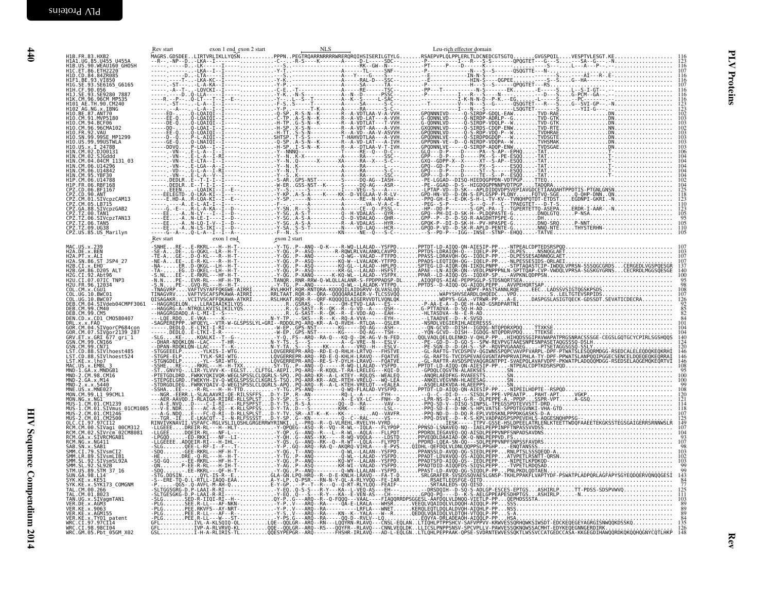<span id="page-29-0"></span>

|                                                                                                   | Rev start | exon 1 end exon 2 start | NLS | Leu-rich effector domain |     |
|---------------------------------------------------------------------------------------------------|-----------|-------------------------|-----|--------------------------|-----|
| H1B.FR.83.HXB2<br>HIA1.UG.85.U455 U455A                                                           |           |                         |     |                          |     |
| H1B.US.90.WEAU160 GHOSH<br>H1C.ET.86.ETH2220                                                      |           |                         |     |                          |     |
| H1D.CD.84.84ZR085                                                                                 |           |                         |     |                          |     |
| H1F1.BE.93.VI850<br>H1F1.BE.93.SE6165_G6165<br>H1H.CF.90.056<br>H1J.SE.93.SE9280_7887             |           |                         |     |                          |     |
| H1K.CM.96.96CM MP535                                                                              |           |                         |     |                          |     |
| H101 AE.TH.90.CM240<br>H101 AE.TH.90.CM240<br>H10.BE.87.ANT70<br>H10.CM.91.MVP5180                |           |                         |     |                          |     |
|                                                                                                   |           |                         |     |                          |     |
| H10.CM.94.BCF06<br>H10.CM.96.96CMA102                                                             |           |                         |     |                          |     |
| H10.FR.92.VAU<br>H10.FR.92.VAU<br>H10.SN.99.99SE_MP1299<br>H10.US.x.I_2478B_<br>H10.US.x.I_2478B_ |           |                         |     |                          |     |
|                                                                                                   |           |                         |     |                          |     |
| H1N.CM.02.DJ00131<br>H1N.CM.02.SJGddd                                                             |           |                         |     |                          |     |
| H1N.CM.04.04CM_1131_03                                                                            |           |                         |     |                          |     |
| HIN.CM.06.U14296<br>H1N.CM.06.U14842<br>H1N.CM.95.YBF30                                           |           |                         |     |                          |     |
| H1P.CM.06.U14788<br>H1P.FR.06.RBF168                                                              |           |                         |     |                          |     |
|                                                                                                   |           |                         |     |                          |     |
|                                                                                                   |           |                         |     |                          |     |
| CPZ.GA.88.SIVcpzGAB2<br>CPZ.GA.88.SIVcpzGAB2                                                      |           |                         |     |                          |     |
| ČPŽ.TŽ.06.SIVCpzTAN13<br>CPZ.TZ.06.TAN5<br>CPZ.TZ.09.UG38                                         |           |                         |     |                          |     |
| ČPŽ.US.85.US Marilyn                                                                              |           |                         |     |                          |     |
|                                                                                                   |           |                         |     |                          |     |
|                                                                                                   |           |                         |     |                          |     |
|                                                                                                   |           |                         |     |                          |     |
|                                                                                                   |           |                         |     |                          |     |
|                                                                                                   |           |                         |     |                          |     |
|                                                                                                   |           |                         |     |                          | 108 |
|                                                                                                   |           |                         |     |                          |     |
|                                                                                                   |           |                         |     |                          |     |
|                                                                                                   |           |                         |     |                          |     |
|                                                                                                   |           |                         |     |                          |     |
|                                                                                                   |           |                         |     |                          |     |
|                                                                                                   |           |                         |     |                          |     |
|                                                                                                   |           |                         |     |                          |     |
|                                                                                                   |           |                         |     |                          |     |
|                                                                                                   |           |                         |     |                          |     |
|                                                                                                   |           |                         |     |                          |     |
|                                                                                                   |           |                         |     |                          |     |
|                                                                                                   |           |                         |     |                          |     |
|                                                                                                   |           |                         |     |                          |     |
|                                                                                                   |           |                         |     |                          |     |
|                                                                                                   |           |                         |     |                          |     |
|                                                                                                   |           |                         |     |                          |     |
|                                                                                                   |           |                         |     |                          |     |
|                                                                                                   |           |                         |     |                          |     |
|                                                                                                   |           |                         |     |                          |     |
|                                                                                                   |           |                         |     |                          |     |
|                                                                                                   |           |                         |     |                          |     |
|                                                                                                   |           |                         |     |                          |     |
|                                                                                                   |           |                         |     |                          |     |
|                                                                                                   |           |                         |     |                          |     |
|                                                                                                   |           |                         |     |                          |     |
|                                                                                                   |           |                         |     |                          |     |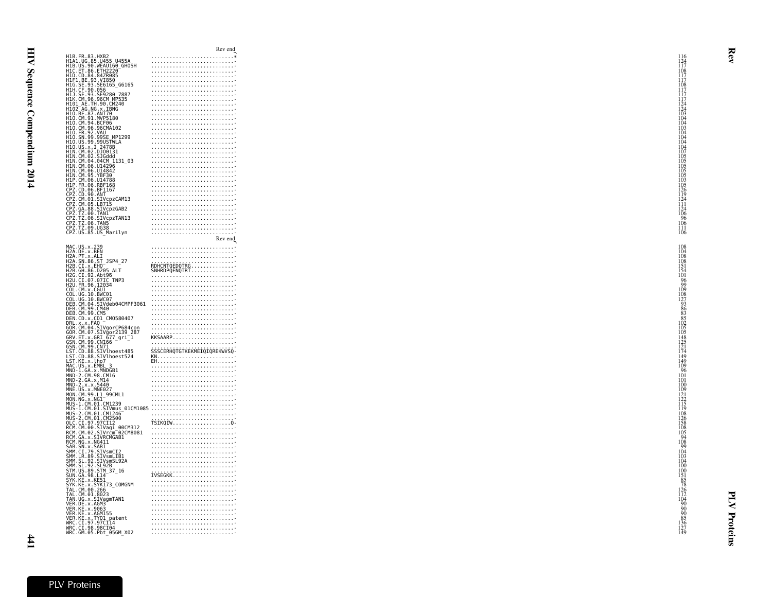|                                                                                                                                                                                                                                                                                                      |                                                                                                                                                                                 | Rev end                      |
|------------------------------------------------------------------------------------------------------------------------------------------------------------------------------------------------------------------------------------------------------------------------------------------------------|---------------------------------------------------------------------------------------------------------------------------------------------------------------------------------|------------------------------|
|                                                                                                                                                                                                                                                                                                      | H1B.FR.83.HXB2<br>H1A1.UG.85.U455 U455A<br>H1B.US.90.WEAU160_GH0SH                                                                                                              |                              |
|                                                                                                                                                                                                                                                                                                      |                                                                                                                                                                                 |                              |
|                                                                                                                                                                                                                                                                                                      | H1C.ET.86.ETH2220                                                                                                                                                               |                              |
|                                                                                                                                                                                                                                                                                                      | H1D.CD.84.84ZR085<br>H1F1.BE.93.VI850<br>H1F1.BE.93.VI850<br>H1G.SE.93.SE6165_G6165<br>H1H.CF.90.056                                                                            |                              |
|                                                                                                                                                                                                                                                                                                      |                                                                                                                                                                                 |                              |
|                                                                                                                                                                                                                                                                                                      |                                                                                                                                                                                 |                              |
|                                                                                                                                                                                                                                                                                                      |                                                                                                                                                                                 |                              |
|                                                                                                                                                                                                                                                                                                      | H11.SE.99.SE9280 7887<br>H11.SE.99.SE9280 7887<br>H101 AE.TH.90.CM240<br>H102_AG.NG.x.IBNG                                                                                      |                              |
|                                                                                                                                                                                                                                                                                                      |                                                                                                                                                                                 |                              |
|                                                                                                                                                                                                                                                                                                      |                                                                                                                                                                                 |                              |
|                                                                                                                                                                                                                                                                                                      | H10.BE.87.ANT70<br>H10.BE.87.ANT70<br>H10.CM.91.MVP5180                                                                                                                         |                              |
|                                                                                                                                                                                                                                                                                                      |                                                                                                                                                                                 |                              |
|                                                                                                                                                                                                                                                                                                      | H10.CM.94.BCF06<br>H10.CM.96.96CMA102<br>H10.CM.96.96CMA102<br>H10.SN.99.99SE MP1299<br>H10.US.99.99USTWLA<br>H10.US.99.99USTWLA                                                |                              |
|                                                                                                                                                                                                                                                                                                      |                                                                                                                                                                                 |                              |
|                                                                                                                                                                                                                                                                                                      |                                                                                                                                                                                 |                              |
|                                                                                                                                                                                                                                                                                                      |                                                                                                                                                                                 |                              |
|                                                                                                                                                                                                                                                                                                      |                                                                                                                                                                                 |                              |
|                                                                                                                                                                                                                                                                                                      | H10. US. x. 1 2478B<br>H1N. CM. 02. DJ00131<br>H1N. CM. 02. SJGddd<br>H1N. CM. 04. 04CM<br>H1N. CM. 06. U14296                                                                  |                              |
|                                                                                                                                                                                                                                                                                                      |                                                                                                                                                                                 |                              |
|                                                                                                                                                                                                                                                                                                      |                                                                                                                                                                                 |                              |
|                                                                                                                                                                                                                                                                                                      |                                                                                                                                                                                 |                              |
|                                                                                                                                                                                                                                                                                                      |                                                                                                                                                                                 |                              |
|                                                                                                                                                                                                                                                                                                      | H1N.CM.06.U14842<br>H1N.CM.95.YBF30                                                                                                                                             |                              |
|                                                                                                                                                                                                                                                                                                      |                                                                                                                                                                                 |                              |
|                                                                                                                                                                                                                                                                                                      | HIP.CM.06.UI4788<br>HIP.FR.06.RBF168                                                                                                                                            |                              |
|                                                                                                                                                                                                                                                                                                      | HP. F. H. 00. REF168<br>CPZ. CD. 90. ANT<br>CPZ. CM. 01. STVCp2CAM13<br>CPZ. CM. 05. LB715<br>CPZ. CM. 05. LB715<br>CPZ. TZ. 00. TAN1<br>CPZ. TZ. 00. TAN1<br>CPZ. TZ. 00. TAN1 |                              |
|                                                                                                                                                                                                                                                                                                      |                                                                                                                                                                                 |                              |
|                                                                                                                                                                                                                                                                                                      |                                                                                                                                                                                 |                              |
|                                                                                                                                                                                                                                                                                                      |                                                                                                                                                                                 |                              |
|                                                                                                                                                                                                                                                                                                      |                                                                                                                                                                                 |                              |
|                                                                                                                                                                                                                                                                                                      |                                                                                                                                                                                 |                              |
|                                                                                                                                                                                                                                                                                                      | CPZ.TZ.06.SIVCpzTAN13<br>CPZ.TZ.06.TAN5                                                                                                                                         |                              |
|                                                                                                                                                                                                                                                                                                      |                                                                                                                                                                                 |                              |
|                                                                                                                                                                                                                                                                                                      | CPZ.TZ.09.UG38<br>CPZ.US.85.US_Marilyn                                                                                                                                          |                              |
|                                                                                                                                                                                                                                                                                                      |                                                                                                                                                                                 |                              |
|                                                                                                                                                                                                                                                                                                      |                                                                                                                                                                                 | Rev end                      |
|                                                                                                                                                                                                                                                                                                      |                                                                                                                                                                                 |                              |
| MAC.US.x.239                                                                                                                                                                                                                                                                                         |                                                                                                                                                                                 |                              |
| H2A.DE.x.BEN                                                                                                                                                                                                                                                                                         |                                                                                                                                                                                 |                              |
| H2A.PT.x.ALI                                                                                                                                                                                                                                                                                         |                                                                                                                                                                                 |                              |
|                                                                                                                                                                                                                                                                                                      | H2A.SN.86.ST_JSP4_27                                                                                                                                                            |                              |
| H2B.CI.X.EHO                                                                                                                                                                                                                                                                                         |                                                                                                                                                                                 |                              |
|                                                                                                                                                                                                                                                                                                      |                                                                                                                                                                                 |                              |
|                                                                                                                                                                                                                                                                                                      |                                                                                                                                                                                 |                              |
|                                                                                                                                                                                                                                                                                                      | H2B.GH.86.D205 ALT<br>H2G.CI.92.Abt96<br>H2U.CI.07.07IC TNP3<br>H2U.FR.96.12034                                                                                                 |                              |
| COL.CM.x.CGU1                                                                                                                                                                                                                                                                                        |                                                                                                                                                                                 |                              |
|                                                                                                                                                                                                                                                                                                      |                                                                                                                                                                                 |                              |
|                                                                                                                                                                                                                                                                                                      | COL. UG. 10. BWC01<br>COL.UG.10.BWC07                                                                                                                                           |                              |
|                                                                                                                                                                                                                                                                                                      |                                                                                                                                                                                 |                              |
|                                                                                                                                                                                                                                                                                                      | DEB.CM.04.SIVdeb04CMPF3061<br>DEB.CM.99.CM40                                                                                                                                    |                              |
|                                                                                                                                                                                                                                                                                                      |                                                                                                                                                                                 |                              |
|                                                                                                                                                                                                                                                                                                      |                                                                                                                                                                                 |                              |
|                                                                                                                                                                                                                                                                                                      |                                                                                                                                                                                 |                              |
|                                                                                                                                                                                                                                                                                                      | DEB.CM.99.CM49<br>DEN.CD.x.CD1_CM0580407<br>DEN.CD.x.CD1_CM0580407<br>GOR.CM.04.SIVgorCP684con<br>GOR.CM.04.SIVgorCP684con<br>GOR.CM.07.SIVgor2139_287<br>GSN.CM.99.CN166_911_1 |                              |
|                                                                                                                                                                                                                                                                                                      |                                                                                                                                                                                 |                              |
|                                                                                                                                                                                                                                                                                                      |                                                                                                                                                                                 | KKSAARP                      |
|                                                                                                                                                                                                                                                                                                      | GSN. CM. 99. CN166                                                                                                                                                              |                              |
| GSN.CM.99.CN71                                                                                                                                                                                                                                                                                       |                                                                                                                                                                                 |                              |
|                                                                                                                                                                                                                                                                                                      | LST.CD.88.SIVlhoest485                                                                                                                                                          | SSSCERHOTGTKEKMEIQIOREKWVSQ- |
|                                                                                                                                                                                                                                                                                                      | LST.CD.88.SIVlhoest524                                                                                                                                                          |                              |
| LST.KE.x. <u>lho</u> 7                                                                                                                                                                                                                                                                               |                                                                                                                                                                                 |                              |
|                                                                                                                                                                                                                                                                                                      | LST. K. E. X. LND<br>MAC. US. X. EMBL 3<br>MND-1. GA. X. MNDGB1<br>MND-2. CM. 98. CM16<br>MND-2. X. X. 5440<br>MND-2. X. X. 5440<br>MNE. US. X. MNE027<br>MNE. US. X. MNE027    |                              |
|                                                                                                                                                                                                                                                                                                      |                                                                                                                                                                                 |                              |
|                                                                                                                                                                                                                                                                                                      |                                                                                                                                                                                 |                              |
|                                                                                                                                                                                                                                                                                                      |                                                                                                                                                                                 |                              |
|                                                                                                                                                                                                                                                                                                      |                                                                                                                                                                                 |                              |
|                                                                                                                                                                                                                                                                                                      | MON.CM.99.L1_99CML1                                                                                                                                                             |                              |
|                                                                                                                                                                                                                                                                                                      |                                                                                                                                                                                 |                              |
|                                                                                                                                                                                                                                                                                                      | MON.NG.x.NG1-<br>MUS-1.CM.01.CM1239                                                                                                                                             |                              |
|                                                                                                                                                                                                                                                                                                      |                                                                                                                                                                                 |                              |
|                                                                                                                                                                                                                                                                                                      |                                                                                                                                                                                 |                              |
|                                                                                                                                                                                                                                                                                                      |                                                                                                                                                                                 |                              |
|                                                                                                                                                                                                                                                                                                      |                                                                                                                                                                                 |                              |
|                                                                                                                                                                                                                                                                                                      |                                                                                                                                                                                 |                              |
|                                                                                                                                                                                                                                                                                                      |                                                                                                                                                                                 |                              |
|                                                                                                                                                                                                                                                                                                      |                                                                                                                                                                                 |                              |
|                                                                                                                                                                                                                                                                                                      |                                                                                                                                                                                 |                              |
|                                                                                                                                                                                                                                                                                                      |                                                                                                                                                                                 |                              |
|                                                                                                                                                                                                                                                                                                      |                                                                                                                                                                                 |                              |
|                                                                                                                                                                                                                                                                                                      | SMM.CI.79.SIVsmCI2                                                                                                                                                              |                              |
|                                                                                                                                                                                                                                                                                                      |                                                                                                                                                                                 |                              |
|                                                                                                                                                                                                                                                                                                      |                                                                                                                                                                                 |                              |
|                                                                                                                                                                                                                                                                                                      |                                                                                                                                                                                 |                              |
|                                                                                                                                                                                                                                                                                                      | SMM.CR. 89. SIVSMCIB1<br>SMM.CR. 92. SIVSMCIB1<br>SMM.SL. 92. SIVSMSL92A<br>SMM.SL. 92. SL92B<br>STM. US. 89. STM_37_16                                                         |                              |
|                                                                                                                                                                                                                                                                                                      |                                                                                                                                                                                 |                              |
|                                                                                                                                                                                                                                                                                                      |                                                                                                                                                                                 | IVSEGKK                      |
| MUS.<br>MÙS.<br>MUS - 2 . CM . 01 . CM 2500<br>RCC . CI . 97 . 97CI12<br>RCM . CM . 00 . SIVagi . 00CM312<br>RCM . CM . 02 . SIVRGT . 02CM8081<br>RCM . GA . x . NG4RT<br>RCM . NG . x . NG4RT<br>RCM . NG . x . NG4RT<br>RCM . NG . x . NG4RT<br>SAB.SN.x.SAB1<br>SUN. GA. 98. L14<br>SYK.KE.x.KE51 |                                                                                                                                                                                 |                              |
|                                                                                                                                                                                                                                                                                                      |                                                                                                                                                                                 |                              |
|                                                                                                                                                                                                                                                                                                      |                                                                                                                                                                                 |                              |
|                                                                                                                                                                                                                                                                                                      |                                                                                                                                                                                 |                              |
|                                                                                                                                                                                                                                                                                                      | SYK. KE: x. SYK173_COMGNM<br>TAL. CM. 00. 266<br>TAL. CM. 00. 266<br>TAN. UG. x. SIVagmTAN1<br>VER. DE. x. AGM3                                                                 |                              |
|                                                                                                                                                                                                                                                                                                      |                                                                                                                                                                                 |                              |
|                                                                                                                                                                                                                                                                                                      | VER.KE.x.9063<br>VER.KE.x.8063                                                                                                                                                  |                              |
|                                                                                                                                                                                                                                                                                                      |                                                                                                                                                                                 |                              |
|                                                                                                                                                                                                                                                                                                      |                                                                                                                                                                                 |                              |
|                                                                                                                                                                                                                                                                                                      | VER.KE.X.TY01 patent<br>WRC.CI.97.97CI14<br>WRC.CI.98.98CI04<br>WRC.GM.05.Pbt 05GM X02                                                                                          |                              |

Rev end

Rev

 $\sharp$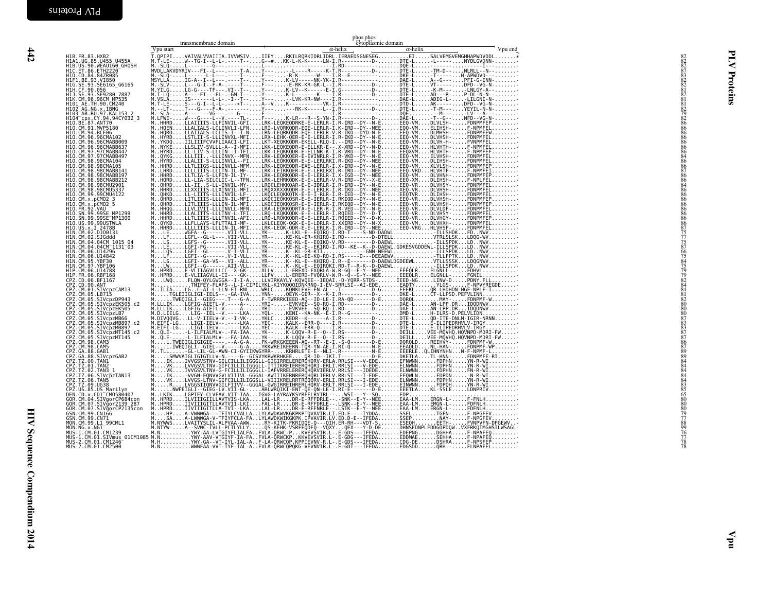<span id="page-31-0"></span>

|  |  |  | 82<br>82<br>82<br>87                   |
|--|--|--|----------------------------------------|
|  |  |  | 83<br>82<br>82<br>81<br>82<br>81       |
|  |  |  |                                        |
|  |  |  | 81<br>82<br>782<br>86<br>86            |
|  |  |  | $\frac{86}{86}$                        |
|  |  |  | 86<br>86<br>84<br>84<br>86             |
|  |  |  | $\frac{86}{87}$                        |
|  |  |  | 86<br>$\frac{86}{84}$<br>86            |
|  |  |  | 86<br>86                               |
|  |  |  | $\frac{86}{86}$<br>$\frac{86}{86}$     |
|  |  |  | 86<br>87<br>77<br>77<br>77<br>87       |
|  |  |  |                                        |
|  |  |  | 66758475799288888                      |
|  |  |  |                                        |
|  |  |  | $\frac{81}{82}$<br>$\frac{82}{80}$     |
|  |  |  | $80^{\circ}$<br>87                     |
|  |  |  | 83<br>$\frac{83}{87}$                  |
|  |  |  | $\frac{86}{87}$<br>$\frac{89}{89}$     |
|  |  |  | 84<br>84<br>84<br>84                   |
|  |  |  |                                        |
|  |  |  | 843<br>883<br>65<br>80<br>$80^{\circ}$ |
|  |  |  |                                        |
|  |  |  | 80977889977788                         |
|  |  |  |                                        |
|  |  |  |                                        |
|  |  |  |                                        |
|  |  |  |                                        |
|  |  |  |                                        |
|  |  |  |                                        |
|  |  |  |                                        |

phos phos s<br>
phos phos cytoplasmic domain<br>
phos cytoplasmic domain

transmembrane domain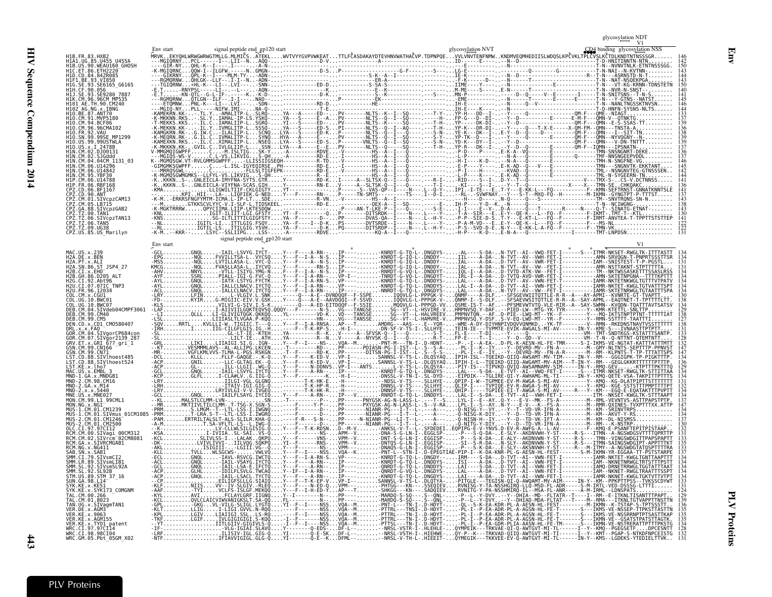HIV Sequence Compendium 2014 HIV Sequence Compendium 2014

<span id="page-32-0"></span>

|                                      |                                       |                                   | signal peptide end gp120 start                                                                                                                      |  |                                                           |                                | glycosy <u>latio</u> n NVT |                                            |                                                    |  |
|--------------------------------------|---------------------------------------|-----------------------------------|-----------------------------------------------------------------------------------------------------------------------------------------------------|--|-----------------------------------------------------------|--------------------------------|----------------------------|--------------------------------------------|----------------------------------------------------|--|
|                                      |                                       |                                   |                                                                                                                                                     |  |                                                           |                                |                            |                                            |                                                    |  |
|                                      |                                       |                                   |                                                                                                                                                     |  |                                                           |                                |                            |                                            |                                                    |  |
|                                      |                                       |                                   |                                                                                                                                                     |  |                                                           |                                |                            |                                            |                                                    |  |
|                                      |                                       |                                   |                                                                                                                                                     |  |                                                           |                                |                            |                                            |                                                    |  |
|                                      |                                       |                                   |                                                                                                                                                     |  |                                                           |                                |                            |                                            |                                                    |  |
|                                      |                                       |                                   |                                                                                                                                                     |  |                                                           |                                |                            |                                            |                                                    |  |
|                                      |                                       |                                   |                                                                                                                                                     |  |                                                           |                                |                            |                                            |                                                    |  |
|                                      |                                       |                                   |                                                                                                                                                     |  |                                                           |                                |                            |                                            |                                                    |  |
|                                      |                                       |                                   |                                                                                                                                                     |  |                                                           |                                |                            |                                            |                                                    |  |
|                                      |                                       |                                   |                                                                                                                                                     |  |                                                           |                                |                            |                                            |                                                    |  |
|                                      |                                       |                                   |                                                                                                                                                     |  |                                                           |                                |                            |                                            |                                                    |  |
|                                      |                                       |                                   |                                                                                                                                                     |  |                                                           |                                |                            |                                            |                                                    |  |
|                                      |                                       |                                   |                                                                                                                                                     |  |                                                           |                                |                            |                                            |                                                    |  |
|                                      |                                       |                                   |                                                                                                                                                     |  |                                                           |                                |                            |                                            |                                                    |  |
|                                      |                                       |                                   |                                                                                                                                                     |  |                                                           |                                |                            |                                            |                                                    |  |
|                                      |                                       |                                   |                                                                                                                                                     |  |                                                           |                                |                            |                                            |                                                    |  |
|                                      |                                       |                                   |                                                                                                                                                     |  |                                                           |                                |                            |                                            |                                                    |  |
|                                      |                                       |                                   |                                                                                                                                                     |  |                                                           |                                |                            |                                            |                                                    |  |
|                                      |                                       |                                   |                                                                                                                                                     |  |                                                           |                                |                            |                                            |                                                    |  |
|                                      |                                       |                                   |                                                                                                                                                     |  |                                                           |                                |                            |                                            |                                                    |  |
|                                      |                                       |                                   |                                                                                                                                                     |  |                                                           |                                |                            |                                            |                                                    |  |
| TAN5                                 |                                       |                                   |                                                                                                                                                     |  |                                                           |                                |                            |                                            |                                                    |  |
| Z.TZ.09.UG38<br>CPZ.US.85.US Marilyn |                                       |                                   |                                                                                                                                                     |  |                                                           |                                |                            |                                            |                                                    |  |
|                                      |                                       |                                   | signal peptide end gp120 start                                                                                                                      |  |                                                           |                                |                            |                                            |                                                    |  |
|                                      |                                       |                                   |                                                                                                                                                     |  |                                                           |                                |                            |                                            |                                                    |  |
| DE.x.BEN                             |                                       |                                   |                                                                                                                                                     |  |                                                           |                                |                            |                                            | --AI--VWO-FET-I------S---ITMR-NKSET-RWGLTK-ITTTAST |  |
| 2A.                                  |                                       |                                   |                                                                                                                                                     |  |                                                           |                                |                            |                                            |                                                    |  |
|                                      |                                       |                                   |                                                                                                                                                     |  |                                                           |                                |                            |                                            |                                                    |  |
| 2R GH 86 D205 ALT                    |                                       |                                   |                                                                                                                                                     |  |                                                           |                                |                            |                                            |                                                    |  |
|                                      |                                       |                                   |                                                                                                                                                     |  |                                                           |                                |                            |                                            |                                                    |  |
|                                      |                                       |                                   |                                                                                                                                                     |  |                                                           |                                |                            |                                            |                                                    |  |
|                                      |                                       |                                   |                                                                                                                                                     |  |                                                           |                                |                            |                                            |                                                    |  |
|                                      | SIVdeb04CMPF3061                      |                                   |                                                                                                                                                     |  |                                                           |                                |                            |                                            |                                                    |  |
|                                      |                                       |                                   |                                                                                                                                                     |  |                                                           |                                |                            |                                            |                                                    |  |
|                                      |                                       |                                   |                                                                                                                                                     |  |                                                           |                                |                            |                                            |                                                    |  |
|                                      | $.04. SI$ Vaor $CP684$ con            |                                   |                                                                                                                                                     |  |                                                           |                                |                            |                                            |                                                    |  |
|                                      | IVăor2139 287<br>7_gri <sup>-</sup> 1 |                                   |                                                                                                                                                     |  |                                                           |                                |                            |                                            |                                                    |  |
|                                      |                                       |                                   |                                                                                                                                                     |  |                                                           |                                |                            |                                            |                                                    |  |
|                                      | SIVlhoest485                          |                                   |                                                                                                                                                     |  |                                                           |                                |                            |                                            |                                                    |  |
|                                      | SIVlhoest524                          |                                   |                                                                                                                                                     |  |                                                           |                                |                            |                                            |                                                    |  |
|                                      |                                       |                                   |                                                                                                                                                     |  |                                                           |                                |                            |                                            |                                                    |  |
|                                      |                                       |                                   |                                                                                                                                                     |  |                                                           |                                |                            |                                            |                                                    |  |
|                                      |                                       |                                   |                                                                                                                                                     |  |                                                           |                                |                            |                                            |                                                    |  |
|                                      |                                       |                                   |                                                                                                                                                     |  |                                                           |                                |                            |                                            |                                                    |  |
|                                      | 99CML1                                |                                   |                                                                                                                                                     |  |                                                           |                                |                            |                                            |                                                    |  |
|                                      |                                       |                                   |                                                                                                                                                     |  |                                                           |                                |                            |                                            |                                                    |  |
|                                      |                                       |                                   |                                                                                                                                                     |  |                                                           |                                |                            |                                            |                                                    |  |
|                                      |                                       |                                   |                                                                                                                                                     |  |                                                           |                                |                            |                                            |                                                    |  |
|                                      |                                       |                                   |                                                                                                                                                     |  |                                                           |                                |                            |                                            |                                                    |  |
|                                      | iIVrčm <sup>−</sup> 02CM8081          |                                   |                                                                                                                                                     |  |                                                           |                                |                            |                                            |                                                    |  |
|                                      |                                       |                                   |                                                                                                                                                     |  |                                                           |                                |                            |                                            |                                                    |  |
|                                      |                                       |                                   |                                                                                                                                                     |  |                                                           |                                |                            |                                            |                                                    |  |
|                                      |                                       |                                   |                                                                                                                                                     |  |                                                           |                                |                            |                                            |                                                    |  |
|                                      |                                       |                                   | GNQL-IAIL-Vaniu-Listy<br>GNQL-IAIL-LSA-E.IFCTOY---F----A-RN--IP-----QNRDI-G-IQ-L-.DNGDYS-LAL----A-DA-<br>GLHL-IDILFLSVLG.TWCAQY--IF--I-A-RN--IP---- |  |                                                           |                                |                            | FET-I----------IAM-<br>FET-I----------IAMR |                                                    |  |
|                                      |                                       |                                   |                                                                                                                                                     |  |                                                           |                                |                            |                                            |                                                    |  |
|                                      |                                       |                                   |                                                                                                                                                     |  |                                                           |                                |                            |                                            |                                                    |  |
|                                      |                                       |                                   |                                                                                                                                                     |  |                                                           | $S - QNL - \ldots$             |                            |                                            |                                                    |  |
|                                      |                                       |                                   |                                                                                                                                                     |  |                                                           | $\overline{D}$ -HDYT- $\ldots$ |                            |                                            |                                                    |  |
| 9063                                 |                                       | . LLTG I - LIGI<br>. LGIV LIAIIGI |                                                                                                                                                     |  |                                                           |                                |                            |                                            |                                                    |  |
|                                      |                                       |                                   |                                                                                                                                                     |  |                                                           |                                |                            |                                            |                                                    |  |
|                                      | 701 patent                            |                                   |                                                                                                                                                     |  | .INSSVOA.-MPTTSL-<br>Y--------Q-EDS-DF-L----NRSL-VSTR-I-. |                                |                            |                                            |                                                    |  |
| WRC.CI.98.98CI04                     |                                       |                                   | ILISIV-IGL.GIG-QYI-------Q-E-SKDF-L---NRSL-VSTH-I-.HIEHWE-QY-P--K---TRKVAD-QIIQ-AWTGVT-MI-TI------I--Y--KMT-                                        |  |                                                           |                                |                            |                                            |                                                    |  |
|                                      |                                       |                                   |                                                                                                                                                     |  | GIGL.GLG-0YI--------0-E--KDFML--                          |                                |                            |                                            |                                                    |  |

Env

glycosy<u>latio</u>n NDT<br>V1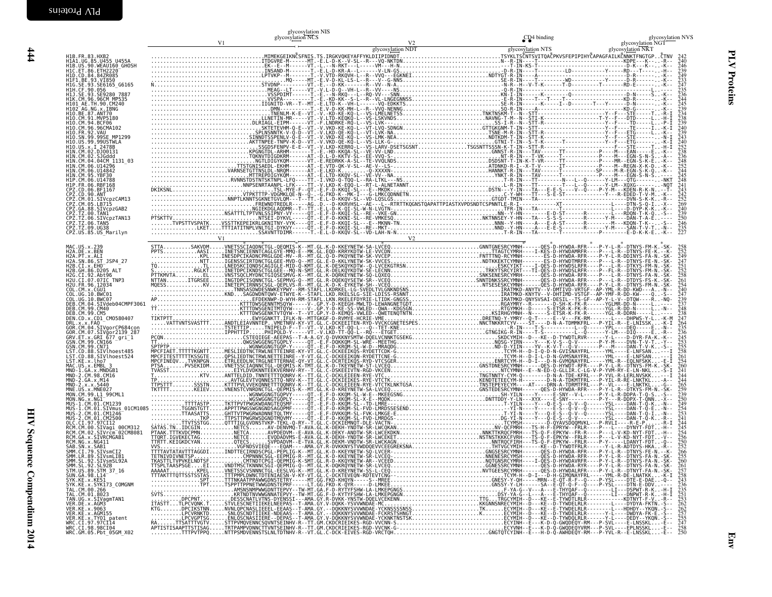|  | glycosylation NIS<br>glycosylation NCS | CD <sub>4</sub> binding | glycosylation NVS |
|--|----------------------------------------|-------------------------|-------------------|
|  |                                        |                         |                   |
|  |                                        |                         |                   |
|  |                                        |                         |                   |
|  |                                        |                         |                   |
|  |                                        |                         |                   |
|  |                                        |                         |                   |
|  |                                        |                         |                   |
|  |                                        |                         |                   |
|  |                                        |                         |                   |
|  |                                        |                         |                   |
|  |                                        |                         |                   |
|  |                                        |                         |                   |
|  |                                        |                         |                   |
|  |                                        |                         |                   |
|  |                                        |                         |                   |
|  |                                        |                         |                   |
|  |                                        |                         |                   |
|  |                                        |                         |                   |
|  |                                        |                         |                   |
|  |                                        |                         |                   |
|  |                                        |                         |                   |
|  |                                        |                         |                   |
|  |                                        |                         |                   |
|  |                                        |                         |                   |
|  |                                        |                         |                   |
|  |                                        |                         |                   |
|  |                                        |                         |                   |
|  |                                        |                         |                   |
|  |                                        |                         |                   |
|  |                                        |                         |                   |
|  |                                        |                         |                   |
|  |                                        |                         |                   |
|  |                                        |                         |                   |
|  |                                        |                         |                   |
|  |                                        |                         |                   |
|  |                                        |                         |                   |
|  |                                        |                         |                   |
|  |                                        |                         |                   |
|  |                                        |                         |                   |
|  |                                        |                         |                   |
|  |                                        |                         |                   |
|  |                                        |                         |                   |
|  |                                        |                         |                   |
|  |                                        |                         |                   |
|  |                                        |                         |                   |

PLV Proteins

**PLV Proteins**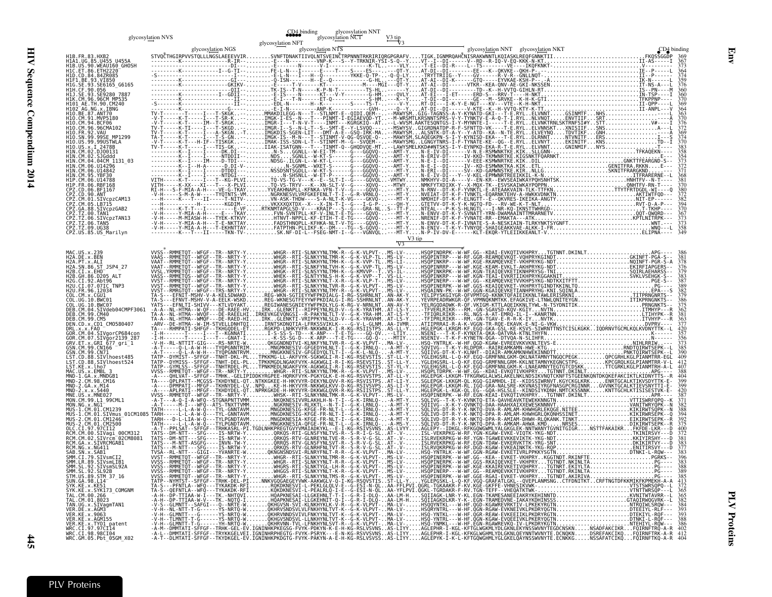#### glycosylation NVS

| glycosylation NVS                                                                                                                                                                                                              |                   | $CD4$ binding<br>g glycosy <u>lati</u> on NNT<br>glycos <u>ylatio</u> n NCT | $\frac{\text{V3 tip}}{\text{V3}}$ |                                     |               |
|--------------------------------------------------------------------------------------------------------------------------------------------------------------------------------------------------------------------------------|-------------------|-----------------------------------------------------------------------------|-----------------------------------|-------------------------------------|---------------|
|                                                                                                                                                                                                                                | glycosylation NGS | glycosylation NFT<br>glycosylation NTS                                      |                                   | glycosylation NNT glycosylation NKT | $CD4$ binding |
| H1B.FR.83.HXB2<br>H1A1.UG.85.U455_U455A<br>H1B.US.90.WEAU160 GHOSH                                                                                                                                                             |                   |                                                                             |                                   |                                     |               |
| HIC.ET.86.ETH2220<br>H1D.CD.84.84ZR085                                                                                                                                                                                         |                   |                                                                             |                                   |                                     |               |
| HIP. UP. 04. 0425003<br>HIF1. BE. 93. VI850<br>HIH. CF. 99. 056<br>HIH. CF. 90. 056                                                                                                                                            |                   |                                                                             |                                   |                                     |               |
| H1J.SE.93.SE9280 7887<br>IK.CM.96.96CM MP535                                                                                                                                                                                   |                   |                                                                             |                                   |                                     |               |
| 1101 AE.TH.90.CM240                                                                                                                                                                                                            |                   |                                                                             |                                   |                                     |               |
| H10. BE.87.ANT70<br>H10. BE.87.ANT70<br>H10. CM.91.MVP5180<br>H10. CM.94.BCF06                                                                                                                                                 |                   |                                                                             |                                   |                                     |               |
| H10.CM.96.96CMA102<br>H10.FR.92.VAU                                                                                                                                                                                            |                   |                                                                             |                                   |                                     |               |
| H10.FK.92.VAU<br>H10.SN.99.995E MP1299<br>H10.US.99.99USTWLA<br>H1N.CM.02.D100131<br>H1N.CM.02.D100131<br>H1N.CM.04.04CM 1131_03<br>H1N.CM.04.04CM 1131_03<br>H1N.CM.06.U14296                                                 |                   |                                                                             |                                   |                                     |               |
|                                                                                                                                                                                                                                |                   |                                                                             |                                   |                                     |               |
| H1N.CM.06.ŬĪ4842<br>H1N.CM.95.YBF30                                                                                                                                                                                            |                   |                                                                             |                                   |                                     |               |
| H1P.CM.06.U14788                                                                                                                                                                                                               |                   |                                                                             |                                   |                                     |               |
| CPZ.CD.06.BF1167                                                                                                                                                                                                               |                   |                                                                             |                                   |                                     |               |
| CPZ.CD.90.ANT<br>CPZ.CM.01.SIVcpzCAM13<br>CPZ.CM.05.LB715                                                                                                                                                                      |                   |                                                                             |                                   |                                     |               |
| CPZ.GA.88.SIVcpzGAB2<br>CPZ.TZ.00.TAN1<br>PZ.TZ.06.SIVcpzTAN13                                                                                                                                                                 |                   |                                                                             |                                   |                                     |               |
| CPZ.TZ.06.TAN5<br>CPZ.TZ.06.TAN5<br>CPZ.TZ.09.UG38<br>CPZ.US.85.US_Marilyn                                                                                                                                                     |                   |                                                                             |                                   |                                     |               |
|                                                                                                                                                                                                                                |                   |                                                                             | V3 tip                            |                                     |               |
| MAC.US.x.239<br>H2A.DE.x.BEN<br>H2A.PT.x.ALI                                                                                                                                                                                   |                   |                                                                             |                                   |                                     |               |
| H2A.SN.86.ST_JSP4_27<br>H2B.CI.x.EHO                                                                                                                                                                                           |                   |                                                                             |                                   |                                     |               |
| H2B.GH.86.D205_ALT                                                                                                                                                                                                             |                   |                                                                             |                                   |                                     |               |
| H2G.CI.92.Abt96<br>H2U.CI.07.07IC TNP3<br>H2U.FR.96.12034                                                                                                                                                                      |                   |                                                                             |                                   |                                     |               |
| COL.CM.x.CGU1<br>COL.UG.10.BWC01<br>COL.UG.10.BWC07                                                                                                                                                                            |                   |                                                                             |                                   |                                     |               |
| DEB.CM.04.SIVdeb04CMPF3061<br>EB.CM.99.CM40                                                                                                                                                                                    |                   |                                                                             |                                   |                                     |               |
| DEB.CM.99.CM5<br>DEN.CD.x.CD1 CM0580407                                                                                                                                                                                        |                   |                                                                             |                                   |                                     |               |
| DRL.x.x.FAO ¯<br>GOR.CM.04.SIVgorCP684con                                                                                                                                                                                      |                   |                                                                             |                                   |                                     |               |
| GRV.CT.87.31107-2139-26<br>GRV.CT.x.GRI 677-9r1-1<br>GSN.CM.99.CN166<br>LST.CD.88.SIVlhoest485<br>LST.CD.88.SIVlhoest524                                                                                                       |                   |                                                                             |                                   |                                     |               |
|                                                                                                                                                                                                                                |                   |                                                                             |                                   |                                     |               |
| LST.KE.x.lho7<br>MAC.US.x.EMBL 3<br>MND-1.GA.x.MNDGB1                                                                                                                                                                          |                   |                                                                             |                                   |                                     |               |
| MND-2.CM.98.CM16<br>MND-2.GA.x.M14                                                                                                                                                                                             |                   |                                                                             |                                   |                                     |               |
| JS.x.MNE027<br>MON.CM.99.L1_99CML1                                                                                                                                                                                             |                   |                                                                             |                                   |                                     |               |
| MON.NG.x.NG1<br>MUS-1.CM.01.CM1239<br>MUS-1.CM.01.SIVmus 01CM108                                                                                                                                                               |                   |                                                                             |                                   |                                     |               |
| MUS-2.CM.01.CM1246<br>MUS-2.CM.01.CM2500                                                                                                                                                                                       |                   |                                                                             |                                   |                                     |               |
| OLC.CI.97.97CI12<br>CM.CM.00.SIVaqi 00CM312<br>CM.CM.02.SIVrcm <sup>-</sup> 02CM8081                                                                                                                                           |                   |                                                                             |                                   |                                     |               |
| RCM.GA.x.SIVRCMGAB1<br>RCM.NG.x.NG411                                                                                                                                                                                          |                   |                                                                             |                                   |                                     |               |
| SAB.SN.x.SAB1<br>SAB.SN.x.SAB1<br>SMM.CI.79.SIVsmCI2<br>SMM.LR.89.SIVsmLIB1                                                                                                                                                    |                   |                                                                             |                                   |                                     |               |
| SMM.SL.92.                                                                                                                                                                                                                     |                   |                                                                             |                                   |                                     |               |
|                                                                                                                                                                                                                                |                   |                                                                             |                                   |                                     |               |
| SMM. SL. 92. SLVSMSL92A<br>SMM. SL. 92. SLMS 37_16<br>SUN. GA. 98. L14<br>SVN. GA. 98. L14<br>SYK. KE. x. SYK173_COMGNM<br>TAL. CM. 00. 266<br>TAL. CM. 01. 8023<br>TAL. CM. 01. 8023<br>TAL. CM. 01. 8023<br>VFR. DE. x. AGM3 |                   |                                                                             |                                   |                                     |               |
|                                                                                                                                                                                                                                |                   |                                                                             |                                   |                                     |               |
| TAN.00.x.51VagmiAN1<br>VER.0E.x.4GM3<br>VER.KE.x.4GM3<br>VER.KE.x.4GM155<br>WER.KE.x.TY01 patent<br>MRC.CI.98.98CI04<br>WRC.CI.98.98CI04<br>WRC.CM.05.Pbt_05GM_X02                                                             |                   |                                                                             |                                   |                                     |               |
|                                                                                                                                                                                                                                |                   |                                                                             |                                   |                                     |               |
|                                                                                                                                                                                                                                |                   |                                                                             |                                   |                                     |               |

 $445$ 

Env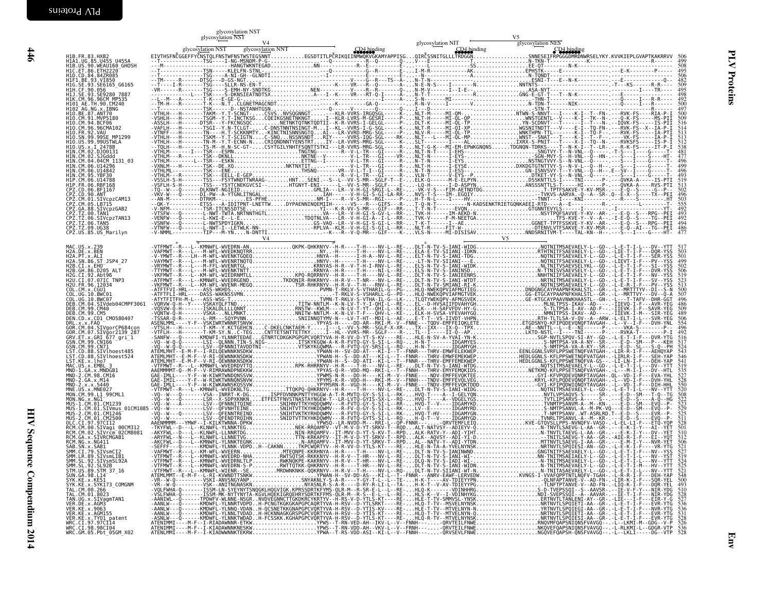|                                                                                                                                                                                                                                                                 | glycosylation NST |  |  |  |
|-----------------------------------------------------------------------------------------------------------------------------------------------------------------------------------------------------------------------------------------------------------------|-------------------|--|--|--|
|                                                                                                                                                                                                                                                                 |                   |  |  |  |
| H1B.FR.83.HXB2<br>H1A1.UG.85.U455_U455A                                                                                                                                                                                                                         |                   |  |  |  |
| <b>HIB. US. 90. WEAU160_GHOSH<br/>H1C. ET. 86. ETH2220<br/>H1D. CD. 84. 842R085<br/>H1F1. BE. 93. VI850</b>                                                                                                                                                     |                   |  |  |  |
| HIG.SE.93.SE6165 G6165                                                                                                                                                                                                                                          |                   |  |  |  |
| H1H. ČF. 90. 056<br>H1J. SE. 93. SE9280_7887                                                                                                                                                                                                                    |                   |  |  |  |
| HIK.CM.96.96CM MP535<br>H101 AE.TH.90.CM240<br>$+102^-$ AG.NG.x.IBNG                                                                                                                                                                                            |                   |  |  |  |
| H1O.CM.91.MVP5180                                                                                                                                                                                                                                               |                   |  |  |  |
| H10.CM.94.BCF06<br>H10.CM.96.96CMA102                                                                                                                                                                                                                           |                   |  |  |  |
| SN.99.99SE MP1299<br>H10.US.99.99USTWLA                                                                                                                                                                                                                         |                   |  |  |  |
| H10.US.x.I 2478B<br>H1N.CM.02.DJ00131<br>11N.CM.02.SJGddd                                                                                                                                                                                                       |                   |  |  |  |
| 41N CM 06 1114296                                                                                                                                                                                                                                               |                   |  |  |  |
| 41N CM 06 1114842                                                                                                                                                                                                                                               |                   |  |  |  |
| HIP .FR.06.RBF168<br>CPZ.CD.06.BF1167<br>CPZ.CD.00.ANT<br>CPZ.CM.01.SIVcpzCAM13                                                                                                                                                                                 |                   |  |  |  |
| CM.05.LB715                                                                                                                                                                                                                                                     |                   |  |  |  |
| CPZ.GA.88.SIVCpzGAB2<br>CPZ.TZ.00.TAN1<br>CPZ.TZ.06.SIVCpzTAN13<br>CPZ.TZ.06.TAN5                                                                                                                                                                               |                   |  |  |  |
|                                                                                                                                                                                                                                                                 |                   |  |  |  |
| CPZ.TZ.09.UG38<br>CPZ.TZ.09.UG38<br>CPZ.US.85.US Marilyn                                                                                                                                                                                                        |                   |  |  |  |
|                                                                                                                                                                                                                                                                 |                   |  |  |  |
| PIAC. US. X. 259<br>H2A. DE. X. ALI<br>H2A. PT. X. ALI<br>H2A. SN. 86. ST_JSP4_27<br>H2B. CI. X. EH0<br>H2B. CH. 86. D205_ALT                                                                                                                                   |                   |  |  |  |
|                                                                                                                                                                                                                                                                 |                   |  |  |  |
|                                                                                                                                                                                                                                                                 |                   |  |  |  |
| H2B. GH. 86. D295 AL<br>H2G. CT. 97. 071C<br>H2U. CT. 07. 07IC_TNP3<br>COL. CM. x. CGU1<br>COL. CM. x. CGU1<br>COL. UG. 10. BWC01<br>COL. UG. 10. BWC07<br>REB. CM. 04. SAVAG094CMPF3061<br>REB. CM. 04. SAVAGb04CMPF3061                                       |                   |  |  |  |
|                                                                                                                                                                                                                                                                 |                   |  |  |  |
| DEB.CM.99.CM40<br>DEB.CM.99.CM5<br>DEB.CM.99.CM5<br>DEN.CD.x.CD1_CM0580407                                                                                                                                                                                      |                   |  |  |  |
| DRL.x.x.FAO<br>DRL.x.x.FAO<br>GOR.CM.04.SIVgorCP684con<br>GOR.CM.07.SIVgor2139_287                                                                                                                                                                              |                   |  |  |  |
| GRV.ET.x.GRI 677_gri_1<br>GSN.CM.99.CN166                                                                                                                                                                                                                       |                   |  |  |  |
| USN.CM.99.CN100<br>LST.CD.88.SIVlhoest485<br>LST.CD.88.SIVlhoest485<br>LST.CD.88.SIVlhoest524<br>LST.KE.x.lho7<br>MAC.US.x.EMBL                                                                                                                                 |                   |  |  |  |
|                                                                                                                                                                                                                                                                 |                   |  |  |  |
| MAC. US. x. EMBL. 3<br>MND - 1 . GA. x. MNDGB1<br>MND - 2 . CM. 98 . CM14<br>MND - 2 . CM. 98 . CM14<br>MND - 2 . x. x. MNE627<br>MND . US. x. MNE627<br>MON . NG. x. NG1<br>MUS - 1 . CM. 01 . CM1239<br>MIS - 1 . CM. 01 . CM1239<br>MIS - 1 . CM. 01 .       |                   |  |  |  |
|                                                                                                                                                                                                                                                                 |                   |  |  |  |
|                                                                                                                                                                                                                                                                 |                   |  |  |  |
| 01CM1085<br>2.CM.01.CM1246                                                                                                                                                                                                                                      |                   |  |  |  |
| CM.01.CM2500                                                                                                                                                                                                                                                    |                   |  |  |  |
| POST-2.001.012.02020<br>RCM.CM.00.SIVagi_00CM312<br>RCM.CM.00.SIVagi_00CM312<br>RCM.CM.02.SIVrcm <sup>-</sup> 02CM8081<br>RCM.GA.x.SIVRCMGAB1                                                                                                                   |                   |  |  |  |
|                                                                                                                                                                                                                                                                 |                   |  |  |  |
|                                                                                                                                                                                                                                                                 |                   |  |  |  |
| RCM. GA. x. STVRCMGAB1<br>SAM. GA. x. SAB1<br>SMM. CI. 79. STVSmCI2<br>SMM. CI. 79. STVSmCI2<br>SMM. CI. 79. STVSmCI2<br>SMM. SL. 92. STVSmSI<br>STV. I. S. 92. STV<br>STVK. KE. x. KE51<br>STVK. KE. x. KE51<br>STVK. KE. x. KE51<br>TA1. CM. 80. 2067<br>TA1. |                   |  |  |  |
|                                                                                                                                                                                                                                                                 |                   |  |  |  |
| TAL.CM.01.8023                                                                                                                                                                                                                                                  |                   |  |  |  |
| TAN.UG.x.SIVagmTAN1<br>VER.DE.x.AGM3<br><b>VER. KE. x. 9063</b>                                                                                                                                                                                                 |                   |  |  |  |
| VER.KE.x.AGM155<br>VER.KE.x.TY01 patent                                                                                                                                                                                                                         |                   |  |  |  |
| WRC.CI.97.97CI14<br>WRC.CI.98.98CI04<br>WRC.GM.05.Pbt_05GM_X02                                                                                                                                                                                                  |                   |  |  |  |

PLV Proteins

**PLV Proteins**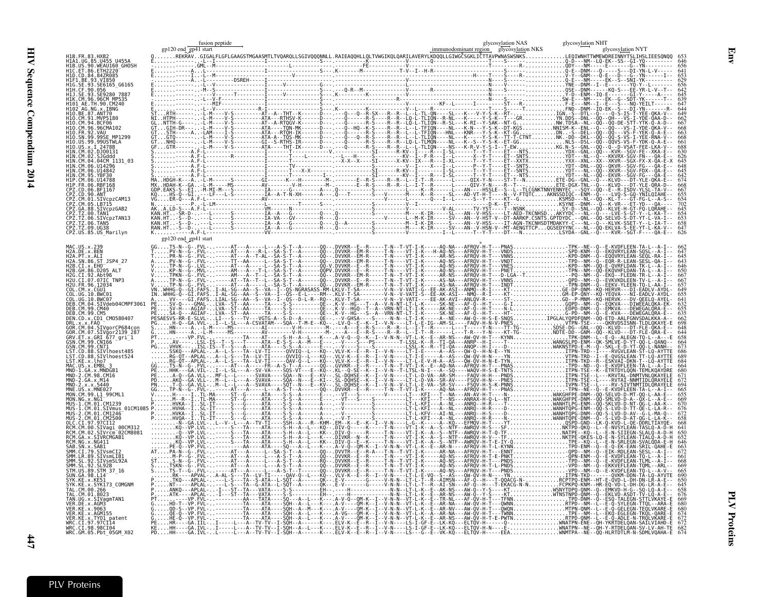|              | 90.CM240                               |                                                   |                                                                                                                                                                                                                                                                                  |                                                                                                                                                                                                                                                                                                                                                                                                                                                  |                              |
|--------------|----------------------------------------|---------------------------------------------------|----------------------------------------------------------------------------------------------------------------------------------------------------------------------------------------------------------------------------------------------------------------------------------|--------------------------------------------------------------------------------------------------------------------------------------------------------------------------------------------------------------------------------------------------------------------------------------------------------------------------------------------------------------------------------------------------------------------------------------------------|------------------------------|
|              |                                        |                                                   |                                                                                                                                                                                                                                                                                  |                                                                                                                                                                                                                                                                                                                                                                                                                                                  |                              |
|              |                                        |                                                   |                                                                                                                                                                                                                                                                                  |                                                                                                                                                                                                                                                                                                                                                                                                                                                  |                              |
|              |                                        |                                                   |                                                                                                                                                                                                                                                                                  |                                                                                                                                                                                                                                                                                                                                                                                                                                                  |                              |
|              |                                        |                                                   |                                                                                                                                                                                                                                                                                  |                                                                                                                                                                                                                                                                                                                                                                                                                                                  |                              |
|              |                                        |                                                   |                                                                                                                                                                                                                                                                                  |                                                                                                                                                                                                                                                                                                                                                                                                                                                  |                              |
|              |                                        |                                                   |                                                                                                                                                                                                                                                                                  |                                                                                                                                                                                                                                                                                                                                                                                                                                                  |                              |
|              |                                        |                                                   |                                                                                                                                                                                                                                                                                  |                                                                                                                                                                                                                                                                                                                                                                                                                                                  |                              |
|              |                                        |                                                   |                                                                                                                                                                                                                                                                                  |                                                                                                                                                                                                                                                                                                                                                                                                                                                  |                              |
|              |                                        |                                                   |                                                                                                                                                                                                                                                                                  |                                                                                                                                                                                                                                                                                                                                                                                                                                                  |                              |
|              |                                        |                                                   |                                                                                                                                                                                                                                                                                  |                                                                                                                                                                                                                                                                                                                                                                                                                                                  |                              |
|              |                                        |                                                   |                                                                                                                                                                                                                                                                                  |                                                                                                                                                                                                                                                                                                                                                                                                                                                  |                              |
| Z.TZ.09.UG38 | <b>TAN5</b>                            |                                                   |                                                                                                                                                                                                                                                                                  |                                                                                                                                                                                                                                                                                                                                                                                                                                                  |                              |
|              | :PZ.US.85.US Marilvn                   |                                                   |                                                                                                                                                                                                                                                                                  |                                                                                                                                                                                                                                                                                                                                                                                                                                                  |                              |
|              |                                        |                                                   |                                                                                                                                                                                                                                                                                  |                                                                                                                                                                                                                                                                                                                                                                                                                                                  |                              |
|              |                                        |                                                   |                                                                                                                                                                                                                                                                                  |                                                                                                                                                                                                                                                                                                                                                                                                                                                  |                              |
|              |                                        |                                                   |                                                                                                                                                                                                                                                                                  |                                                                                                                                                                                                                                                                                                                                                                                                                                                  |                              |
|              |                                        |                                                   |                                                                                                                                                                                                                                                                                  |                                                                                                                                                                                                                                                                                                                                                                                                                                                  |                              |
|              |                                        |                                                   |                                                                                                                                                                                                                                                                                  |                                                                                                                                                                                                                                                                                                                                                                                                                                                  |                              |
|              | CGU1                                   |                                                   | $\begin{array}{cccccccccccccccc} 0.1115 & 0.116 & 0.116 & 0.116 & 0.116 & 0.116 & 0.116 & 0.116 & 0.116 & 0.116 & 0.116 & 0.116 & 0.116 & 0.116 & 0.116 & 0.116 & 0.116 & 0.116 & 0.116 & 0.116 & 0.116 & 0.116 & 0.116 & 0.116 & 0.116 & 0.116 & 0.116 & 0.116 & 0.116 & 0.116$ |                                                                                                                                                                                                                                                                                                                                                                                                                                                  |                              |
|              |                                        |                                                   |                                                                                                                                                                                                                                                                                  |                                                                                                                                                                                                                                                                                                                                                                                                                                                  |                              |
|              |                                        |                                                   |                                                                                                                                                                                                                                                                                  |                                                                                                                                                                                                                                                                                                                                                                                                                                                  |                              |
|              |                                        |                                                   |                                                                                                                                                                                                                                                                                  |                                                                                                                                                                                                                                                                                                                                                                                                                                                  |                              |
|              | /gor2139_287<br>677 ari <sup>-</sup> 1 |                                                   |                                                                                                                                                                                                                                                                                  |                                                                                                                                                                                                                                                                                                                                                                                                                                                  |                              |
|              | 4. CN166                               |                                                   |                                                                                                                                                                                                                                                                                  |                                                                                                                                                                                                                                                                                                                                                                                                                                                  |                              |
|              | Vlhoest48                              |                                                   |                                                                                                                                                                                                                                                                                  |                                                                                                                                                                                                                                                                                                                                                                                                                                                  |                              |
|              |                                        |                                                   |                                                                                                                                                                                                                                                                                  |                                                                                                                                                                                                                                                                                                                                                                                                                                                  |                              |
|              |                                        |                                                   |                                                                                                                                                                                                                                                                                  |                                                                                                                                                                                                                                                                                                                                                                                                                                                  |                              |
|              |                                        |                                                   |                                                                                                                                                                                                                                                                                  |                                                                                                                                                                                                                                                                                                                                                                                                                                                  |                              |
|              |                                        |                                                   |                                                                                                                                                                                                                                                                                  |                                                                                                                                                                                                                                                                                                                                                                                                                                                  |                              |
|              |                                        |                                                   |                                                                                                                                                                                                                                                                                  |                                                                                                                                                                                                                                                                                                                                                                                                                                                  |                              |
|              |                                        |                                                   |                                                                                                                                                                                                                                                                                  |                                                                                                                                                                                                                                                                                                                                                                                                                                                  |                              |
|              |                                        |                                                   |                                                                                                                                                                                                                                                                                  |                                                                                                                                                                                                                                                                                                                                                                                                                                                  |                              |
|              | 02CM808                                |                                                   |                                                                                                                                                                                                                                                                                  |                                                                                                                                                                                                                                                                                                                                                                                                                                                  |                              |
|              |                                        |                                                   |                                                                                                                                                                                                                                                                                  |                                                                                                                                                                                                                                                                                                                                                                                                                                                  |                              |
|              |                                        |                                                   |                                                                                                                                                                                                                                                                                  |                                                                                                                                                                                                                                                                                                                                                                                                                                                  |                              |
|              |                                        |                                                   |                                                                                                                                                                                                                                                                                  |                                                                                                                                                                                                                                                                                                                                                                                                                                                  |                              |
|              |                                        |                                                   |                                                                                                                                                                                                                                                                                  | $\begin{tabular}{@{}c@{\textbf{0.6}}{ \begin{tabular}{@{}c@{\textbf{0.6}}{ \begin{tabular}{@{c@{\textbf{0.6}}{ \begin{tabular}{@{c@{\textbf{0.6}}{ \begin{tabular}{@{c@{\textbf{0.6}}{ \begin{tabular}{@{c@{\textbf{0.6}}{ \begin{tabular}{@{\textbf{0.6}}{ \begin{tabular}{@{\textbf{0.6}}{ \begin{tabular}{@{\textbf{0.6}}{ \begin{tabular}{@{\textbf{0.6}}{ \begin{tabular}{@{\textbf{0.6}}{ \begin{tabular}{@{\textbf{0.6}}{ \bf{0.6}}{ \bf$ |                              |
|              |                                        |                                                   |                                                                                                                                                                                                                                                                                  |                                                                                                                                                                                                                                                                                                                                                                                                                                                  |                              |
|              |                                        | . ī š† †А<br>. АА .                               |                                                                                                                                                                                                                                                                                  |                                                                                                                                                                                                                                                                                                                                                                                                                                                  |                              |
|              |                                        |                                                   |                                                                                                                                                                                                                                                                                  |                                                                                                                                                                                                                                                                                                                                                                                                                                                  |                              |
|              |                                        |                                                   |                                                                                                                                                                                                                                                                                  |                                                                                                                                                                                                                                                                                                                                                                                                                                                  |                              |
|              |                                        |                                                   |                                                                                                                                                                                                                                                                                  |                                                                                                                                                                                                                                                                                                                                                                                                                                                  |                              |
|              | CI 98 98CI04                           | HH----GA.IVL-I-----L---A--TV-TV--I-SÒH--A--L---K- |                                                                                                                                                                                                                                                                                  |                                                                                                                                                                                                                                                                                                                                                                                                                                                  | Ê-WNATPN--NE--ÒH-Y-RTDELÒAN- |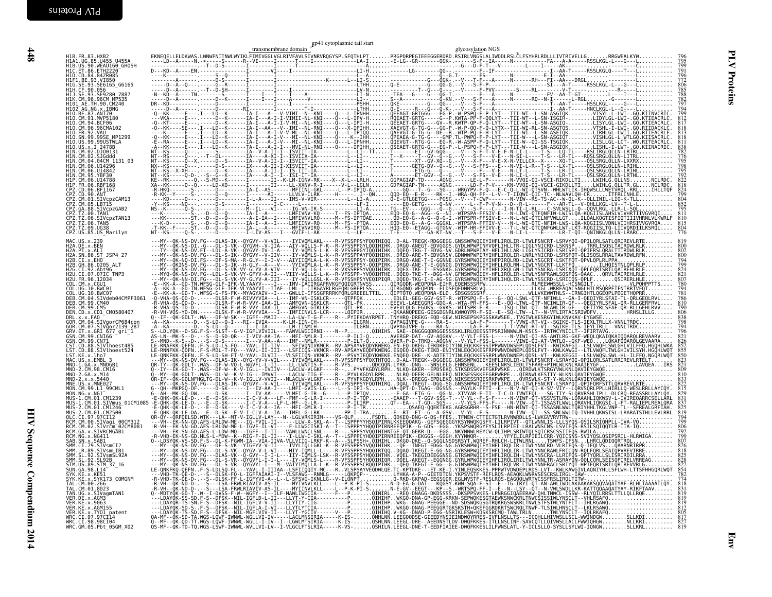| gp41 cytoplasmic tail start<br>transmembrane domain<br>glycosylation NGS                                                                                      |
|---------------------------------------------------------------------------------------------------------------------------------------------------------------|
|                                                                                                                                                               |
|                                                                                                                                                               |
|                                                                                                                                                               |
|                                                                                                                                                               |
|                                                                                                                                                               |
|                                                                                                                                                               |
|                                                                                                                                                               |
|                                                                                                                                                               |
|                                                                                                                                                               |
|                                                                                                                                                               |
|                                                                                                                                                               |
|                                                                                                                                                               |
|                                                                                                                                                               |
| -MY--QK-NS-DV.FG---DLAS-IK--QYGVY--V-VIL----IYIVQMLAKL----R-VFSSPPSYFQQTHIQQD-AL-TREGK-RDGGEGG.GNSSWPWQIEYIHFLIRQLIR-LTWLFSNCRT-LSRVYQI-QPILQRLSATLQRIREVLRTE |
|                                                                                                                                                               |
|                                                                                                                                                               |
|                                                                                                                                                               |
|                                                                                                                                                               |
|                                                                                                                                                               |
|                                                                                                                                                               |
|                                                                                                                                                               |
|                                                                                                                                                               |
|                                                                                                                                                               |
|                                                                                                                                                               |
|                                                                                                                                                               |
|                                                                                                                                                               |
|                                                                                                                                                               |
|                                                                                                                                                               |
|                                                                                                                                                               |
|                                                                                                                                                               |
|                                                                                                                                                               |
|                                                                                                                                                               |
|                                                                                                                                                               |
|                                                                                                                                                               |
|                                                                                                                                                               |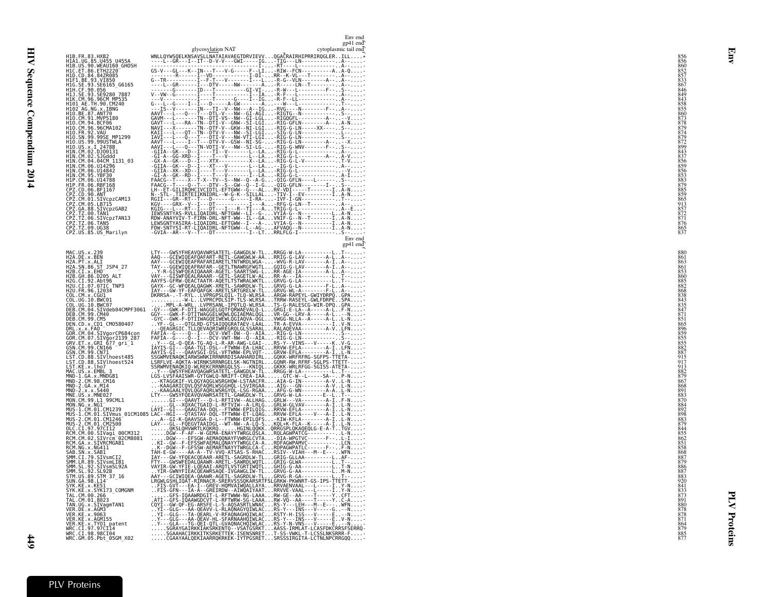|                                                                                                                                                                                                                                                                 |                                                                                                                                                                                                                              |                      | Env end<br>gp41 end |
|-----------------------------------------------------------------------------------------------------------------------------------------------------------------------------------------------------------------------------------------------------------------|------------------------------------------------------------------------------------------------------------------------------------------------------------------------------------------------------------------------------|----------------------|---------------------|
|                                                                                                                                                                                                                                                                 | glycosylation NAT                                                                                                                                                                                                            | cytoplasmic tail end |                     |
| H1B, FR. 83, HXB2<br>H1A1.UG. 85. U455<br>H1C. ET. 86. ETH2220<br>H1C. ET. 86. ETH2220<br>H1C. ET. 86. ETH2220<br>H1F1. 2E. 93. S421828<br>H1F1. 2E. 93. S421828<br>H1F1. CE. 93. S2666666667688<br>H1N. CH. 96. 96CM MP535<br>H1N. CH. 96. 96CM MP535<br>H1    |                                                                                                                                                                                                                              |                      |                     |
|                                                                                                                                                                                                                                                                 |                                                                                                                                                                                                                              |                      |                     |
|                                                                                                                                                                                                                                                                 |                                                                                                                                                                                                                              |                      |                     |
|                                                                                                                                                                                                                                                                 |                                                                                                                                                                                                                              |                      |                     |
|                                                                                                                                                                                                                                                                 |                                                                                                                                                                                                                              |                      |                     |
|                                                                                                                                                                                                                                                                 |                                                                                                                                                                                                                              |                      |                     |
|                                                                                                                                                                                                                                                                 |                                                                                                                                                                                                                              |                      |                     |
|                                                                                                                                                                                                                                                                 |                                                                                                                                                                                                                              |                      |                     |
|                                                                                                                                                                                                                                                                 |                                                                                                                                                                                                                              |                      |                     |
|                                                                                                                                                                                                                                                                 |                                                                                                                                                                                                                              |                      |                     |
| HIN. CM. 02. DJ00131<br>HIN. CM. 02. 5JGddd<br>HIN. CM. 02. 5JGddd<br>HIN. CM. 06. U14296<br>HIN. CM. 06. U14296<br>HIN. CM. 06. U14296<br>HIP. CM. 06. U14296<br>HIP. CM. 06. U1426<br>CPZ. CD. 90. ARTI67<br>CPZ. CM. 03. LBT15<br>CPZ. CM. 03. LBT15<br>CPZ. |                                                                                                                                                                                                                              |                      |                     |
|                                                                                                                                                                                                                                                                 |                                                                                                                                                                                                                              |                      |                     |
|                                                                                                                                                                                                                                                                 |                                                                                                                                                                                                                              |                      |                     |
|                                                                                                                                                                                                                                                                 |                                                                                                                                                                                                                              |                      |                     |
|                                                                                                                                                                                                                                                                 |                                                                                                                                                                                                                              |                      |                     |
|                                                                                                                                                                                                                                                                 |                                                                                                                                                                                                                              |                      |                     |
|                                                                                                                                                                                                                                                                 |                                                                                                                                                                                                                              |                      |                     |
|                                                                                                                                                                                                                                                                 |                                                                                                                                                                                                                              |                      |                     |
|                                                                                                                                                                                                                                                                 |                                                                                                                                                                                                                              |                      |                     |
|                                                                                                                                                                                                                                                                 |                                                                                                                                                                                                                              |                      | Env end             |
|                                                                                                                                                                                                                                                                 | CPL . 0. 5 . 115 . 118 . 129 . 129 . 129 . 129 . 129 . 129 . 129 . 129 . 129 . 129 . 129 . 129 . 129 . 129 . 129 . 129 . 129 . 129 . 129 . 129 . 129 . 129 . 129 . 129 . 129 . 129 . 129 . 129 . 129 . 129 . 129 . 129 . 129 |                      | $gp41$ end          |
|                                                                                                                                                                                                                                                                 |                                                                                                                                                                                                                              |                      |                     |
|                                                                                                                                                                                                                                                                 |                                                                                                                                                                                                                              |                      |                     |
|                                                                                                                                                                                                                                                                 |                                                                                                                                                                                                                              |                      |                     |
|                                                                                                                                                                                                                                                                 |                                                                                                                                                                                                                              |                      |                     |
|                                                                                                                                                                                                                                                                 |                                                                                                                                                                                                                              |                      |                     |
|                                                                                                                                                                                                                                                                 |                                                                                                                                                                                                                              |                      |                     |
|                                                                                                                                                                                                                                                                 |                                                                                                                                                                                                                              |                      |                     |
|                                                                                                                                                                                                                                                                 |                                                                                                                                                                                                                              |                      |                     |
|                                                                                                                                                                                                                                                                 |                                                                                                                                                                                                                              |                      |                     |
|                                                                                                                                                                                                                                                                 |                                                                                                                                                                                                                              |                      |                     |
|                                                                                                                                                                                                                                                                 |                                                                                                                                                                                                                              |                      |                     |
|                                                                                                                                                                                                                                                                 |                                                                                                                                                                                                                              |                      |                     |
|                                                                                                                                                                                                                                                                 |                                                                                                                                                                                                                              |                      |                     |
|                                                                                                                                                                                                                                                                 |                                                                                                                                                                                                                              |                      |                     |
|                                                                                                                                                                                                                                                                 |                                                                                                                                                                                                                              |                      |                     |
|                                                                                                                                                                                                                                                                 |                                                                                                                                                                                                                              |                      |                     |
|                                                                                                                                                                                                                                                                 |                                                                                                                                                                                                                              |                      |                     |
|                                                                                                                                                                                                                                                                 |                                                                                                                                                                                                                              |                      |                     |
|                                                                                                                                                                                                                                                                 |                                                                                                                                                                                                                              |                      |                     |
|                                                                                                                                                                                                                                                                 |                                                                                                                                                                                                                              |                      |                     |
|                                                                                                                                                                                                                                                                 |                                                                                                                                                                                                                              |                      |                     |
|                                                                                                                                                                                                                                                                 |                                                                                                                                                                                                                              |                      |                     |
|                                                                                                                                                                                                                                                                 |                                                                                                                                                                                                                              |                      |                     |
|                                                                                                                                                                                                                                                                 |                                                                                                                                                                                                                              |                      |                     |
|                                                                                                                                                                                                                                                                 |                                                                                                                                                                                                                              |                      |                     |
|                                                                                                                                                                                                                                                                 |                                                                                                                                                                                                                              |                      |                     |
|                                                                                                                                                                                                                                                                 |                                                                                                                                                                                                                              |                      |                     |
|                                                                                                                                                                                                                                                                 |                                                                                                                                                                                                                              |                      |                     |
|                                                                                                                                                                                                                                                                 |                                                                                                                                                                                                                              |                      |                     |
|                                                                                                                                                                                                                                                                 |                                                                                                                                                                                                                              |                      |                     |
|                                                                                                                                                                                                                                                                 |                                                                                                                                                                                                                              |                      |                     |
|                                                                                                                                                                                                                                                                 |                                                                                                                                                                                                                              |                      |                     |
|                                                                                                                                                                                                                                                                 |                                                                                                                                                                                                                              |                      |                     |
|                                                                                                                                                                                                                                                                 |                                                                                                                                                                                                                              |                      |                     |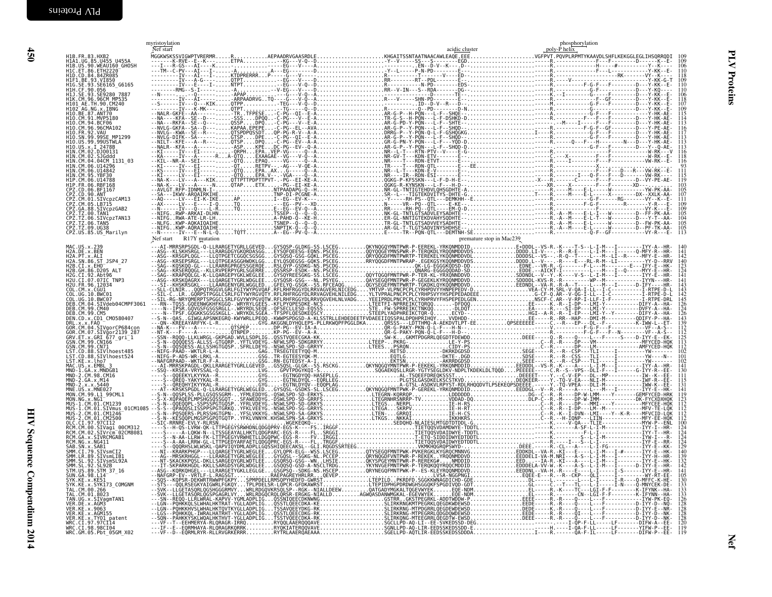<span id="page-39-0"></span>

|  | 118<br>107                                                  |
|--|-------------------------------------------------------------|
|  |                                                             |
|  | II5<br>114                                                  |
|  | 113<br>116<br>117                                           |
|  |                                                             |
|  | 113<br>116<br>118<br>116                                    |
|  |                                                             |
|  | i i ŏ                                                       |
|  |                                                             |
|  | 111                                                         |
|  |                                                             |
|  | $\frac{104}{105}$<br>$\frac{105}{113}$                      |
|  |                                                             |
|  |                                                             |
|  | i 23<br>124                                                 |
|  | 141<br>141                                                  |
|  |                                                             |
|  |                                                             |
|  |                                                             |
|  | 126<br>143<br>139<br>112<br>112<br>112<br>113<br>112<br>112 |
|  |                                                             |
|  |                                                             |
|  |                                                             |
|  | 130<br>111                                                  |
|  |                                                             |
|  | 119<br>123<br>112                                           |
|  |                                                             |
|  | $\frac{112}{112}$<br>$\frac{112}{100}$<br>$\frac{100}{124}$ |
|  |                                                             |
|  | 124<br>129                                                  |
|  | 140<br>139<br>132<br>142                                    |
|  |                                                             |
|  | 105<br>130                                                  |
|  |                                                             |
|  |                                                             |
|  | 128<br>128                                                  |
|  | $\frac{120}{119}$                                           |